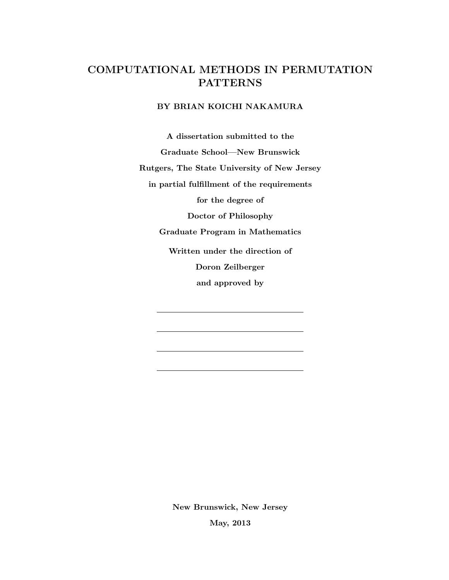# <span id="page-0-0"></span>COMPUTATIONAL METHODS IN PERMUTATION **PATTERNS**

# BY BRIAN KOICHI NAKAMURA

A dissertation submitted to the

Graduate School—New Brunswick

Rutgers, The State University of New Jersey

in partial fulfillment of the requirements

for the degree of

Doctor of Philosophy

Graduate Program in Mathematics

Written under the direction of

Doron Zeilberger

and approved by

New Brunswick, New Jersey

May, 2013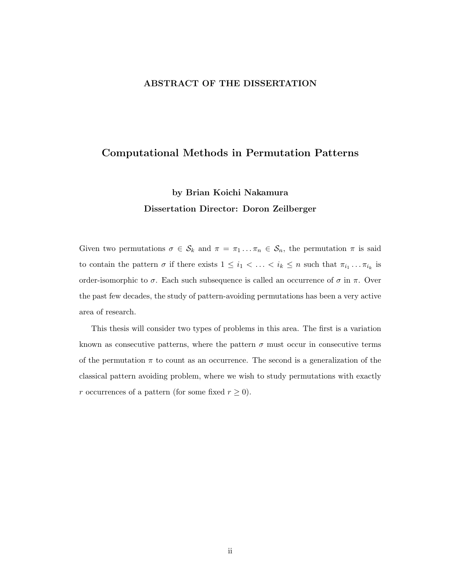# ABSTRACT OF THE DISSERTATION

# Computational Methods in Permutation Patterns

# by Brian Koichi Nakamura Dissertation Director: Doron Zeilberger

Given two permutations  $\sigma \in \mathcal{S}_k$  and  $\pi = \pi_1 \dots \pi_n \in \mathcal{S}_n$ , the permutation  $\pi$  is said to contain the pattern  $\sigma$  if there exists  $1 \leq i_1 < \ldots < i_k \leq n$  such that  $\pi_{i_1} \ldots \pi_{i_k}$  is order-isomorphic to  $\sigma$ . Each such subsequence is called an occurrence of  $\sigma$  in  $\pi$ . Over the past few decades, the study of pattern-avoiding permutations has been a very active area of research.

This thesis will consider two types of problems in this area. The first is a variation known as consecutive patterns, where the pattern  $\sigma$  must occur in consecutive terms of the permutation  $\pi$  to count as an occurrence. The second is a generalization of the classical pattern avoiding problem, where we wish to study permutations with exactly r occurrences of a pattern (for some fixed  $r \geq 0$ ).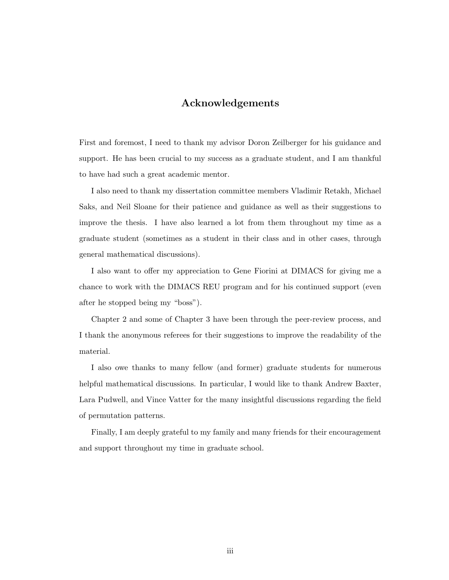# Acknowledgements

<span id="page-2-0"></span>First and foremost, I need to thank my advisor Doron Zeilberger for his guidance and support. He has been crucial to my success as a graduate student, and I am thankful to have had such a great academic mentor.

I also need to thank my dissertation committee members Vladimir Retakh, Michael Saks, and Neil Sloane for their patience and guidance as well as their suggestions to improve the thesis. I have also learned a lot from them throughout my time as a graduate student (sometimes as a student in their class and in other cases, through general mathematical discussions).

I also want to offer my appreciation to Gene Fiorini at DIMACS for giving me a chance to work with the DIMACS REU program and for his continued support (even after he stopped being my "boss").

Chapter 2 and some of Chapter 3 have been through the peer-review process, and I thank the anonymous referees for their suggestions to improve the readability of the material.

I also owe thanks to many fellow (and former) graduate students for numerous helpful mathematical discussions. In particular, I would like to thank Andrew Baxter, Lara Pudwell, and Vince Vatter for the many insightful discussions regarding the field of permutation patterns.

Finally, I am deeply grateful to my family and many friends for their encouragement and support throughout my time in graduate school.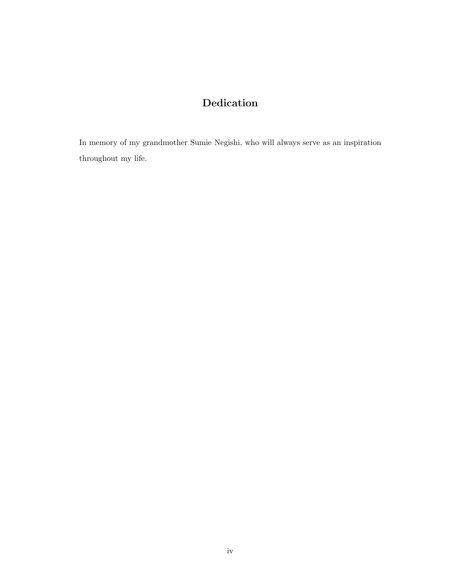# Dedication

<span id="page-3-0"></span>In memory of my grandmother Sumie Negishi, who will always serve as an inspiration throughout my life.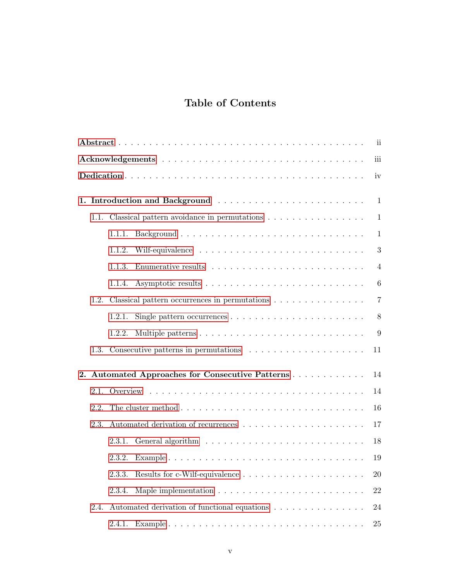# Table of Contents

| $\mathbf{ii}$ |      |                                              |                                                                                   |    |  |  |  |  |  |  |
|---------------|------|----------------------------------------------|-----------------------------------------------------------------------------------|----|--|--|--|--|--|--|
|               |      |                                              | iii                                                                               |    |  |  |  |  |  |  |
|               | iv   |                                              |                                                                                   |    |  |  |  |  |  |  |
| 1.            |      |                                              |                                                                                   |    |  |  |  |  |  |  |
|               | 1.1. | Classical pattern avoidance in permutations  |                                                                                   |    |  |  |  |  |  |  |
|               |      | 1.1.1.                                       | 1                                                                                 |    |  |  |  |  |  |  |
|               |      | 1.1.2.                                       | 3                                                                                 |    |  |  |  |  |  |  |
|               |      | 1.1.3.                                       | $\overline{4}$                                                                    |    |  |  |  |  |  |  |
|               |      | 1.1.4.                                       | 6                                                                                 |    |  |  |  |  |  |  |
|               | 1.2. |                                              |                                                                                   |    |  |  |  |  |  |  |
|               |      | 1.2.1.                                       | Single pattern occurrences $\dots \dots \dots \dots \dots \dots \dots \dots$<br>8 |    |  |  |  |  |  |  |
|               |      | 1.2.2.                                       | 9                                                                                 |    |  |  |  |  |  |  |
|               | 1.3. |                                              | 11                                                                                |    |  |  |  |  |  |  |
| 2.            |      |                                              | Automated Approaches for Consecutive Patterns<br>14                               |    |  |  |  |  |  |  |
|               | 2.1. |                                              |                                                                                   | 14 |  |  |  |  |  |  |
|               | 2.2. |                                              |                                                                                   |    |  |  |  |  |  |  |
|               | 2.3. |                                              |                                                                                   |    |  |  |  |  |  |  |
|               |      | 2.3.1.                                       | 18                                                                                |    |  |  |  |  |  |  |
|               |      | 2.3.2.                                       | 19                                                                                |    |  |  |  |  |  |  |
|               |      | 2.3.3.                                       | 20                                                                                |    |  |  |  |  |  |  |
|               |      | 2.3.4.                                       | 22                                                                                |    |  |  |  |  |  |  |
|               | 2.4. | Automated derivation of functional equations |                                                                                   |    |  |  |  |  |  |  |
|               |      | 2.4.1.                                       | 25                                                                                |    |  |  |  |  |  |  |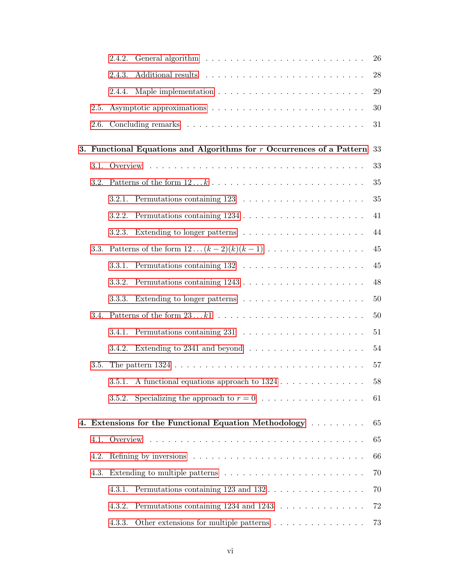|      | 2.4.2.                                                                                   | $26\,$   |  |  |
|------|------------------------------------------------------------------------------------------|----------|--|--|
|      | 2.4.3.                                                                                   | 28       |  |  |
|      | 2.4.4.                                                                                   | 29       |  |  |
| 2.5. |                                                                                          | 30       |  |  |
| 2.6. |                                                                                          | 31       |  |  |
|      | 3. Functional Equations and Algorithms for $r$ Occurrences of a Pattern 33               |          |  |  |
| 3.1. |                                                                                          |          |  |  |
|      |                                                                                          | 35       |  |  |
|      | 3.2.1.                                                                                   | 35       |  |  |
|      | 3.2.2.                                                                                   | 41       |  |  |
|      | 3.2.3.                                                                                   | 44       |  |  |
| 3.3. | Patterns of the form $12 \dots (k-2)(k)(k-1) \dots \dots \dots \dots \dots \dots$        | 45       |  |  |
|      | 3.3.1.                                                                                   | 45       |  |  |
|      | 3.3.2.                                                                                   | 48       |  |  |
|      | 3.3.3.                                                                                   | 50       |  |  |
| 3.4. | 50                                                                                       |          |  |  |
|      | Permutations containing $231 \ldots \ldots \ldots \ldots \ldots \ldots \ldots$<br>3.4.1. | 51       |  |  |
|      | Extending to 2341 and beyond $\ldots \ldots \ldots \ldots \ldots \ldots$<br>3.4.2.       | 54       |  |  |
| 3.5. |                                                                                          | 57       |  |  |
|      | 3.5.1. A functional equations approach to $1324$                                         | $58\,$   |  |  |
|      | 3.5.2.                                                                                   | 61       |  |  |
|      |                                                                                          |          |  |  |
|      | 4. Extensions for the Functional Equation Methodology                                    | 65       |  |  |
| 4.1. |                                                                                          | 65       |  |  |
| 4.2. | Refining by inversions $\ldots \ldots \ldots \ldots \ldots \ldots \ldots \ldots \ldots$  | 66<br>70 |  |  |
| 4.3. |                                                                                          |          |  |  |
|      | 4.3.1.                                                                                   | 70       |  |  |
|      | Permutations containing 1234 and 1243<br>4.3.2.                                          | 72       |  |  |
|      | Other extensions for multiple patterns $\dots \dots \dots \dots \dots$<br>4.3.3.         | 73       |  |  |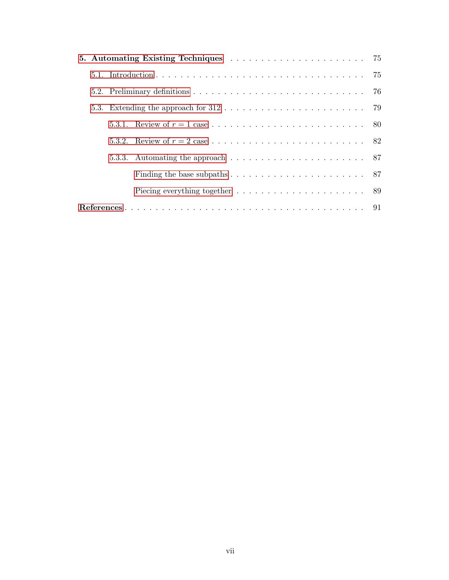|  |  | 5.3. Extending the approach for $312 \ldots \ldots \ldots \ldots \ldots \ldots \ldots \ldots$ 79 |  |
|--|--|--------------------------------------------------------------------------------------------------|--|
|  |  |                                                                                                  |  |
|  |  |                                                                                                  |  |
|  |  | 5.3.3. Automating the approach $\ldots \ldots \ldots \ldots \ldots \ldots \ldots \ldots$ 87      |  |
|  |  | Finding the base subpaths $\ldots \ldots \ldots \ldots \ldots \ldots \ldots$ 87                  |  |
|  |  | Piecing everything together $\dots \dots \dots \dots \dots \dots \dots \dots \dots$ 89           |  |
|  |  |                                                                                                  |  |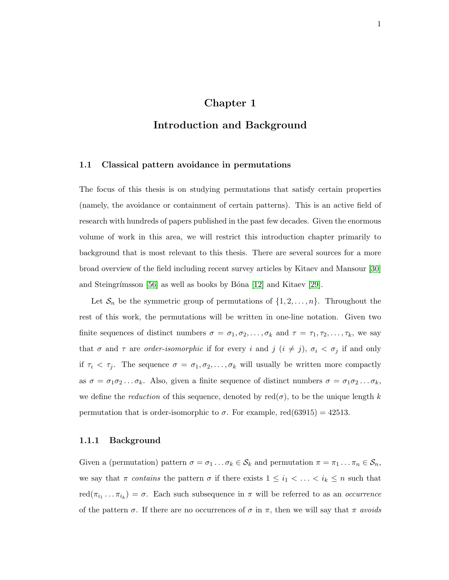# Chapter 1

# <span id="page-7-0"></span>Introduction and Background

### <span id="page-7-1"></span>1.1 Classical pattern avoidance in permutations

The focus of this thesis is on studying permutations that satisfy certain properties (namely, the avoidance or containment of certain patterns). This is an active field of research with hundreds of papers published in the past few decades. Given the enormous volume of work in this area, we will restrict this introduction chapter primarily to background that is most relevant to this thesis. There are several sources for a more broad overview of the field including recent survey articles by Kitaev and Mansour [\[30\]](#page-98-0) and Steingrímsson [\[56\]](#page-100-0) as well as books by Bóna [\[12\]](#page-97-1) and Kitaev [\[29\]](#page-98-1).

Let  $S_n$  be the symmetric group of permutations of  $\{1, 2, \ldots, n\}$ . Throughout the rest of this work, the permutations will be written in one-line notation. Given two finite sequences of distinct numbers  $\sigma = \sigma_1, \sigma_2, \ldots, \sigma_k$  and  $\tau = \tau_1, \tau_2, \ldots, \tau_k$ , we say that  $\sigma$  and  $\tau$  are *order-isomorphic* if for every i and j  $(i \neq j)$ ,  $\sigma_i < \sigma_j$  if and only if  $\tau_i < \tau_j$ . The sequence  $\sigma = \sigma_1, \sigma_2, \ldots, \sigma_k$  will usually be written more compactly as  $\sigma = \sigma_1 \sigma_2 \dots \sigma_k$ . Also, given a finite sequence of distinct numbers  $\sigma = \sigma_1 \sigma_2 \dots \sigma_k$ , we define the *reduction* of this sequence, denoted by  $\text{red}(\sigma)$ , to be the unique length k permutation that is order-isomorphic to  $\sigma$ . For example, red(63915) = 42513.

#### <span id="page-7-2"></span>1.1.1 Background

Given a (permutation) pattern  $\sigma = \sigma_1 \dots \sigma_k \in S_k$  and permutation  $\pi = \pi_1 \dots \pi_n \in S_n$ , we say that  $\pi$  contains the pattern  $\sigma$  if there exists  $1 \leq i_1 < \ldots < i_k \leq n$  such that  $\text{red}(\pi_{i_1} \dots \pi_{i_k}) = \sigma$ . Each such subsequence in  $\pi$  will be referred to as an *occurrence* of the pattern  $\sigma$ . If there are no occurrences of  $\sigma$  in  $\pi$ , then we will say that  $\pi$  avoids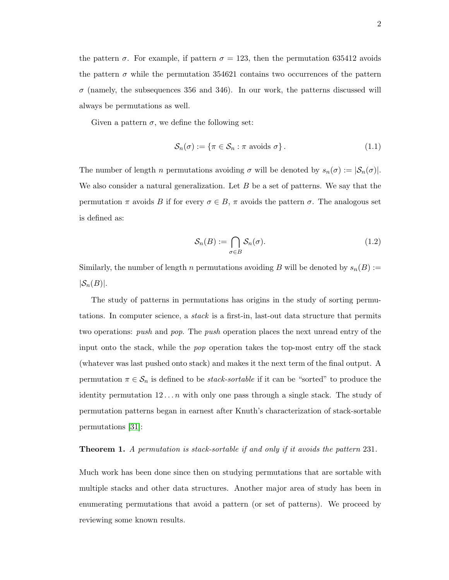the pattern  $\sigma$ . For example, if pattern  $\sigma = 123$ , then the permutation 635412 avoids the pattern  $\sigma$  while the permutation 354621 contains two occurrences of the pattern  $\sigma$  (namely, the subsequences 356 and 346). In our work, the patterns discussed will always be permutations as well.

Given a pattern  $\sigma$ , we define the following set:

$$
\mathcal{S}_n(\sigma) := \{ \pi \in \mathcal{S}_n : \pi \text{ avoids } \sigma \}. \tag{1.1}
$$

The number of length *n* permutations avoiding  $\sigma$  will be denoted by  $s_n(\sigma) := |\mathcal{S}_n(\sigma)|$ . We also consider a natural generalization. Let  $B$  be a set of patterns. We say that the permutation  $\pi$  avoids B if for every  $\sigma \in B$ ,  $\pi$  avoids the pattern  $\sigma$ . The analogous set is defined as:

$$
\mathcal{S}_n(B) := \bigcap_{\sigma \in B} \mathcal{S}_n(\sigma). \tag{1.2}
$$

Similarly, the number of length n permutations avoiding B will be denoted by  $s_n(B) :=$  $|\mathcal{S}_n(B)|$ .

The study of patterns in permutations has origins in the study of sorting permutations. In computer science, a stack is a first-in, last-out data structure that permits two operations: push and pop. The push operation places the next unread entry of the input onto the stack, while the pop operation takes the top-most entry off the stack (whatever was last pushed onto stack) and makes it the next term of the final output. A permutation  $\pi \in \mathcal{S}_n$  is defined to be *stack-sortable* if it can be "sorted" to produce the identity permutation  $12 \ldots n$  with only one pass through a single stack. The study of permutation patterns began in earnest after Knuth's characterization of stack-sortable permutations [\[31\]](#page-98-2):

#### **Theorem 1.** A permutation is stack-sortable if and only if it avoids the pattern 231.

Much work has been done since then on studying permutations that are sortable with multiple stacks and other data structures. Another major area of study has been in enumerating permutations that avoid a pattern (or set of patterns). We proceed by reviewing some known results.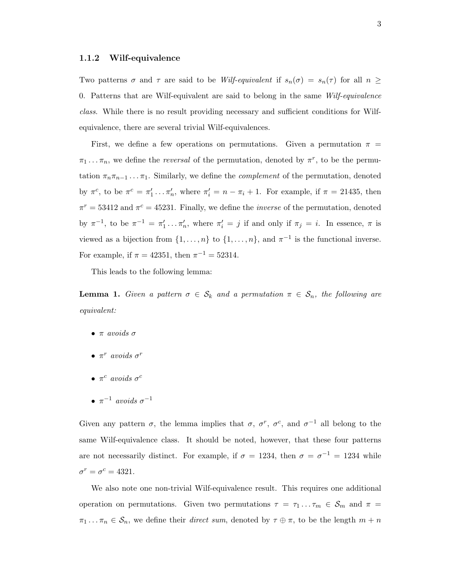### <span id="page-9-0"></span>1.1.2 Wilf-equivalence

Two patterns  $\sigma$  and  $\tau$  are said to be Wilf-equivalent if  $s_n(\sigma) = s_n(\tau)$  for all  $n \geq$ 0. Patterns that are Wilf-equivalent are said to belong in the same Wilf-equivalence class. While there is no result providing necessary and sufficient conditions for Wilfequivalence, there are several trivial Wilf-equivalences.

First, we define a few operations on permutations. Given a permutation  $\pi$  =  $\pi_1 \dots \pi_n$ , we define the *reversal* of the permutation, denoted by  $\pi^r$ , to be the permutation  $\pi_n \pi_{n-1} \dots \pi_1$ . Similarly, we define the *complement* of the permutation, denoted by  $\pi^c$ , to be  $\pi^c = \pi'_1 \dots \pi'_n$ , where  $\pi'_i = n - \pi_i + 1$ . For example, if  $\pi = 21435$ , then  $\pi^r = 53412$  and  $\pi^c = 45231$ . Finally, we define the *inverse* of the permutation, denoted by  $\pi^{-1}$ , to be  $\pi^{-1} = \pi'_1 \dots \pi'_n$ , where  $\pi'_i = j$  if and only if  $\pi_j = i$ . In essence,  $\pi$  is viewed as a bijection from  $\{1, \ldots, n\}$  to  $\{1, \ldots, n\}$ , and  $\pi^{-1}$  is the functional inverse. For example, if  $\pi = 42351$ , then  $\pi^{-1} = 52314$ .

This leads to the following lemma:

**Lemma 1.** Given a pattern  $\sigma \in S_k$  and a permutation  $\pi \in S_n$ , the following are equivalent:

- $\bullet$  π avoids  $\sigma$
- $\pi^r$  avoids  $\sigma^r$
- $\pi^c$  avoids  $\sigma^c$
- $\pi^{-1}$  avoids  $\sigma^{-1}$

Given any pattern  $\sigma$ , the lemma implies that  $\sigma$ ,  $\sigma^r$ ,  $\sigma^c$ , and  $\sigma^{-1}$  all belong to the same Wilf-equivalence class. It should be noted, however, that these four patterns are not necessarily distinct. For example, if  $\sigma = 1234$ , then  $\sigma = \sigma^{-1} = 1234$  while  $\sigma^r = \sigma^c = 4321.$ 

We also note one non-trivial Wilf-equivalence result. This requires one additional operation on permutations. Given two permutations  $\tau = \tau_1 \dots \tau_m \in S_m$  and  $\pi =$  $\pi_1 \dots \pi_n \in \mathcal{S}_n$ , we define their *direct sum*, denoted by  $\tau \oplus \pi$ , to be the length  $m + n$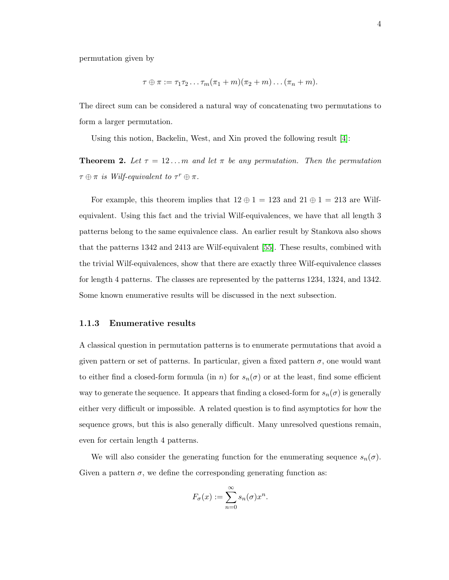permutation given by

$$
\tau \oplus \pi := \tau_1 \tau_2 \dots \tau_m (\pi_1 + m) (\pi_2 + m) \dots (\pi_n + m).
$$

The direct sum can be considered a natural way of concatenating two permutations to form a larger permutation.

Using this notion, Backelin, West, and Xin proved the following result [\[4\]](#page-97-2):

<span id="page-10-1"></span>**Theorem 2.** Let  $\tau = 12...m$  and let  $\pi$  be any permutation. Then the permutation  $\tau \oplus \pi$  is Wilf-equivalent to  $\tau^r \oplus \pi$ .

For example, this theorem implies that  $12 \oplus 1 = 123$  and  $21 \oplus 1 = 213$  are Wilfequivalent. Using this fact and the trivial Wilf-equivalences, we have that all length 3 patterns belong to the same equivalence class. An earlier result by Stankova also shows that the patterns 1342 and 2413 are Wilf-equivalent [\[55\]](#page-100-1). These results, combined with the trivial Wilf-equivalences, show that there are exactly three Wilf-equivalence classes for length 4 patterns. The classes are represented by the patterns 1234, 1324, and 1342. Some known enumerative results will be discussed in the next subsection.

#### <span id="page-10-0"></span>1.1.3 Enumerative results

A classical question in permutation patterns is to enumerate permutations that avoid a given pattern or set of patterns. In particular, given a fixed pattern  $\sigma$ , one would want to either find a closed-form formula (in n) for  $s_n(\sigma)$  or at the least, find some efficient way to generate the sequence. It appears that finding a closed-form for  $s_n(\sigma)$  is generally either very difficult or impossible. A related question is to find asymptotics for how the sequence grows, but this is also generally difficult. Many unresolved questions remain, even for certain length 4 patterns.

We will also consider the generating function for the enumerating sequence  $s_n(\sigma)$ . Given a pattern  $\sigma$ , we define the corresponding generating function as:

$$
F_{\sigma}(x) := \sum_{n=0}^{\infty} s_n(\sigma) x^n.
$$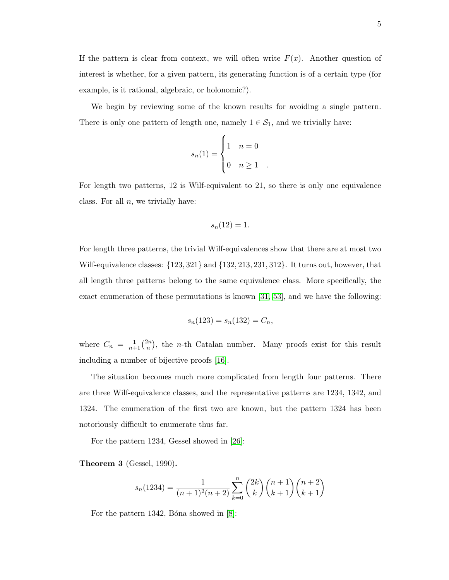If the pattern is clear from context, we will often write  $F(x)$ . Another question of interest is whether, for a given pattern, its generating function is of a certain type (for example, is it rational, algebraic, or holonomic?).

We begin by reviewing some of the known results for avoiding a single pattern. There is only one pattern of length one, namely  $1 \in S_1$ , and we trivially have:

$$
s_n(1) = \begin{cases} 1 & n = 0 \\ 0 & n \ge 1 \end{cases}
$$

For length two patterns, 12 is Wilf-equivalent to 21, so there is only one equivalence class. For all  $n$ , we trivially have:

$$
s_n(12) = 1.
$$

For length three patterns, the trivial Wilf-equivalences show that there are at most two Wilf-equivalence classes: {123, 321} and {132, 213, 231, 312}. It turns out, however, that all length three patterns belong to the same equivalence class. More specifically, the exact enumeration of these permutations is known [\[31,](#page-98-2) [53\]](#page-100-2), and we have the following:

$$
s_n(123) = s_n(132) = C_n,
$$

where  $C_n = \frac{1}{n+1} \binom{2n}{n}$  $\binom{2n}{n}$ , the *n*-th Catalan number. Many proofs exist for this result including a number of bijective proofs [\[16\]](#page-98-3).

The situation becomes much more complicated from length four patterns. There are three Wilf-equivalence classes, and the representative patterns are 1234, 1342, and 1324. The enumeration of the first two are known, but the pattern 1324 has been notoriously difficult to enumerate thus far.

For the pattern 1234, Gessel showed in [\[26\]](#page-98-4):

Theorem 3 (Gessel, 1990).

$$
s_n(1234) = \frac{1}{(n+1)^2(n+2)} \sum_{k=0}^n \binom{2k}{k} \binom{n+1}{k+1} \binom{n+2}{k+1}
$$

For the pattern 1342, Bona showed in  $|8|$ :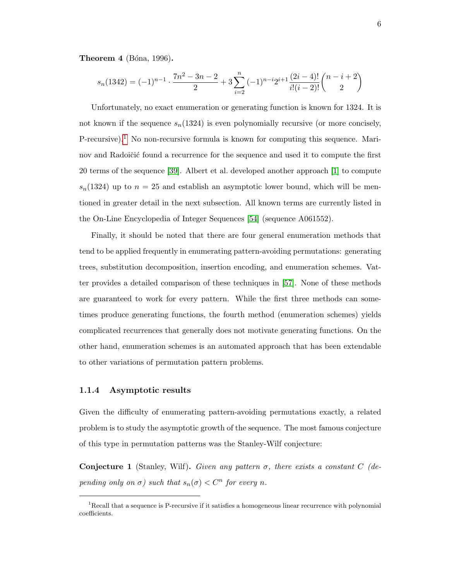**Theorem 4** (Bóna, 1996).

$$
s_n(1342) = (-1)^{n-1} \cdot \frac{7n^2 - 3n - 2}{2} + 3 \sum_{i=2}^n (-1)^{n-i} 2^{i+1} \frac{(2i-4)!}{i!(i-2)!} \binom{n-i+2}{2}
$$

Unfortunately, no exact enumeration or generating function is known for 1324. It is not known if the sequence  $s_n(1324)$  is even polynomially recursive (or more concisely, P-recursive).<sup>[1](#page-12-1)</sup> No non-recursive formula is known for computing this sequence. Marinov and Radoičić found a recurrence for the sequence and used it to compute the first 20 terms of the sequence [\[39\]](#page-99-0). Albert et al. developed another approach [\[1\]](#page-97-4) to compute  $s_n(1324)$  up to  $n = 25$  and establish an asymptotic lower bound, which will be mentioned in greater detail in the next subsection. All known terms are currently listed in the On-Line Encyclopedia of Integer Sequences [\[54\]](#page-100-3) (sequence A061552).

Finally, it should be noted that there are four general enumeration methods that tend to be applied frequently in enumerating pattern-avoiding permutations: generating trees, substitution decomposition, insertion encoding, and enumeration schemes. Vatter provides a detailed comparison of these techniques in [\[57\]](#page-100-4). None of these methods are guaranteed to work for every pattern. While the first three methods can sometimes produce generating functions, the fourth method (enumeration schemes) yields complicated recurrences that generally does not motivate generating functions. On the other hand, enumeration schemes is an automated approach that has been extendable to other variations of permutation pattern problems.

### <span id="page-12-0"></span>1.1.4 Asymptotic results

Given the difficulty of enumerating pattern-avoiding permutations exactly, a related problem is to study the asymptotic growth of the sequence. The most famous conjecture of this type in permutation patterns was the Stanley-Wilf conjecture:

Conjecture 1 (Stanley, Wilf). Given any pattern  $\sigma$ , there exists a constant C (depending only on  $\sigma$ ) such that  $s_n(\sigma) < C^n$  for every n.

<span id="page-12-1"></span><sup>&</sup>lt;sup>1</sup>Recall that a sequence is P-recursive if it satisfies a homogeneous linear recurrence with polynomial coefficients.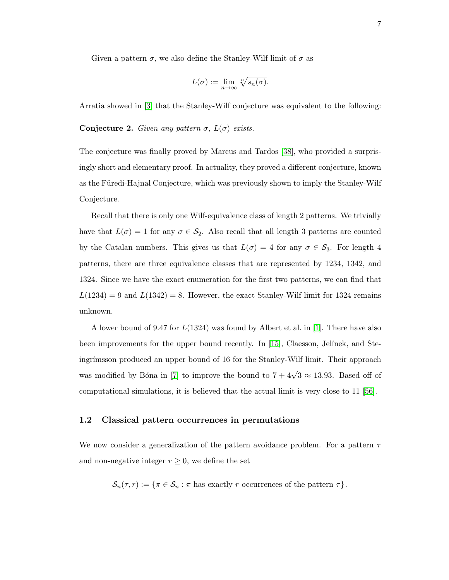Given a pattern  $\sigma$ , we also define the Stanley-Wilf limit of  $\sigma$  as

$$
L(\sigma) := \lim_{n \to \infty} \sqrt[n]{s_n(\sigma)}.
$$

Arratia showed in [\[3\]](#page-97-5) that the Stanley-Wilf conjecture was equivalent to the following:

Conjecture 2. Given any pattern  $\sigma$ ,  $L(\sigma)$  exists.

The conjecture was finally proved by Marcus and Tardos [\[38\]](#page-99-1), who provided a surprisingly short and elementary proof. In actuality, they proved a different conjecture, known as the Füredi-Hajnal Conjecture, which was previously shown to imply the Stanley-Wilf Conjecture.

Recall that there is only one Wilf-equivalence class of length 2 patterns. We trivially have that  $L(\sigma) = 1$  for any  $\sigma \in \mathcal{S}_2$ . Also recall that all length 3 patterns are counted by the Catalan numbers. This gives us that  $L(\sigma) = 4$  for any  $\sigma \in \mathcal{S}_3$ . For length 4 patterns, there are three equivalence classes that are represented by 1234, 1342, and 1324. Since we have the exact enumeration for the first two patterns, we can find that  $L(1234) = 9$  and  $L(1342) = 8$ . However, the exact Stanley-Wilf limit for 1324 remains unknown.

A lower bound of 9.47 for L(1324) was found by Albert et al. in [\[1\]](#page-97-4). There have also been improvements for the upper bound recently. In [\[15\]](#page-98-5), Claesson, Jelinek, and Steingrímsson produced an upper bound of 16 for the Stanley-Wilf limit. Their approach was modified by Bóna in [\[7\]](#page-97-6) to improve the bound to  $7 + 4\sqrt{3} \approx 13.93$ . Based off of computational simulations, it is believed that the actual limit is very close to 11 [\[56\]](#page-100-0).

### <span id="page-13-0"></span>1.2 Classical pattern occurrences in permutations

We now consider a generalization of the pattern avoidance problem. For a pattern  $\tau$ and non-negative integer  $r \geq 0$ , we define the set

 $\mathcal{S}_n(\tau, r) := \{ \pi \in \mathcal{S}_n : \pi \text{ has exactly } r \text{ occurrences of the pattern } \tau \}.$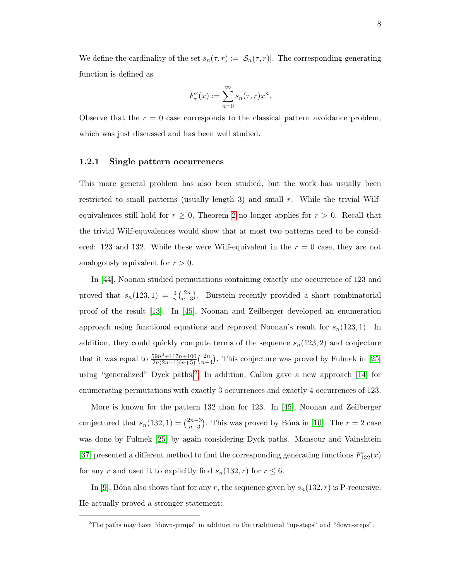We define the cardinality of the set  $s_n(\tau, r) := |\mathcal{S}_n(\tau, r)|$ . The corresponding generating function is defined as

$$
F_{\tau}^r(x) := \sum_{n=0}^{\infty} s_n(\tau, r) x^n.
$$

Observe that the  $r = 0$  case corresponds to the classical pattern avoidance problem, which was just discussed and has been well studied.

# <span id="page-14-0"></span>1.2.1 Single pattern occurrences

This more general problem has also been studied, but the work has usually been restricted to small patterns (usually length 3) and small  $r$ . While the trivial Wilfequivalences still hold for  $r \geq 0$ , Theorem [2](#page-10-1) no longer applies for  $r > 0$ . Recall that the trivial Wilf-equvalences would show that at most two patterns need to be considered: 123 and 132. While these were Wilf-equivalent in the  $r = 0$  case, they are not analogously equivalent for  $r > 0$ .

In [\[44\]](#page-99-2), Noonan studied permutations containing exactly one occurrence of 123 and proved that  $s_n(123, 1) = \frac{3}{n} {2n \choose n-1}$  $\binom{2n}{n-3}$ . Burstein recently provided a short combinatorial proof of the result [\[13\]](#page-97-7). In [\[45\]](#page-99-3), Noonan and Zeilberger developed an enumeration approach using functional equations and reproved Noonan's result for  $s_n(123, 1)$ . In addition, they could quickly compute terms of the sequence  $s_n(123, 2)$  and conjecture that it was equal to  $\frac{59n^2+117n+100}{2n(2n-1)(n+5)}$  $\frac{59n^2+117n+100}{2n(2n-1)(n+5)}\binom{2n}{n-5}$  $\binom{2n}{n-4}$ . This conjecture was proved by Fulmek in [\[25\]](#page-98-6) using "generalized" Dyck paths.<sup>[2](#page-14-1)</sup> In addition, Callan gave a new approach [\[14\]](#page-97-8) for enumerating permutations with exactly 3 occurrences and exactly 4 occurrences of 123.

More is known for the pattern 132 than for 123. In [\[45\]](#page-99-3), Noonan and Zeilberger conjectured that  $s_n(132, 1) = \binom{2n-3}{n-3}$  $\binom{2n-3}{n-3}$ . This was proved by Bóna in [\[10\]](#page-97-9). The  $r=2$  case was done by Fulmek [\[25\]](#page-98-6) by again considering Dyck paths. Mansour and Vainshtein [\[37\]](#page-99-4) presented a different method to find the corresponding generating functions  $F_{132}^r(x)$ for any r and used it to explicitly find  $s_n(132, r)$  for  $r \leq 6$ .

In [\[9\]](#page-97-10), Bóna also shows that for any r, the sequence given by  $s_n(132, r)$  is P-recursive. He actually proved a stronger statement:

<span id="page-14-1"></span><sup>&</sup>lt;sup>2</sup>The paths may have "down-jumps" in addition to the traditional "up-steps" and "down-steps".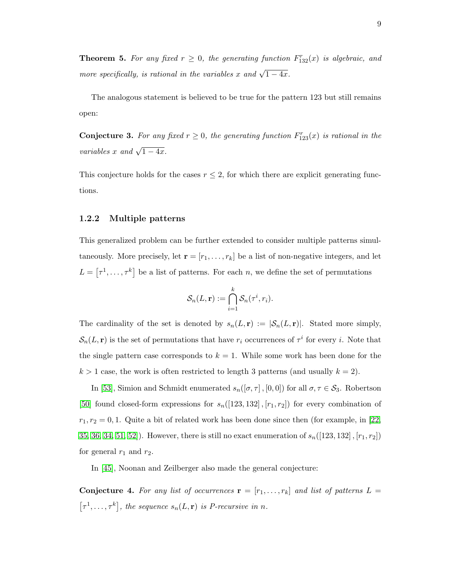**Theorem 5.** For any fixed  $r \geq 0$ , the generating function  $F_{132}^r(x)$  is algebraic, and more specifically, is rational in the variables x and  $\sqrt{1-4x}$ .

The analogous statement is believed to be true for the pattern 123 but still remains open:

**Conjecture 3.** For any fixed  $r \geq 0$ , the generating function  $F_{123}^r(x)$  is rational in the variables x and  $\sqrt{1-4x}$ .

This conjecture holds for the cases  $r \leq 2$ , for which there are explicit generating functions.

#### <span id="page-15-0"></span>1.2.2 Multiple patterns

This generalized problem can be further extended to consider multiple patterns simultaneously. More precisely, let  $\mathbf{r} = [r_1, \ldots, r_k]$  be a list of non-negative integers, and let  $L = [\tau^1, \ldots, \tau^k]$  be a list of patterns. For each n, we define the set of permutations

$$
\mathcal{S}_n(L,\mathbf{r}) := \bigcap_{i=1}^k \mathcal{S}_n(\tau^i,r_i).
$$

The cardinality of the set is denoted by  $s_n(L, r) := |\mathcal{S}_n(L, r)|$ . Stated more simply,  $\mathcal{S}_n(L, \mathbf{r})$  is the set of permutations that have  $r_i$  occurrences of  $\tau^i$  for every i. Note that the single pattern case corresponds to  $k = 1$ . While some work has been done for the  $k > 1$  case, the work is often restricted to length 3 patterns (and usually  $k = 2$ ).

In [\[53\]](#page-100-2), Simion and Schmidt enumerated  $s_n([\sigma, \tau], [0, 0])$  for all  $\sigma, \tau \in S_3$ . Robertson [\[50\]](#page-100-5) found closed-form expressions for  $s_n([123, 132], [r_1, r_2])$  for every combination of  $r_1, r_2 = 0, 1$ . Quite a bit of related work has been done since then (for example, in [\[22,](#page-98-7) [35,](#page-99-5) [36,](#page-99-6) [34,](#page-99-7) [51,](#page-100-6) [52\]](#page-100-7)). However, there is still no exact enumeration of  $s_n([123, 132], [r_1, r_2])$ for general  $r_1$  and  $r_2$ .

In [\[45\]](#page-99-3), Noonan and Zeilberger also made the general conjecture:

**Conjecture 4.** For any list of occurrences  $\mathbf{r} = [r_1, \ldots, r_k]$  and list of patterns  $L =$  $[\tau^1, \ldots, \tau^k]$ , the sequence  $s_n(L, \mathbf{r})$  is *P*-recursive in *n*.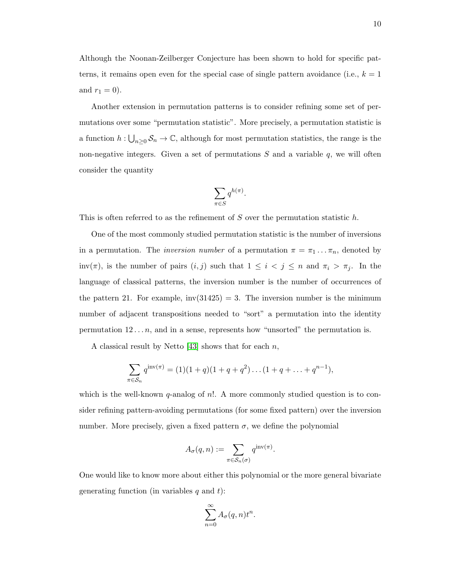Although the Noonan-Zeilberger Conjecture has been shown to hold for specific patterns, it remains open even for the special case of single pattern avoidance (i.e.,  $k = 1$ ) and  $r_1 = 0$ ).

Another extension in permutation patterns is to consider refining some set of permutations over some "permutation statistic". More precisely, a permutation statistic is a function  $h: \bigcup_{n\geq 0} S_n \to \mathbb{C}$ , although for most permutation statistics, the range is the non-negative integers. Given a set of permutations  $S$  and a variable  $q$ , we will often consider the quantity

$$
\sum_{\pi \in S} q^{h(\pi)}.
$$

This is often referred to as the refinement of  $S$  over the permutation statistic  $h$ .

One of the most commonly studied permutation statistic is the number of inversions in a permutation. The *inversion number* of a permutation  $\pi = \pi_1 \dots \pi_n$ , denoted by inv( $\pi$ ), is the number of pairs  $(i, j)$  such that  $1 \leq i \leq j \leq n$  and  $\pi_i > \pi_j$ . In the language of classical patterns, the inversion number is the number of occurrences of the pattern 21. For example,  $inv(31425) = 3$ . The inversion number is the minimum number of adjacent transpositions needed to "sort" a permutation into the identity permutation  $12 \ldots n$ , and in a sense, represents how "unsorted" the permutation is.

A classical result by Netto  $[43]$  shows that for each n,

$$
\sum_{\pi \in S_n} q^{\text{inv}(\pi)} = (1)(1+q)(1+q+q^2)\dots(1+q+\dots+q^{n-1}),
$$

which is the well-known  $q$ -analog of  $n!$ . A more commonly studied question is to consider refining pattern-avoiding permutations (for some fixed pattern) over the inversion number. More precisely, given a fixed pattern  $\sigma$ , we define the polynomial

$$
A_{\sigma}(q, n) := \sum_{\pi \in S_n(\sigma)} q^{\mathrm{inv}(\pi)}.
$$

One would like to know more about either this polynomial or the more general bivariate generating function (in variables  $q$  and  $t$ ):

$$
\sum_{n=0}^{\infty} A_{\sigma}(q, n) t^n.
$$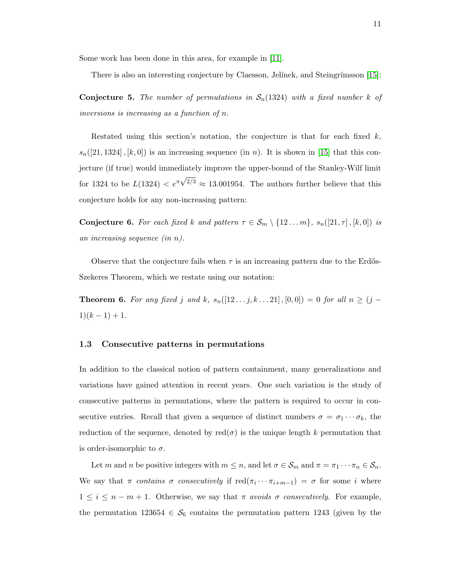Some work has been done in this area, for example in [\[11\]](#page-97-11).

There is also an interesting conjecture by Claesson, Jelínek, and Steingrímsson [\[15\]](#page-98-5):

**Conjecture 5.** The number of permutations in  $S_n(1324)$  with a fixed number k of inversions is increasing as a function of n.

Restated using this section's notation, the conjecture is that for each fixed  $k$ ,  $s_n([21, 1324], [k, 0])$  is an increasing sequence (in n). It is shown in [\[15\]](#page-98-5) that this conjecture (if true) would immediately improve the upper-bound of the Stanley-Wilf limit for 1324 to be  $L(1324) < e^{\pi}$ √  $^{2/3} \approx 13.001954$ . The authors further believe that this conjecture holds for any non-increasing pattern:

**Conjecture 6.** For each fixed k and pattern  $\tau \in S_m \setminus \{12...m\}$ ,  $s_n([21,\tau], [k,0])$  is an increasing sequence (in n).

Observe that the conjecture fails when  $\tau$  is an increasing pattern due to the Erdős-Szekeres Theorem, which we restate using our notation:

**Theorem 6.** For any fixed j and k,  $s_n([12 \dots j, k \dots 21], [0, 0]) = 0$  for all  $n \ge (j - 1)$  $1)(k-1)+1.$ 

### <span id="page-17-0"></span>1.3 Consecutive patterns in permutations

In addition to the classical notion of pattern containment, many generalizations and variations have gained attention in recent years. One such variation is the study of consecutive patterns in permutations, where the pattern is required to occur in consecutive entries. Recall that given a sequence of distinct numbers  $\sigma = \sigma_1 \cdots \sigma_k$ , the reduction of the sequence, denoted by red $(\sigma)$  is the unique length k permutation that is order-isomorphic to  $\sigma$ .

Let m and n be positive integers with  $m \leq n$ , and let  $\sigma \in \mathcal{S}_m$  and  $\pi = \pi_1 \cdots \pi_n \in \mathcal{S}_n$ . We say that  $\pi$  contains  $\sigma$  consecutively if  $\text{red}(\pi_i \cdots \pi_{i+m-1}) = \sigma$  for some i where  $1 \leq i \leq n-m+1$ . Otherwise, we say that  $\pi$  avoids  $\sigma$  consecutively. For example, the permutation 123654  $\in \mathcal{S}_6$  contains the permutation pattern 1243 (given by the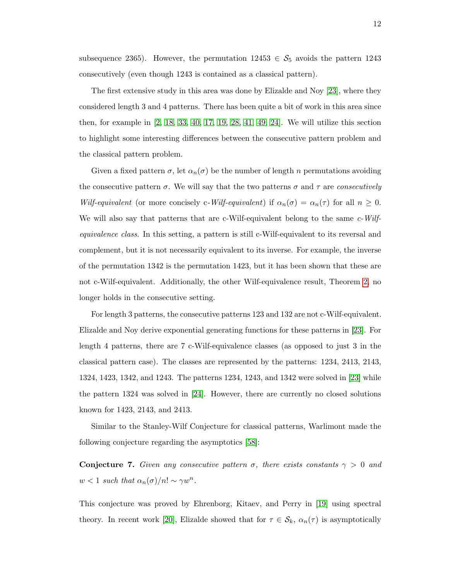subsequence 2365). However, the permutation  $12453 \in S_5$  avoids the pattern 1243 consecutively (even though 1243 is contained as a classical pattern).

The first extensive study in this area was done by Elizalde and Noy [\[23\]](#page-98-8), where they considered length 3 and 4 patterns. There has been quite a bit of work in this area since then, for example in [\[2,](#page-97-12) [18,](#page-98-9) [33,](#page-99-9) [40,](#page-99-10) [17,](#page-98-10) [19,](#page-98-11) [28,](#page-98-12) [41,](#page-99-11) [49,](#page-100-8) [24\]](#page-98-13). We will utilize this section to highlight some interesting differences between the consecutive pattern problem and the classical pattern problem.

Given a fixed pattern  $\sigma$ , let  $\alpha_n(\sigma)$  be the number of length n permutations avoiding the consecutive pattern  $\sigma$ . We will say that the two patterns  $\sigma$  and  $\tau$  are *consecutively* Wilf-equivalent (or more concisely c-Wilf-equivalent) if  $\alpha_n(\sigma) = \alpha_n(\tau)$  for all  $n \geq 0$ . We will also say that patterns that are c-Wilf-equivalent belong to the same c-Wilfequivalence class. In this setting, a pattern is still c-Wilf-equivalent to its reversal and complement, but it is not necessarily equivalent to its inverse. For example, the inverse of the permutation 1342 is the permutation 1423, but it has been shown that these are not c-Wilf-equivalent. Additionally, the other Wilf-equivalence result, Theorem [2,](#page-10-1) no longer holds in the consecutive setting.

For length 3 patterns, the consecutive patterns 123 and 132 are not c-Wilf-equivalent. Elizalde and Noy derive exponential generating functions for these patterns in [\[23\]](#page-98-8). For length 4 patterns, there are 7 c-Wilf-equivalence classes (as opposed to just 3 in the classical pattern case). The classes are represented by the patterns: 1234, 2413, 2143, 1324, 1423, 1342, and 1243. The patterns 1234, 1243, and 1342 were solved in [\[23\]](#page-98-8) while the pattern 1324 was solved in [\[24\]](#page-98-13). However, there are currently no closed solutions known for 1423, 2143, and 2413.

Similar to the Stanley-Wilf Conjecture for classical patterns, Warlimont made the following conjecture regarding the asymptotics [\[58\]](#page-100-9):

**Conjecture 7.** Given any consecutive pattern  $\sigma$ , there exists constants  $\gamma > 0$  and  $w < 1$  such that  $\alpha_n(\sigma)/n! \sim \gamma w^n$ .

This conjecture was proved by Ehrenborg, Kitaev, and Perry in [\[19\]](#page-98-11) using spectral theory. In recent work [\[20\]](#page-98-14), Elizalde showed that for  $\tau \in \mathcal{S}_k$ ,  $\alpha_n(\tau)$  is asymptotically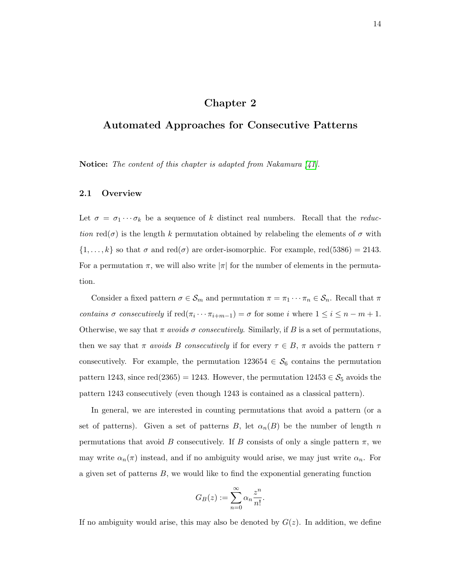# Chapter 2

# <span id="page-20-0"></span>Automated Approaches for Consecutive Patterns

Notice: The content of this chapter is adapted from Nakamura  $\vert 41 \vert$ .

# <span id="page-20-1"></span>2.1 Overview

Let  $\sigma = \sigma_1 \cdots \sigma_k$  be a sequence of k distinct real numbers. Recall that the *reduc*tion red( $\sigma$ ) is the length k permutation obtained by relabeling the elements of  $\sigma$  with  $\{1,\ldots,k\}$  so that  $\sigma$  and red $(\sigma)$  are order-isomorphic. For example, red(5386) = 2143. For a permutation  $\pi$ , we will also write  $|\pi|$  for the number of elements in the permutation.

Consider a fixed pattern  $\sigma \in \mathcal{S}_m$  and permutation  $\pi = \pi_1 \cdots \pi_n \in \mathcal{S}_n$ . Recall that  $\pi$ contains  $\sigma$  consecutively if  $\text{red}(\pi_i \cdots \pi_{i+m-1}) = \sigma$  for some i where  $1 \leq i \leq n-m+1$ . Otherwise, we say that  $\pi$  avoids  $\sigma$  consecutively. Similarly, if B is a set of permutations, then we say that  $\pi$  avoids B consecutively if for every  $\tau \in B$ ,  $\pi$  avoids the pattern  $\tau$ consecutively. For example, the permutation  $123654 \in \mathcal{S}_6$  contains the permutation pattern 1243, since red(2365) = 1243. However, the permutation  $12453 \in \mathcal{S}_5$  avoids the pattern 1243 consecutively (even though 1243 is contained as a classical pattern).

In general, we are interested in counting permutations that avoid a pattern (or a set of patterns). Given a set of patterns B, let  $\alpha_n(B)$  be the number of length n permutations that avoid B consecutively. If B consists of only a single pattern  $\pi$ , we may write  $\alpha_n(\pi)$  instead, and if no ambiguity would arise, we may just write  $\alpha_n$ . For a given set of patterns  $B$ , we would like to find the exponential generating function

$$
G_B(z) := \sum_{n=0}^{\infty} \alpha_n \frac{z^n}{n!}.
$$

If no ambiguity would arise, this may also be denoted by  $G(z)$ . In addition, we define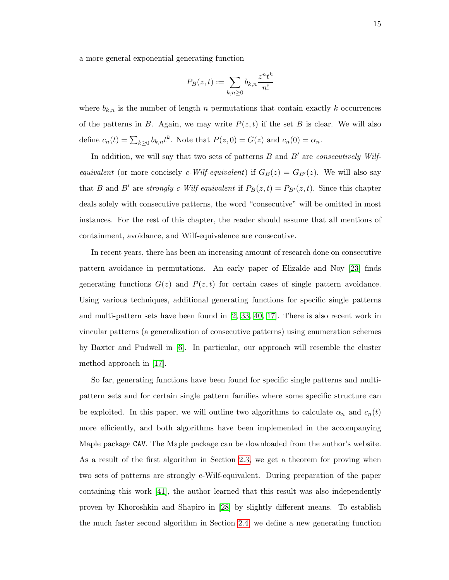a more general exponential generating function

$$
P_B(z,t):=\sum_{k,n\geq 0}b_{k,n}\frac{z^nt^k}{n!}
$$

where  $b_{k,n}$  is the number of length n permutations that contain exactly k occurrences of the patterns in B. Again, we may write  $P(z, t)$  if the set B is clear. We will also define  $c_n(t) = \sum_{k\geq 0} b_{k,n} t^k$ . Note that  $P(z, 0) = G(z)$  and  $c_n(0) = \alpha_n$ .

In addition, we will say that two sets of patterns  $B$  and  $B'$  are consecutively Wilfequivalent (or more concisely c-Wilf-equivalent) if  $G_B(z) = G_{B'}(z)$ . We will also say that B and B' are strongly c-Wilf-equivalent if  $P_B(z, t) = P_{B'}(z, t)$ . Since this chapter deals solely with consecutive patterns, the word "consecutive" will be omitted in most instances. For the rest of this chapter, the reader should assume that all mentions of containment, avoidance, and Wilf-equivalence are consecutive.

In recent years, there has been an increasing amount of research done on consecutive pattern avoidance in permutations. An early paper of Elizalde and Noy [\[23\]](#page-98-8) finds generating functions  $G(z)$  and  $P(z, t)$  for certain cases of single pattern avoidance. Using various techniques, additional generating functions for specific single patterns and multi-pattern sets have been found in [\[2,](#page-97-12) [33,](#page-99-9) [40,](#page-99-10) [17\]](#page-98-10). There is also recent work in vincular patterns (a generalization of consecutive patterns) using enumeration schemes by Baxter and Pudwell in [\[6\]](#page-97-13). In particular, our approach will resemble the cluster method approach in [\[17\]](#page-98-10).

So far, generating functions have been found for specific single patterns and multipattern sets and for certain single pattern families where some specific structure can be exploited. In this paper, we will outline two algorithms to calculate  $\alpha_n$  and  $c_n(t)$ more efficiently, and both algorithms have been implemented in the accompanying Maple package CAV. The Maple package can be downloaded from the author's website. As a result of the first algorithm in Section [2.3,](#page-23-0) we get a theorem for proving when two sets of patterns are strongly c-Wilf-equivalent. During preparation of the paper containing this work [\[41\]](#page-99-11), the author learned that this result was also independently proven by Khoroshkin and Shapiro in [\[28\]](#page-98-12) by slightly different means. To establish the much faster second algorithm in Section [2.4,](#page-30-0) we define a new generating function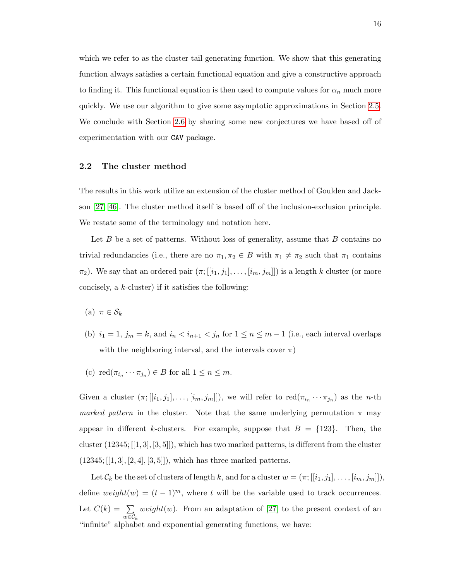which we refer to as the cluster tail generating function. We show that this generating function always satisfies a certain functional equation and give a constructive approach to finding it. This functional equation is then used to compute values for  $\alpha_n$  much more quickly. We use our algorithm to give some asymptotic approximations in Section [2.5.](#page-36-0) We conclude with Section [2.6](#page-37-0) by sharing some new conjectures we have based off of experimentation with our CAV package.

## <span id="page-22-0"></span>2.2 The cluster method

The results in this work utilize an extension of the cluster method of Goulden and Jackson [\[27,](#page-98-15) [46\]](#page-99-13). The cluster method itself is based off of the inclusion-exclusion principle. We restate some of the terminology and notation here.

Let  $B$  be a set of patterns. Without loss of generality, assume that  $B$  contains no trivial redundancies (i.e., there are no  $\pi_1, \pi_2 \in B$  with  $\pi_1 \neq \pi_2$  such that  $\pi_1$  contains  $\pi_2$ ). We say that an ordered pair  $(\pi; [[i_1, j_1], \ldots, [i_m, j_m]])$  is a length k cluster (or more concisely, a  $k$ -cluster) if it satisfies the following:

- (a)  $\pi \in \mathcal{S}_k$
- (b)  $i_1 = 1$ ,  $j_m = k$ , and  $i_n < i_{n+1} < j_n$  for  $1 \le n \le m-1$  (i.e., each interval overlaps with the neighboring interval, and the intervals cover  $\pi$ )
- (c)  $\text{red}(\pi_{i_n} \cdots \pi_{j_n}) \in B$  for all  $1 \leq n \leq m$ .

Given a cluster  $(\pi;[[i_1,j_1],\ldots,[i_m,j_m]])$ , we will refer to  $\text{red}(\pi_{i_n}\cdots\pi_{j_n})$  as the *n*-th marked pattern in the cluster. Note that the same underlying permutation  $\pi$  may appear in different k-clusters. For example, suppose that  $B = \{123\}$ . Then, the cluster (12345; [[1, 3], [3, 5]]), which has two marked patterns, is different from the cluster  $(12345; [[1,3], [2,4], [3,5]])$ , which has three marked patterns.

Let  $\mathcal{C}_k$  be the set of clusters of length k, and for a cluster  $w = (\pi; [[i_1, j_1], \ldots, [i_m, j_m]])$ , define  $weight(w) = (t-1)^m$ , where t will be the variable used to track occurrences. Let  $C(k) = \sum$  $w \in \mathcal{C}_k$ *weight*(*w*). From an adaptation of [\[27\]](#page-98-15) to the present context of an "infinite" alphabet and exponential generating functions, we have: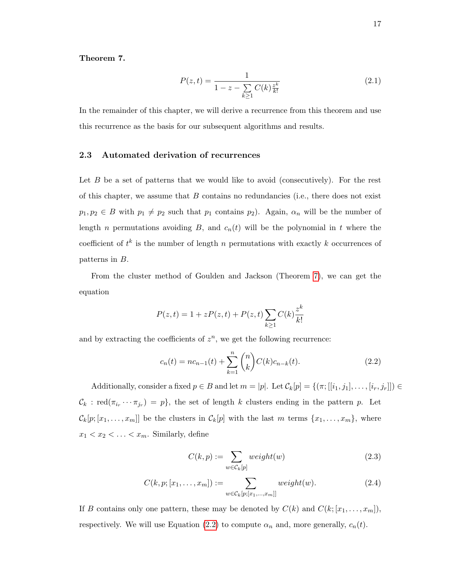## <span id="page-23-1"></span>Theorem 7.

$$
P(z,t) = \frac{1}{1 - z - \sum_{k \ge 1} C(k) \frac{z^k}{k!}}
$$
\n(2.1)

In the remainder of this chapter, we will derive a recurrence from this theorem and use this recurrence as the basis for our subsequent algorithms and results.

## <span id="page-23-0"></span>2.3 Automated derivation of recurrences

Let  $B$  be a set of patterns that we would like to avoid (consecutively). For the rest of this chapter, we assume that  $B$  contains no redundancies (i.e., there does not exist  $p_1, p_2 \in B$  with  $p_1 \neq p_2$  such that  $p_1$  contains  $p_2$ ). Again,  $\alpha_n$  will be the number of length n permutations avoiding  $B$ , and  $c_n(t)$  will be the polynomial in t where the coefficient of  $t^k$  is the number of length n permutations with exactly k occurrences of patterns in B.

From the cluster method of Goulden and Jackson (Theorem [7\)](#page-23-1), we can get the equation

$$
P(z,t) = 1 + zP(z,t) + P(z,t) \sum_{k \ge 1} C(k) \frac{z^k}{k!}
$$

and by extracting the coefficients of  $z^n$ , we get the following recurrence:

$$
c_n(t) = nc_{n-1}(t) + \sum_{k=1}^{n} {n \choose k} C(k)c_{n-k}(t).
$$
 (2.2)

Additionally, consider a fixed  $p \in B$  and let  $m = |p|$ . Let  $\mathcal{C}_k[p] = \{(\pi; [[i_1, j_1], \ldots, [i_r, j_r]]) \in$  $\mathcal{C}_k$ : red $(\pi_{i_r} \cdots \pi_{j_r}) = p$ , the set of length k clusters ending in the pattern p. Let  $\mathcal{C}_k[p; [x_1, \ldots, x_m]]$  be the clusters in  $\mathcal{C}_k[p]$  with the last m terms  $\{x_1, \ldots, x_m\}$ , where  $x_1 < x_2 < \ldots < x_m$ . Similarly, define

<span id="page-23-2"></span>
$$
C(k, p) := \sum_{w \in \mathcal{C}_k[p]} weight(w)
$$
\n(2.3)

$$
C(k, p; [x_1, \dots, x_m]) := \sum_{w \in \mathcal{C}_k[p; [x_1, \dots, x_m]]} weight(w).
$$
 (2.4)

If B contains only one pattern, these may be denoted by  $C(k)$  and  $C(k; [x_1, \ldots, x_m])$ , respectively. We will use Equation [\(2.2\)](#page-23-2) to compute  $\alpha_n$  and, more generally,  $c_n(t)$ .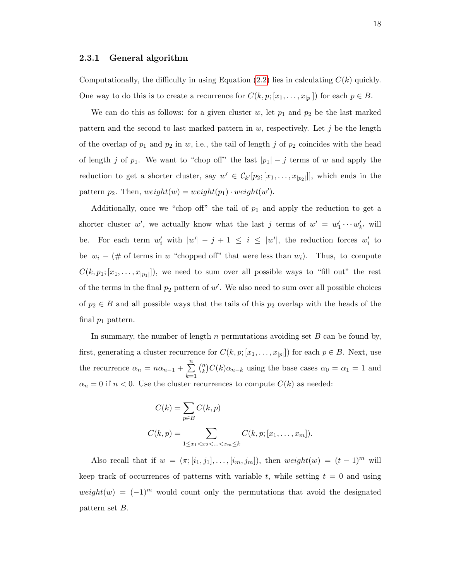### <span id="page-24-0"></span>2.3.1 General algorithm

Computationally, the difficulty in using Equation  $(2.2)$  lies in calculating  $C(k)$  quickly. One way to do this is to create a recurrence for  $C(k, p; [x_1, \ldots, x_{|p|}])$  for each  $p \in B$ .

We can do this as follows: for a given cluster  $w$ , let  $p_1$  and  $p_2$  be the last marked pattern and the second to last marked pattern in  $w$ , respectively. Let  $j$  be the length of the overlap of  $p_1$  and  $p_2$  in w, i.e., the tail of length j of  $p_2$  coincides with the head of length j of  $p_1$ . We want to "chop off" the last  $|p_1| - j$  terms of w and apply the reduction to get a shorter cluster, say  $w' \in \mathcal{C}_{k'}[p_2; [x_1, \ldots, x_{|p_2|}]]$ , which ends in the pattern  $p_2$ . Then,  $weight(w) = weight(p_1) \cdot weight(w')$ .

Additionally, once we "chop off" the tail of  $p_1$  and apply the reduction to get a shorter cluster w', we actually know what the last j terms of  $w' = w'_1 \cdots w'_{k'}$  will be. For each term  $w'_i$  with  $|w'| - j + 1 \le i \le |w'|$ , the reduction forces  $w'_i$  to be  $w_i - (\# \text{ of terms in } w \text{ "choppel off" that were less than } w_i)$ . Thus, to compute  $C(k, p_1; [x_1, \ldots, x_{|p_1|}],$  we need to sum over all possible ways to "fill out" the rest of the terms in the final  $p_2$  pattern of  $w'$ . We also need to sum over all possible choices of  $p_2 \in B$  and all possible ways that the tails of this  $p_2$  overlap with the heads of the final  $p_1$  pattern.

In summary, the number of length  $n$  permutations avoiding set  $B$  can be found by, first, generating a cluster recurrence for  $C(k, p; [x_1, \ldots, x_{|p|}])$  for each  $p \in B$ . Next, use the recurrence  $\alpha_n = n\alpha_{n-1} + \sum_{n=1}^n$  $k=1$  $\binom{n}{k}$  $\binom{n}{k} C(k) \alpha_{n-k}$  using the base cases  $\alpha_0 = \alpha_1 = 1$  and  $\alpha_n = 0$  if  $n < 0$ . Use the cluster recurrences to compute  $C(k)$  as needed:

$$
C(k) = \sum_{p \in B} C(k, p)
$$
  

$$
C(k, p) = \sum_{1 \le x_1 < x_2 < \dots < x_m \le k} C(k, p; [x_1, \dots, x_m]).
$$

Also recall that if  $w = (\pi; [i_1, j_1], \ldots, [i_m, j_m])$ , then  $weight(w) = (t-1)^m$  will keep track of occurrences of patterns with variable t, while setting  $t = 0$  and using  $weight(w) = (-1)^m$  would count only the permutations that avoid the designated pattern set B.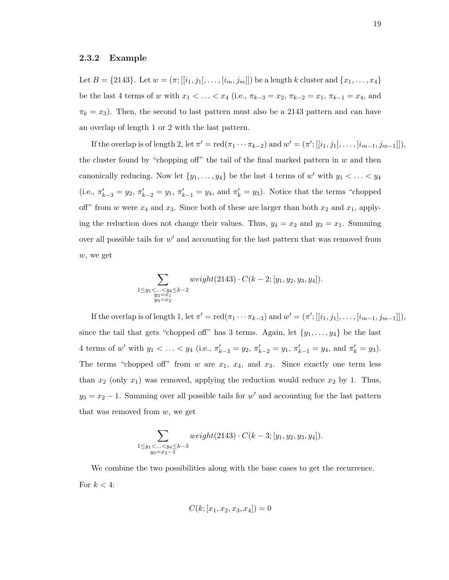#### <span id="page-25-0"></span>2.3.2 Example

Let  $B = \{2143\}$ . Let  $w = (\pi; [[i_1, j_1], \ldots, [i_m, j_m]])$  be a length k cluster and  $\{x_1, \ldots, x_4\}$ be the last 4 terms of w with  $x_1 < \ldots < x_4$  (i.e.,  $\pi_{k-3} = x_2$ ,  $\pi_{k-2} = x_1$ ,  $\pi_{k-1} = x_4$ , and  $\pi_k = x_3$ ). Then, the second to last pattern must also be a 2143 pattern and can have an overlap of length 1 or 2 with the last pattern.

If the overlap is of length 2, let  $\pi' = \text{red}(\pi_1 \cdots \pi_{k-2})$  and  $w' = (\pi'; [[i_1, j_1], \ldots, [i_{m-1}, j_{m-1}]]),$ the cluster found by "chopping off" the tail of the final marked pattern in  $w$  and then canonically reducing. Now let  $\{y_1, \ldots, y_4\}$  be the last 4 terms of w' with  $y_1 < \ldots < y_4$ (i.e.,  $\pi'_{k-3} = y_2$ ,  $\pi'_{k-2} = y_1$ ,  $\pi'_{k-1} = y_4$ , and  $\pi'_{k} = y_3$ ). Notice that the terms "chopped" off" from w were  $x_4$  and  $x_3$ . Since both of these are larger than both  $x_2$  and  $x_1$ , applying the reduction does not change their values. Thus,  $y_4 = x_2$  and  $y_3 = x_1$ . Summing over all possible tails for  $w'$  and accounting for the last pattern that was removed from w, we get

$$
\sum_{\substack{1 \le y_1 < \ldots < y_4 \le k-2 \\ y_3 = x_1 \\ y_4 = x_2}} weight(2143) \cdot C(k-2; [y_1, y_2, y_3, y_4]).
$$

If the overlap is of length 1, let  $\pi' = \text{red}(\pi_1 \cdots \pi_{k-3})$  and  $w' = (\pi'; [[i_1, j_1], \ldots, [i_{m-1}, j_{m-1}]]),$ since the tail that gets "chopped off" has 3 terms. Again, let  $\{y_1, \ldots, y_4\}$  be the last 4 terms of w' with  $y_1 < \ldots < y_4$  (i.e.,  $\pi'_{k-3} = y_2$ ,  $\pi'_{k-2} = y_1$ ,  $\pi'_{k-1} = y_4$ , and  $\pi'_{k} = y_3$ ). The terms "chopped off" from w are  $x_1$ ,  $x_4$ , and  $x_3$ . Since exactly one term less than  $x_2$  (only  $x_1$ ) was removed, applying the reduction would reduce  $x_2$  by 1. Thus,  $y_3 = x_2 - 1$ . Summing over all possible tails for w' and accounting for the last pattern that was removed from  $w$ , we get

$$
\sum_{\substack{1 \le y_1 < \ldots < y_4 \le k-3 \\ y_3 = x_2 - 1}} weight(2143) \cdot C(k-3; [y_1, y_2, y_3, y_4]).
$$

We combine the two possibilities along with the base cases to get the recurrence. For  $k < 4$ :

$$
C(k;[x_1,x_2,x_3,x_4])=0
$$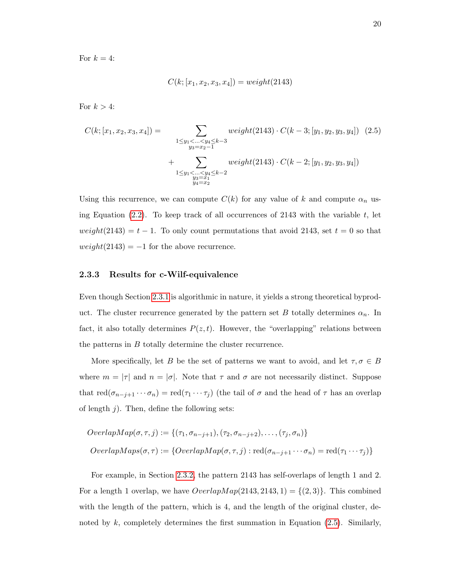For  $k = 4$ :

<span id="page-26-1"></span>
$$
C(k; [x_1, x_2, x_3, x_4]) = weight(2143)
$$

For  $k > 4$ :

$$
C(k; [x_1, x_2, x_3, x_4]) = \sum_{\substack{1 \le y_1 < \dots < y_4 \le k-3 \\ y_3 = x_2 - 1}} \text{weight}(2143) \cdot C(k-3; [y_1, y_2, y_3, y_4]) \tag{2.5}
$$
\n
$$
+ \sum_{\substack{1 \le y_1 < \dots < y_4 \le k-2 \\ y_3 = x_1 \\ y_4 = x_2}} \text{weight}(2143) \cdot C(k-2; [y_1, y_2, y_3, y_4])
$$

Using this recurrence, we can compute  $C(k)$  for any value of k and compute  $\alpha_n$  using Equation  $(2.2)$ . To keep track of all occurrences of 2143 with the variable t, let  $weight(2143) = t - 1$ . To only count permutations that avoid 2143, set  $t = 0$  so that  $weight(2143) = -1$  for the above recurrence.

## <span id="page-26-0"></span>2.3.3 Results for c-Wilf-equivalence

Even though Section [2.3.1](#page-24-0) is algorithmic in nature, it yields a strong theoretical byproduct. The cluster recurrence generated by the pattern set B totally determines  $\alpha_n$ . In fact, it also totally determines  $P(z, t)$ . However, the "overlapping" relations between the patterns in B totally determine the cluster recurrence.

More specifically, let B be the set of patterns we want to avoid, and let  $\tau, \sigma \in B$ where  $m = |\tau|$  and  $n = |\sigma|$ . Note that  $\tau$  and  $\sigma$  are not necessarily distinct. Suppose that  $\text{red}(\sigma_{n-j+1}\cdots\sigma_n)=\text{red}(\tau_1\cdots\tau_j)$  (the tail of  $\sigma$  and the head of  $\tau$  has an overlap of length  $j$ ). Then, define the following sets:

$$
OverlapMap(\sigma, \tau, j) := \{(\tau_1, \sigma_{n-j+1}), (\tau_2, \sigma_{n-j+2}), \dots, (\tau_j, \sigma_n)\}
$$
  

$$
OverlapMaps(\sigma, \tau) := \{OverlapMap(\sigma, \tau, j) : \text{red}(\sigma_{n-j+1} \cdots \sigma_n) = \text{red}(\tau_1 \cdots \tau_j)\}
$$

For example, in Section [2.3.2,](#page-25-0) the pattern 2143 has self-overlaps of length 1 and 2. For a length 1 overlap, we have  $\text{OverlapMap}(2143, 2143, 1) = \{(2, 3)\}\$ . This combined with the length of the pattern, which is 4, and the length of the original cluster, denoted by  $k$ , completely determines the first summation in Equation [\(2.5\)](#page-26-1). Similarly,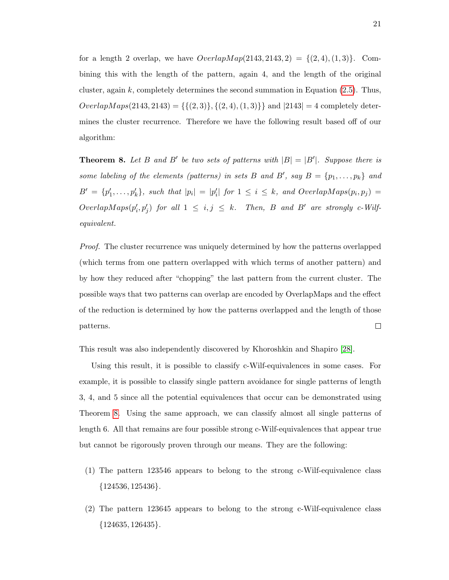for a length 2 overlap, we have  $\text{OverlapMap}(2143, 2143, 2) = \{(2, 4), (1, 3)\}.$  Combining this with the length of the pattern, again 4, and the length of the original cluster, again k, completely determines the second summation in Equation  $(2.5)$ . Thus,  $OverlapMaps(2143, 2143) = \{\{(2, 3)\}, \{(2, 4), (1, 3)\}\}\$ and  $|2143| = 4$  completely determines the cluster recurrence. Therefore we have the following result based off of our algorithm:

<span id="page-27-0"></span>**Theorem 8.** Let B and B' be two sets of patterns with  $|B| = |B'|$ . Suppose there is some labeling of the elements (patterns) in sets B and B', say  $B = \{p_1, \ldots, p_k\}$  and  $B' = \{p'_1, \ldots, p'_k\}$ , such that  $|p_i| = |p'_i|$  for  $1 \leq i \leq k$ , and OverlapMaps $(p_i, p_j)$  $OverlapMaps(p'_i, p'_j)$  for all  $1 \leq i, j \leq k$ . Then, B and B' are strongly c-Wilfequivalent.

Proof. The cluster recurrence was uniquely determined by how the patterns overlapped (which terms from one pattern overlapped with which terms of another pattern) and by how they reduced after "chopping" the last pattern from the current cluster. The possible ways that two patterns can overlap are encoded by OverlapMaps and the effect of the reduction is determined by how the patterns overlapped and the length of those  $\Box$ patterns.

This result was also independently discovered by Khoroshkin and Shapiro [\[28\]](#page-98-12).

Using this result, it is possible to classify c-Wilf-equivalences in some cases. For example, it is possible to classify single pattern avoidance for single patterns of length 3, 4, and 5 since all the potential equivalences that occur can be demonstrated using Theorem [8.](#page-27-0) Using the same approach, we can classify almost all single patterns of length 6. All that remains are four possible strong c-Wilf-equivalences that appear true but cannot be rigorously proven through our means. They are the following:

- (1) The pattern 123546 appears to belong to the strong c-Wilf-equivalence class  ${124536, 125436}.$
- (2) The pattern 123645 appears to belong to the strong c-Wilf-equivalence class  ${124635, 126435}.$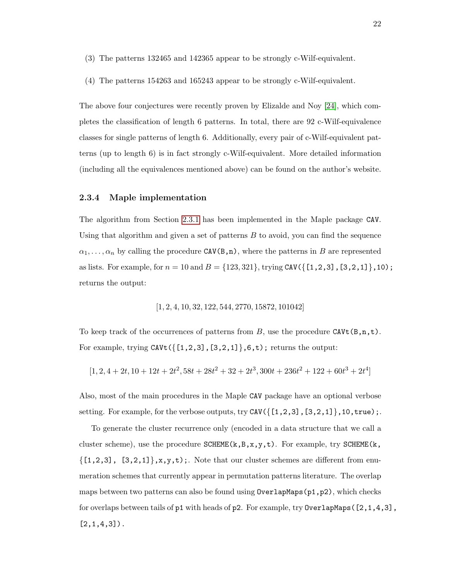- (3) The patterns 132465 and 142365 appear to be strongly c-Wilf-equivalent.
- (4) The patterns 154263 and 165243 appear to be strongly c-Wilf-equivalent.

The above four conjectures were recently proven by Elizalde and Noy [\[24\]](#page-98-13), which completes the classification of length 6 patterns. In total, there are 92 c-Wilf-equivalence classes for single patterns of length 6. Additionally, every pair of c-Wilf-equivalent patterns (up to length 6) is in fact strongly c-Wilf-equivalent. More detailed information (including all the equivalences mentioned above) can be found on the author's website.

### <span id="page-28-0"></span>2.3.4 Maple implementation

The algorithm from Section [2.3.1](#page-24-0) has been implemented in the Maple package CAV. Using that algorithm and given a set of patterns  $B$  to avoid, you can find the sequence  $\alpha_1, \ldots, \alpha_n$  by calling the procedure CAV(B,n), where the patterns in B are represented as lists. For example, for  $n = 10$  and  $B = \{123, 321\}$ , trying CAV( $\{[1, 2, 3], [3, 2, 1]\}$ , 10); returns the output:

[1, 2, 4, 10, 32, 122, 544, 2770, 15872, 101042]

To keep track of the occurrences of patterns from B, use the procedure CAVt $(B, n, t)$ . For example, trying  $CAVt$  ( $\{[1,2,3], [3,2,1]\}, 6, t$ ); returns the output:

$$
[1, 2, 4 + 2t, 10 + 12t + 2t^2, 58t + 28t^2 + 32 + 2t^3, 300t + 236t^2 + 122 + 60t^3 + 2t^4]
$$

Also, most of the main procedures in the Maple CAV package have an optional verbose setting. For example, for the verbose outputs, try  $CAV({[1,2,3], [3,2,1]},10,$ true);.

To generate the cluster recurrence only (encoded in a data structure that we call a cluster scheme), use the procedure  $SCHEME(k, B, x, y, t)$ . For example, try  $SCHEME(k, B, x, y, t)$ .  $\{[1,2,3], [3,2,1]\}, x,y,t)$ ;. Note that our cluster schemes are different from enumeration schemes that currently appear in permutation patterns literature. The overlap maps between two patterns can also be found using  $0$ verlapMaps( $p1, p2$ ), which checks for overlaps between tails of  $p1$  with heads of  $p2$ . For example, try 0verlapMaps( $[2,1,4,3]$ ,  $[2,1,4,3]$ .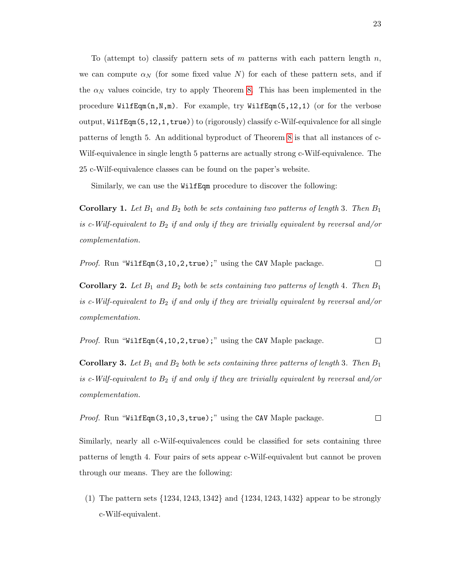To (attempt to) classify pattern sets of m patterns with each pattern length  $n$ , we can compute  $\alpha_N$  (for some fixed value N) for each of these pattern sets, and if the  $\alpha_N$  values coincide, try to apply Theorem [8.](#page-27-0) This has been implemented in the procedure  $WilfEqm(n,N,m)$ . For example, try  $WillfEqm(5,12,1)$  (or for the verbose output, WilfEqm(5,12,1,true)) to (rigorously) classify c-Wilf-equivalence for all single patterns of length 5. An additional byproduct of Theorem [8](#page-27-0) is that all instances of c-Wilf-equivalence in single length 5 patterns are actually strong c-Wilf-equivalence. The 25 c-Wilf-equivalence classes can be found on the paper's website.

Similarly, we can use the WilfEqm procedure to discover the following:

**Corollary 1.** Let  $B_1$  and  $B_2$  both be sets containing two patterns of length 3. Then  $B_1$ is c-Wilf-equivalent to  $B_2$  if and only if they are trivially equivalent by reversal and/or complementation.

Proof. Run "WilfEqm(3,10,2,true);" using the CAV Maple package.  $\Box$ 

**Corollary 2.** Let  $B_1$  and  $B_2$  both be sets containing two patterns of length 4. Then  $B_1$ is c-Wilf-equivalent to  $B_2$  if and only if they are trivially equivalent by reversal and/or complementation.

*Proof.* Run "WilfEqm(4, 10, 2, true);" using the CAV Maple package. 
$$
\Box
$$

**Corollary 3.** Let  $B_1$  and  $B_2$  both be sets containing three patterns of length 3. Then  $B_1$ is c-Wilf-equivalent to  $B_2$  if and only if they are trivially equivalent by reversal and/or complementation.

*Proof.* Run "WilfEqm(3, 10, 3, true);" using the CAV Maple package. 
$$
\Box
$$

Similarly, nearly all c-Wilf-equivalences could be classified for sets containing three patterns of length 4. Four pairs of sets appear c-Wilf-equivalent but cannot be proven through our means. They are the following:

(1) The pattern sets {1234, 1243, 1342} and {1234, 1243, 1432} appear to be strongly c-Wilf-equivalent.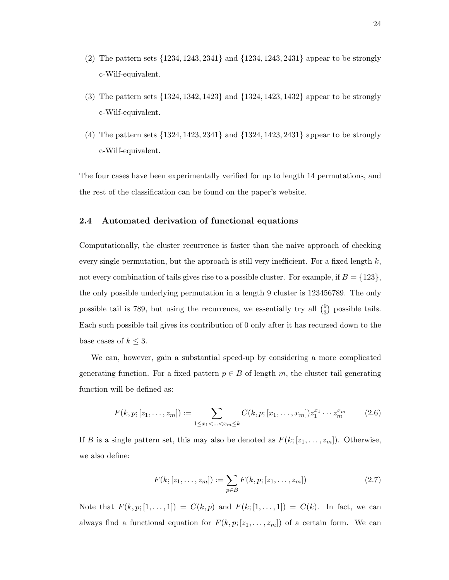- (2) The pattern sets {1234, 1243, 2341} and {1234, 1243, 2431} appear to be strongly c-Wilf-equivalent.
- (3) The pattern sets {1324, 1342, 1423} and {1324, 1423, 1432} appear to be strongly c-Wilf-equivalent.
- (4) The pattern sets {1324, 1423, 2341} and {1324, 1423, 2431} appear to be strongly c-Wilf-equivalent.

The four cases have been experimentally verified for up to length 14 permutations, and the rest of the classification can be found on the paper's website.

## <span id="page-30-0"></span>2.4 Automated derivation of functional equations

Computationally, the cluster recurrence is faster than the naive approach of checking every single permutation, but the approach is still very inefficient. For a fixed length  $k$ , not every combination of tails gives rise to a possible cluster. For example, if  $B = \{123\}$ , the only possible underlying permutation in a length 9 cluster is 123456789. The only possible tail is 789, but using the recurrence, we essentially try all  $\binom{9}{3}$ 3 possible tails. Each such possible tail gives its contribution of 0 only after it has recursed down to the base cases of  $k \leq 3$ .

We can, however, gain a substantial speed-up by considering a more complicated generating function. For a fixed pattern  $p \in B$  of length m, the cluster tail generating function will be defined as:

$$
F(k, p; [z_1, \ldots, z_m]) := \sum_{1 \le x_1 < \ldots < x_m \le k} C(k, p; [x_1, \ldots, x_m]) z_1^{x_1} \cdots z_m^{x_m} \tag{2.6}
$$

If B is a single pattern set, this may also be denoted as  $F(k; [z_1, \ldots, z_m])$ . Otherwise, we also define:

<span id="page-30-1"></span>
$$
F(k; [z_1, \dots, z_m]) := \sum_{p \in B} F(k, p; [z_1, \dots, z_m])
$$
\n(2.7)

Note that  $F(k, p; [1, \ldots, 1]) = C(k, p)$  and  $F(k; [1, \ldots, 1]) = C(k)$ . In fact, we can always find a functional equation for  $F(k, p; [z_1, \ldots, z_m])$  of a certain form. We can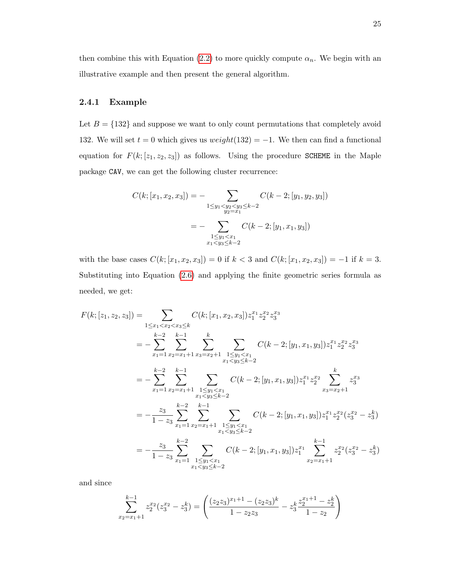then combine this with Equation [\(2.2\)](#page-23-2) to more quickly compute  $\alpha_n$ . We begin with an illustrative example and then present the general algorithm.

# <span id="page-31-0"></span>2.4.1 Example

Let  $B = \{132\}$  and suppose we want to only count permutations that completely avoid 132. We will set  $t = 0$  which gives us  $weight(132) = -1$ . We then can find a functional equation for  $F(k; [z_1, z_2, z_3])$  as follows. Using the procedure SCHEME in the Maple package CAV, we can get the following cluster recurrence:

$$
C(k; [x_1, x_2, x_3]) = - \sum_{\substack{1 \le y_1 < y_2 < y_3 \le k-2 \\ y_2 = x_1}} C(k-2; [y_1, y_2, y_3])
$$
\n
$$
= - \sum_{\substack{1 \le y_1 < x_1 \\ x_1 < y_3 \le k-2}} C(k-2; [y_1, x_1, y_3])
$$

with the base cases  $C(k; [x_1, x_2, x_3]) = 0$  if  $k < 3$  and  $C(k; [x_1, x_2, x_3]) = -1$  if  $k = 3$ . Substituting into Equation [\(2.6\)](#page-30-1) and applying the finite geometric series formula as needed, we get:

$$
F(k; [z_1, z_2, z_3]) = \sum_{1 \le x_1 < x_2 < x_3 \le k} C(k; [x_1, x_2, x_3]) z_1^{x_1} z_2^{x_2} z_3^{x_3}
$$
\n
$$
= -\sum_{x_1=1}^{k-2} \sum_{x_2=x_1+1}^{k-1} \sum_{x_3=x_2+1}^{k} \sum_{\substack{1 \le y_1 < x_1 \\ x_1 < y_3 \le k-2}} C(k-2; [y_1, x_1, y_3]) z_1^{x_1} z_2^{x_2} z_3^{x_3}
$$
\n
$$
= -\sum_{x_1=1}^{k-2} \sum_{x_2=x_1+1}^{k-1} \sum_{\substack{1 \le y_1 < x_1 \\ x_1 < y_3 \le k-2}} C(k-2; [y_1, x_1, y_3]) z_1^{x_1} z_2^{x_2} \sum_{x_3=x_2+1}^{k} z_3^{x_3}
$$
\n
$$
= -\frac{z_3}{1-z_3} \sum_{x_1=1}^{k-2} \sum_{x_2=x_1+1}^{k-1} \sum_{\substack{1 \le y_1 < x_1 \\ x_1 < y_3 \le k-2}} C(k-2; [y_1, x_1, y_3]) z_1^{x_1} z_2^{x_2} (z_3^{x_2} - z_3^k)
$$
\n
$$
= -\frac{z_3}{1-z_3} \sum_{x_1=1}^{k-2} \sum_{\substack{1 \le y_1 < x_1 \\ x_1 < y_3 \le k-2}} C(k-2; [y_1, x_1, y_3]) z_1^{x_1} \sum_{x_2=x_1+1}^{k-1} z_2^{x_2} (z_3^{x_2} - z_3^k)
$$

and since

$$
\sum_{x_2=x_1+1}^{k-1} z_2^{x_2} (z_3^{x_2} - z_3^k) = \left( \frac{(z_2 z_3)^{x_1+1} - (z_2 z_3)^k}{1 - z_2 z_3} - z_3^k \frac{z_2^{x_1+1} - z_2^k}{1 - z_2} \right)
$$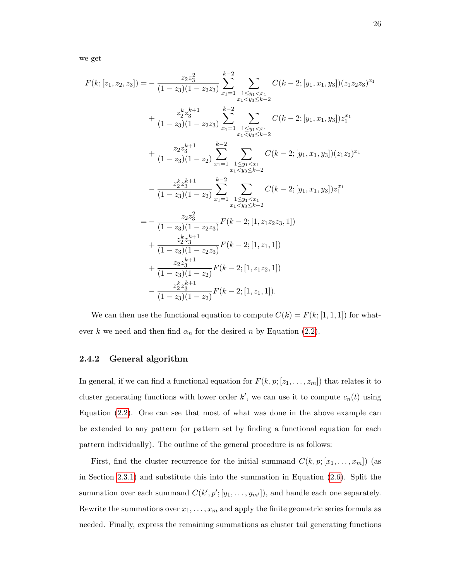we get

$$
F(k; [z_1, z_2, z_3]) = -\frac{z_2 z_3^2}{(1 - z_3)(1 - z_2 z_3)} \sum_{x_1=1}^{k-2} \sum_{\substack{1 \le y_1 < x_1 \\ x_1 < y_3 \le k-2}} C(k-2; [y_1, x_1, y_3])(z_1 z_2 z_3)^{x_1} + \frac{z_2^k z_3^{k+1}}{(1 - z_3)(1 - z_2 z_3)} \sum_{x_1=1}^{k-2} \sum_{\substack{1 \le y_1 < x_1 \\ x_1 < y_3 \le k-2}} C(k-2; [y_1, x_1, y_3]) z_1^{x_1} + \frac{z_2 z_3^{k+1}}{(1 - z_3)(1 - z_2)} \sum_{x_1=1}^{k-2} \sum_{\substack{1 \le y_1 < x_1 \\ x_1 < y_3 \le k-2}} C(k-2; [y_1, x_1, y_3])(z_1 z_2)^{x_1} - \frac{z_2^k z_3^{k+1}}{(1 - z_3)(1 - z_2)} \sum_{x_1=1}^{k-2} \sum_{\substack{1 \le y_1 < x_1 \\ x_1 < y_3 \le k-2}} C(k-2; [y_1, x_1, y_3]) z_1^{x_1} = -\frac{z_2 z_3^2}{(1 - z_3)(1 - z_2 z_3)} F(k-2; [1, z_1 z_2 z_3, 1]) + \frac{z_2^k z_3^{k+1}}{(1 - z_3)(1 - z_2 z_3)} F(k-2; [1, z_1, 1]) + \frac{z_2 z_3^{k+1}}{(1 - z_3)(1 - z_2)} F(k-2; [1, z_1, 1]). - \frac{z_2^k z_3^{k+1}}{(1 - z_3)(1 - z_2)} F(k-2; [1, z_1, 1]).
$$

We can then use the functional equation to compute  $C(k) = F(k; [1, 1, 1])$  for whatever k we need and then find  $\alpha_n$  for the desired n by Equation [\(2.2\)](#page-23-2).

### <span id="page-32-0"></span>2.4.2 General algorithm

In general, if we can find a functional equation for  $F(k, p; [z_1, \ldots, z_m])$  that relates it to cluster generating functions with lower order  $k'$ , we can use it to compute  $c_n(t)$  using Equation [\(2.2\)](#page-23-2). One can see that most of what was done in the above example can be extended to any pattern (or pattern set by finding a functional equation for each pattern individually). The outline of the general procedure is as follows:

First, find the cluster recurrence for the initial summand  $C(k, p; [x_1, \ldots, x_m])$  (as in Section [2.3.1\)](#page-24-0) and substitute this into the summation in Equation [\(2.6\)](#page-30-1). Split the summation over each summand  $C(k', p'; [y_1, \ldots, y_{m'}])$ , and handle each one separately. Rewrite the summations over  $x_1, \ldots, x_m$  and apply the finite geometric series formula as needed. Finally, express the remaining summations as cluster tail generating functions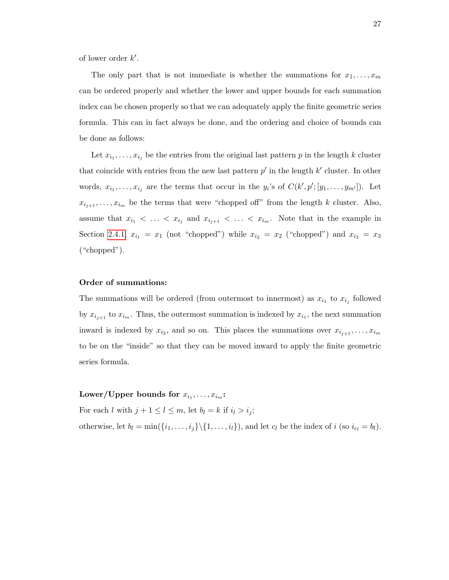of lower order  $k'$ .

The only part that is not immediate is whether the summations for  $x_1, \ldots, x_m$ can be ordered properly and whether the lower and upper bounds for each summation index can be chosen properly so that we can adequately apply the finite geometric series formula. This can in fact always be done, and the ordering and choice of bounds can be done as follows:

Let  $x_{i_1}, \ldots, x_{i_j}$  be the entries from the original last pattern p in the length k cluster that coincide with entries from the new last pattern  $p'$  in the length  $k'$  cluster. In other words,  $x_{i_1}, \ldots, x_{i_j}$  are the terms that occur in the  $y_i$ 's of  $C(k', p'; [y_1, \ldots, y_{m'}])$ . Let  $x_{i_{j+1}}, \ldots, x_{i_m}$  be the terms that were "chopped off" from the length k cluster. Also, assume that  $x_{i_1} < \ldots < x_{i_j}$  and  $x_{i_{j+1}} < \ldots < x_{i_m}$ . Note that in the example in Section [2.4.1,](#page-31-0)  $x_{i_1} = x_1$  (not "chopped") while  $x_{i_2} = x_2$  ("chopped") and  $x_{i_3} = x_3$ ("chopped").

### Order of summations:

The summations will be ordered (from outermost to innermost) as  $x_{i_1}$  to  $x_{i_j}$  followed by  $x_{i_{j+1}}$  to  $x_{i_m}$ . Thus, the outermost summation is indexed by  $x_{i_1}$ , the next summation inward is indexed by  $x_{i_2}$ , and so on. This places the summations over  $x_{i_{j+1}}, \ldots, x_{i_m}$ to be on the "inside" so that they can be moved inward to apply the finite geometric series formula.

# ${\rm Lower}/{\rm Upper}$  bounds for  $x_{i_1},\ldots,x_{i_m}$ :

For each l with  $j + 1 \leq l \leq m$ , let  $b_l = k$  if  $i_l > i_j$ ;

otherwise, let  $b_l = \min(\{i_1, \ldots, i_j\} \setminus \{1, \ldots, i_l\})$ , and let  $c_l$  be the index of  $i$  (so  $i_{c_l} = b_l$ ).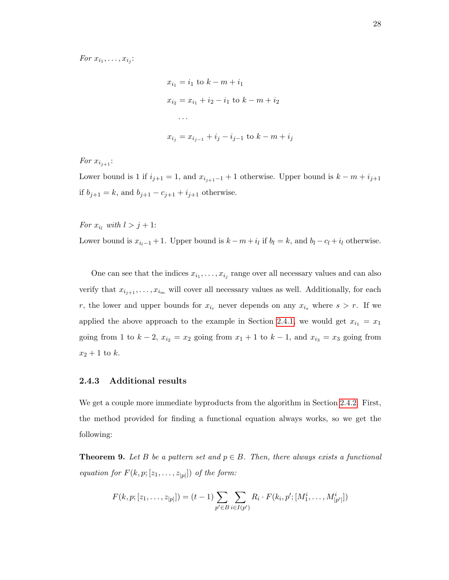$$
x_{i_1} = i_1 \text{ to } k - m + i_1
$$
  
\n
$$
x_{i_2} = x_{i_1} + i_2 - i_1 \text{ to } k - m + i_2
$$
  
\n...  
\n
$$
x_{i_j} = x_{i_{j-1}} + i_j - i_{j-1} \text{ to } k - m + i_j
$$

For  $x_{i_{i+1}}$ :

Lower bound is 1 if  $i_{j+1} = 1$ , and  $x_{i_{j+1}-1} + 1$  otherwise. Upper bound is  $k - m + i_{j+1}$ if  $b_{j+1} = k$ , and  $b_{j+1} - c_{j+1} + i_{j+1}$  otherwise.

For  $x_{i_l}$  with  $l > j + 1$ : Lower bound is  $x_{i_l-1}+1$ . Upper bound is  $k-m+i_l$  if  $b_l = k$ , and  $b_l - c_l + i_l$  otherwise.

One can see that the indices  $x_{i_1}, \ldots, x_{i_j}$  range over all necessary values and can also verify that  $x_{i_{j+1}}, \ldots, x_{i_m}$  will cover all necessary values as well. Additionally, for each r, the lower and upper bounds for  $x_{i_r}$  never depends on any  $x_{i_s}$  where  $s > r$ . If we applied the above approach to the example in Section [2.4.1,](#page-31-0) we would get  $x_{i_1} = x_1$ going from 1 to  $k-2$ ,  $x_{i_2} = x_2$  going from  $x_1 + 1$  to  $k-1$ , and  $x_{i_3} = x_3$  going from  $x_2 + 1$  to k.

#### <span id="page-34-0"></span>2.4.3 Additional results

We get a couple more immediate byproducts from the algorithm in Section [2.4.2.](#page-32-0) First, the method provided for finding a functional equation always works, so we get the following:

**Theorem 9.** Let B be a pattern set and  $p \in B$ . Then, there always exists a functional equation for  $F(k, p; [z_1, \ldots, z_{|p|}])$  of the form:

$$
F(k, p; [z_1, \ldots, z_{|p|}]) = (t - 1) \sum_{p' \in B} \sum_{i \in I(p')} R_i \cdot F(k_i, p'; [M_1^i, \ldots, M_{|p'|}^i])
$$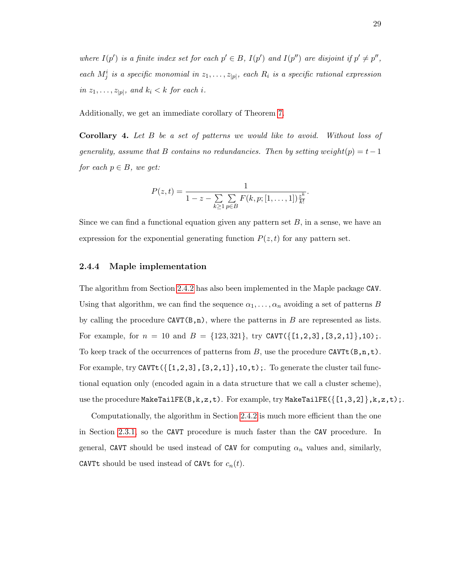where  $I(p')$  is a finite index set for each  $p' \in B$ ,  $I(p')$  and  $I(p'')$  are disjoint if  $p' \neq p''$ , each  $M_j^i$  is a specific monomial in  $z_1, \ldots, z_{|p|}$ , each  $R_i$  is a specific rational expression in  $z_1, \ldots, z_{|p|}$ , and  $k_i < k$  for each i.

Additionally, we get an immediate corollary of Theorem [7.](#page-23-1)

Corollary 4. Let B be a set of patterns we would like to avoid. Without loss of generality, assume that B contains no redundancies. Then by setting weight(p) =  $t-1$ for each  $p \in B$ , we get:

$$
P(z,t) = \frac{1}{1-z - \sum_{k \geq 1} \sum_{p \in B} F(k,p;[1,\ldots,1])\frac{z^k}{k!}}
$$

.

Since we can find a functional equation given any pattern set  $B$ , in a sense, we have an expression for the exponential generating function  $P(z, t)$  for any pattern set.

### <span id="page-35-0"></span>2.4.4 Maple implementation

The algorithm from Section [2.4.2](#page-32-0) has also been implemented in the Maple package CAV. Using that algorithm, we can find the sequence  $\alpha_1, \ldots, \alpha_n$  avoiding a set of patterns B by calling the procedure  $CAVT(B,n)$ , where the patterns in B are represented as lists. For example, for  $n = 10$  and  $B = \{123, 321\}$ , try CAVT( $\{[1, 2, 3], [3, 2, 1]\}$ , 10);. To keep track of the occurrences of patterns from B, use the procedure CAVTt  $(B,n,t)$ . For example, try CAVTt  $({1, 2, 3], [3, 2, 1]}, 10, t)$ ;. To generate the cluster tail functional equation only (encoded again in a data structure that we call a cluster scheme), use the procedure  $\texttt{MakeTailFE}(B,k,z,t)$ . For example, try  $\texttt{MakeTailFE}(\{[1,3,2]\},k,z,t)$ ;.

Computationally, the algorithm in Section [2.4.2](#page-32-0) is much more efficient than the one in Section [2.3.1,](#page-24-0) so the CAVT procedure is much faster than the CAV procedure. In general, CAVT should be used instead of CAV for computing  $\alpha_n$  values and, similarly, CAVTt should be used instead of CAVt for  $c_n(t)$ .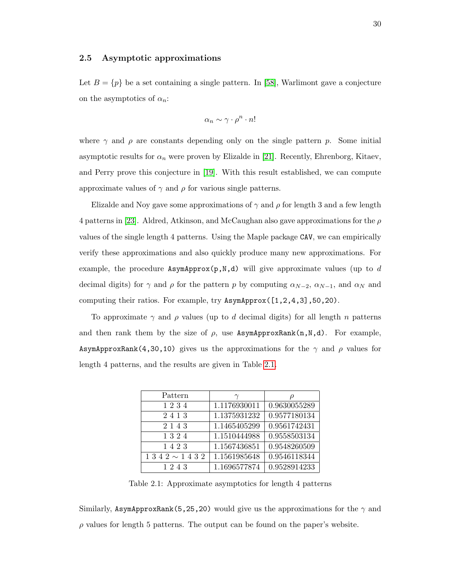## 2.5 Asymptotic approximations

Let  $B = \{p\}$  be a set containing a single pattern. In [\[58\]](#page-100-0), Warlimont gave a conjecture on the asymptotics of  $\alpha_n$ :

$$
\alpha_n \sim \gamma \cdot \rho^n \cdot n!
$$

where  $\gamma$  and  $\rho$  are constants depending only on the single pattern p. Some initial asymptotic results for  $\alpha_n$  were proven by Elizalde in [\[21\]](#page-98-0). Recently, Ehrenborg, Kitaev, and Perry prove this conjecture in [\[19\]](#page-98-1). With this result established, we can compute approximate values of  $\gamma$  and  $\rho$  for various single patterns.

Elizalde and Noy gave some approximations of  $\gamma$  and  $\rho$  for length 3 and a few length 4 patterns in [\[23\]](#page-98-2). Aldred, Atkinson, and McCaughan also gave approximations for the  $\rho$ values of the single length 4 patterns. Using the Maple package CAV, we can empirically verify these approximations and also quickly produce many new approximations. For example, the procedure AsymApprox(p,N,d) will give approximate values (up to  $d$ decimal digits) for  $\gamma$  and  $\rho$  for the pattern p by computing  $\alpha_{N-2}$ ,  $\alpha_{N-1}$ , and  $\alpha_N$  and computing their ratios. For example, try AsymApprox([1,2,4,3],50,20).

To approximate  $\gamma$  and  $\rho$  values (up to d decimal digits) for all length n patterns and then rank them by the size of  $\rho$ , use AsymApproxRank(n,N,d). For example, AsymApproxRank(4,30,10) gives us the approximations for the  $\gamma$  and  $\rho$  values for length 4 patterns, and the results are given in Table [2.1.](#page-36-0)

| Pattern                    | $\gamma$     | $\mu$              |
|----------------------------|--------------|--------------------|
| 1234                       | 1.1176930011 | 0.9630055289       |
| 2413                       | 1.1375931232 | 0.9577180134       |
| 2 1 4 3                    | 1.1465405299 | 0.9561742431       |
| 1324                       | 1.1510444988 | $\,0.9558503134\,$ |
| 1423                       | 1.1567436851 | 0.9548260509       |
| $1\;3\;4\;2\sim1\;4\;3\;2$ | 1.1561985648 | 0.9546118344       |
| 1243                       | 1.1696577874 | 0.9528914233       |

<span id="page-36-0"></span>Table 2.1: Approximate asymptotics for length 4 patterns

Similarly, AsymApproxRank(5,25,20) would give us the approximations for the  $\gamma$  and  $\rho$  values for length 5 patterns. The output can be found on the paper's website.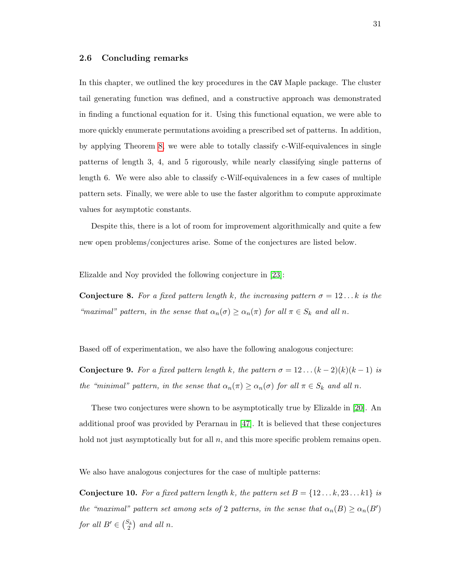#### 2.6 Concluding remarks

In this chapter, we outlined the key procedures in the CAV Maple package. The cluster tail generating function was defined, and a constructive approach was demonstrated in finding a functional equation for it. Using this functional equation, we were able to more quickly enumerate permutations avoiding a prescribed set of patterns. In addition, by applying Theorem [8,](#page-27-0) we were able to totally classify c-Wilf-equivalences in single patterns of length 3, 4, and 5 rigorously, while nearly classifying single patterns of length 6. We were also able to classify c-Wilf-equivalences in a few cases of multiple pattern sets. Finally, we were able to use the faster algorithm to compute approximate values for asymptotic constants.

Despite this, there is a lot of room for improvement algorithmically and quite a few new open problems/conjectures arise. Some of the conjectures are listed below.

Elizalde and Noy provided the following conjecture in [\[23\]](#page-98-2):

**Conjecture 8.** For a fixed pattern length k, the increasing pattern  $\sigma = 12...k$  is the "maximal" pattern, in the sense that  $\alpha_n(\sigma) \geq \alpha_n(\pi)$  for all  $\pi \in S_k$  and all n.

Based off of experimentation, we also have the following analogous conjecture:

**Conjecture 9.** For a fixed pattern length k, the pattern  $\sigma = 12 \dots (k-2)(k)(k-1)$  is the "minimal" pattern, in the sense that  $\alpha_n(\pi) \geq \alpha_n(\sigma)$  for all  $\pi \in S_k$  and all n.

These two conjectures were shown to be asymptotically true by Elizalde in [\[20\]](#page-98-3). An additional proof was provided by Perarnau in [\[47\]](#page-99-0). It is believed that these conjectures hold not just asymptotically but for all  $n$ , and this more specific problem remains open.

We also have analogous conjectures for the case of multiple patterns:

**Conjecture 10.** For a fixed pattern length k, the pattern set  $B = \{12...k, 23...k1\}$  is the "maximal" pattern set among sets of 2 patterns, in the sense that  $\alpha_n(B) \geq \alpha_n(B')$ for all  $B' \in \binom{S_k}{2}$  and all n.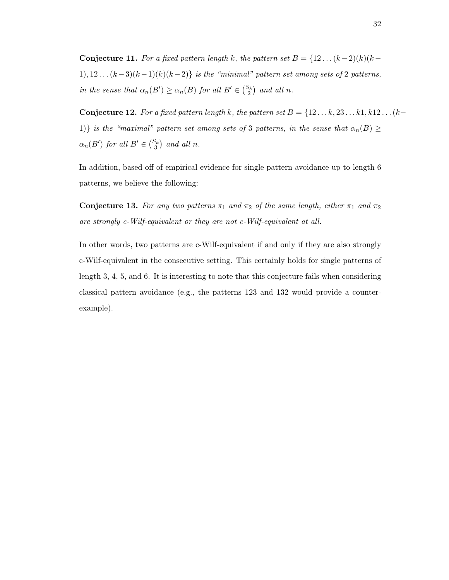Conjecture 11. For a fixed pattern length k, the pattern set  $B = \{12 \dots (k-2)(k)(k-1)\}$ 1), 12 . .  $(k-3)(k-1)(k)(k-2)$  is the "minimal" pattern set among sets of 2 patterns, in the sense that  $\alpha_n(B') \geq \alpha_n(B)$  for all  $B' \in \binom{S_k}{2}$  and all n.

Conjecture 12. For a fixed pattern length k, the pattern set  $B = \{12 \ldots k, 23 \ldots k1, k12 \ldots (k-1) \}$ 1)} is the "maximal" pattern set among sets of 3 patterns, in the sense that  $\alpha_n(B) \geq$  $\alpha_n(B')$  for all  $B' \in {S_k \choose 3}$  and all n.

In addition, based off of empirical evidence for single pattern avoidance up to length 6 patterns, we believe the following:

Conjecture 13. For any two patterns  $\pi_1$  and  $\pi_2$  of the same length, either  $\pi_1$  and  $\pi_2$ are strongly c-Wilf-equivalent or they are not c-Wilf-equivalent at all.

In other words, two patterns are c-Wilf-equivalent if and only if they are also strongly c-Wilf-equivalent in the consecutive setting. This certainly holds for single patterns of length 3, 4, 5, and 6. It is interesting to note that this conjecture fails when considering classical pattern avoidance (e.g., the patterns 123 and 132 would provide a counterexample).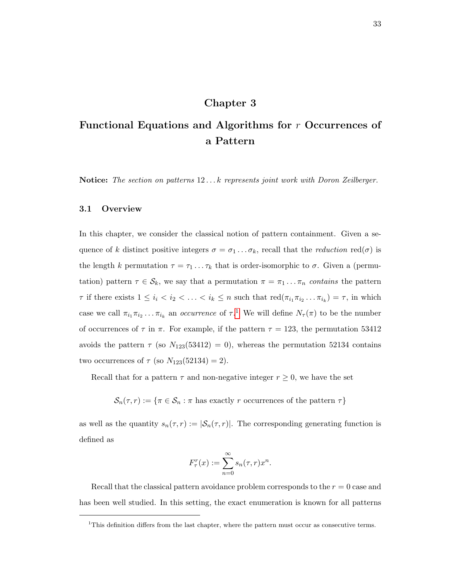# Chapter 3

# Functional Equations and Algorithms for r Occurrences of a Pattern

Notice: The section on patterns 12...k represents joint work with Doron Zeilberger.

## 3.1 Overview

In this chapter, we consider the classical notion of pattern containment. Given a sequence of k distinct positive integers  $\sigma = \sigma_1 \dots \sigma_k$ , recall that the *reduction* red( $\sigma$ ) is the length k permutation  $\tau = \tau_1 \dots \tau_k$  that is order-isomorphic to  $\sigma$ . Given a (permutation) pattern  $\tau \in \mathcal{S}_k$ , we say that a permutation  $\pi = \pi_1 \dots \pi_n$  contains the pattern  $\tau$  if there exists  $1 \leq i_i < i_2 < \ldots < i_k \leq n$  such that  $\text{red}(\pi_{i_1}\pi_{i_2}\ldots\pi_{i_k}) = \tau$ , in which case we call  $\pi_{i_1}\pi_{i_2}\dots\pi_{i_k}$  $\pi_{i_1}\pi_{i_2}\dots\pi_{i_k}$  $\pi_{i_1}\pi_{i_2}\dots\pi_{i_k}$  an *occurrence* of  $\tau$ .<sup>1</sup> We will define  $N_{\tau}(\pi)$  to be the number of occurrences of  $\tau$  in  $\pi$ . For example, if the pattern  $\tau = 123$ , the permutation 53412 avoids the pattern  $\tau$  (so  $N_{123}(53412) = 0$ ), whereas the permutation 52134 contains two occurrences of  $\tau$  (so  $N_{123}(52134) = 2$ ).

Recall that for a pattern  $\tau$  and non-negative integer  $r \geq 0$ , we have the set

 $\mathcal{S}_n(\tau,r) := \{\pi \in \mathcal{S}_n : \pi \text{ has exactly } r \text{ occurrences of the pattern } \tau\}$ 

as well as the quantity  $s_n(\tau, r) := |\mathcal{S}_n(\tau, r)|$ . The corresponding generating function is defined as

$$
F_{\tau}^r(x) := \sum_{n=0}^{\infty} s_n(\tau, r) x^n
$$

.

Recall that the classical pattern avoidance problem corresponds to the  $r = 0$  case and has been well studied. In this setting, the exact enumeration is known for all patterns

<span id="page-39-0"></span><sup>&</sup>lt;sup>1</sup>This definition differs from the last chapter, where the pattern must occur as consecutive terms.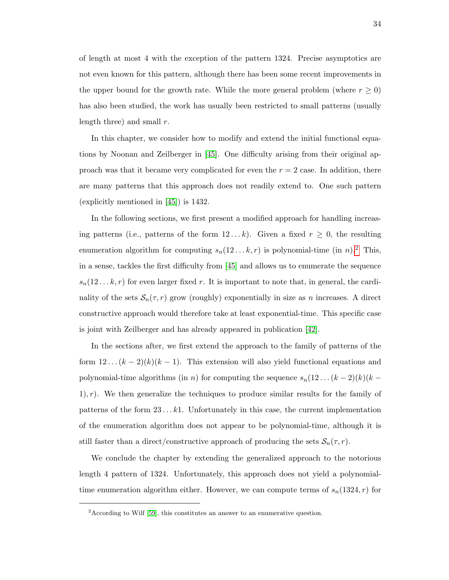of length at most 4 with the exception of the pattern 1324. Precise asymptotics are not even known for this pattern, although there has been some recent improvements in the upper bound for the growth rate. While the more general problem (where  $r \geq 0$ ) has also been studied, the work has usually been restricted to small patterns (usually length three) and small  $r$ .

In this chapter, we consider how to modify and extend the initial functional equations by Noonan and Zeilberger in [\[45\]](#page-99-1). One difficulty arising from their original approach was that it became very complicated for even the  $r = 2$  case. In addition, there are many patterns that this approach does not readily extend to. One such pattern (explicitly mentioned in [\[45\]](#page-99-1)) is 1432.

In the following sections, we first present a modified approach for handling increasing patterns (i.e., patterns of the form  $12...k$ ). Given a fixed  $r \geq 0$ , the resulting enumeration algorithm for computing  $s_n(12...k,r)$  $s_n(12...k,r)$  $s_n(12...k,r)$  is polynomial-time (in n).<sup>2</sup> This, in a sense, tackles the first difficulty from [\[45\]](#page-99-1) and allows us to enumerate the sequence  $s_n(12...k,r)$  for even larger fixed r. It is important to note that, in general, the cardinality of the sets  $S_n(\tau, r)$  grow (roughly) exponentially in size as n increases. A direct constructive approach would therefore take at least exponential-time. This specific case is joint with Zeilberger and has already appeared in publication [\[42\]](#page-99-2).

In the sections after, we first extend the approach to the family of patterns of the form  $12 \dots (k-2)(k)(k-1)$ . This extension will also yield functional equations and polynomial-time algorithms (in *n*) for computing the sequence  $s_n(12 \dots (k-2)(k)(k (1), r$ ). We then generalize the techniques to produce similar results for the family of patterns of the form  $23 \dots k1$ . Unfortunately in this case, the current implementation of the enumeration algorithm does not appear to be polynomial-time, although it is still faster than a direct/constructive approach of producing the sets  $S_n(\tau, r)$ .

We conclude the chapter by extending the generalized approach to the notorious length 4 pattern of 1324. Unfortunately, this approach does not yield a polynomialtime enumeration algorithm either. However, we can compute terms of  $s_n(1324, r)$  for

<span id="page-40-0"></span><sup>2</sup>According to Wilf [\[59\]](#page-100-1), this constitutes an answer to an enumerative question.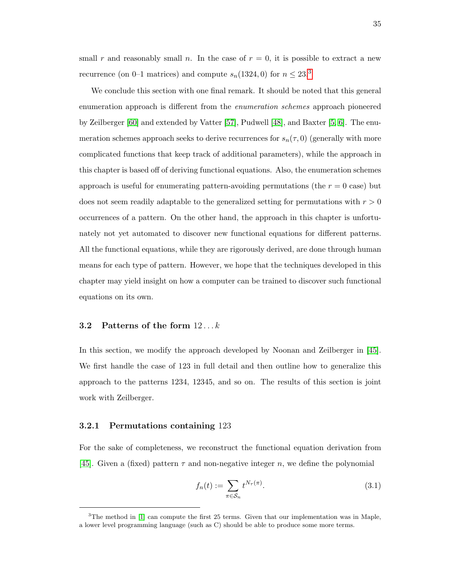small r and reasonably small n. In the case of  $r = 0$ , it is possible to extract a new recurrence (on 0–1 matrices) and compute  $s_n(1324, 0)$  $s_n(1324, 0)$  $s_n(1324, 0)$  for  $n \leq 23.3$ 

We conclude this section with one final remark. It should be noted that this general enumeration approach is different from the enumeration schemes approach pioneered by Zeilberger [\[60\]](#page-100-2) and extended by Vatter [\[57\]](#page-100-3), Pudwell [\[48\]](#page-100-4), and Baxter [\[5,](#page-97-0) [6\]](#page-97-1). The enumeration schemes approach seeks to derive recurrences for  $s_n(\tau,0)$  (generally with more complicated functions that keep track of additional parameters), while the approach in this chapter is based off of deriving functional equations. Also, the enumeration schemes approach is useful for enumerating pattern-avoiding permutations (the  $r = 0$  case) but does not seem readily adaptable to the generalized setting for permutations with  $r > 0$ occurrences of a pattern. On the other hand, the approach in this chapter is unfortunately not yet automated to discover new functional equations for different patterns. All the functional equations, while they are rigorously derived, are done through human means for each type of pattern. However, we hope that the techniques developed in this chapter may yield insight on how a computer can be trained to discover such functional equations on its own.

## 3.2 Patterns of the form  $12...k$

In this section, we modify the approach developed by Noonan and Zeilberger in [\[45\]](#page-99-1). We first handle the case of 123 in full detail and then outline how to generalize this approach to the patterns 1234, 12345, and so on. The results of this section is joint work with Zeilberger.

#### 3.2.1 Permutations containing 123

For the sake of completeness, we reconstruct the functional equation derivation from [\[45\]](#page-99-1). Given a (fixed) pattern  $\tau$  and non-negative integer n, we define the polynomial

$$
f_n(t) := \sum_{\pi \in S_n} t^{N_\tau(\pi)}.
$$
\n(3.1)

<span id="page-41-0"></span> $3$ The method in [\[1\]](#page-97-2) can compute the first 25 terms. Given that our implementation was in Maple, a lower level programming language (such as C) should be able to produce some more terms.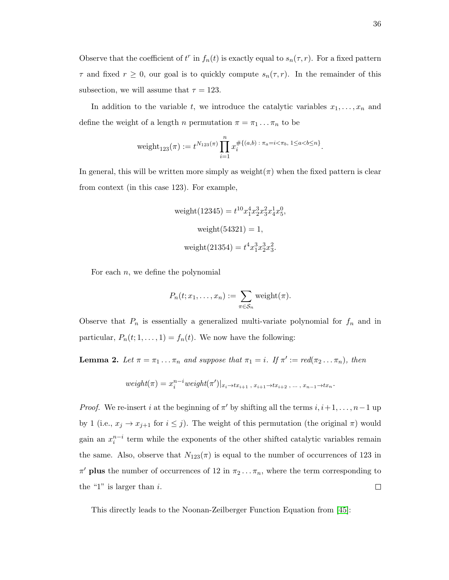Observe that the coefficient of  $t^r$  in  $f_n(t)$  is exactly equal to  $s_n(\tau, r)$ . For a fixed pattern  $\tau$  and fixed  $r \geq 0$ , our goal is to quickly compute  $s_n(\tau, r)$ . In the remainder of this subsection, we will assume that  $\tau = 123$ .

In addition to the variable t, we introduce the catalytic variables  $x_1, \ldots, x_n$  and define the weight of a length n permutation  $\pi = \pi_1 \dots \pi_n$  to be

$$
weight_{123}(\pi) := t^{N_{123}(\pi)} \prod_{i=1}^{n} x_i^{\# \{(a,b) : \pi_a = i < \pi_b, 1 \le a < b \le n\}}.
$$

In general, this will be written more simply as weight( $\pi$ ) when the fixed pattern is clear from context (in this case 123). For example,

weight(12345) = 
$$
t^{10}x_1^4x_2^3x_3^2x_4^1x_5^0
$$
,  
weight(54321) = 1,  
weight(21354) =  $t^4x_1^3x_2^3x_3^2$ .

For each  $n$ , we define the polynomial

$$
P_n(t; x_1, \ldots, x_n) := \sum_{\pi \in S_n} \text{weight}(\pi).
$$

Observe that  $P_n$  is essentially a generalized multi-variate polynomial for  $f_n$  and in particular,  $P_n(t; 1, \ldots, 1) = f_n(t)$ . We now have the following:

**Lemma 2.** Let  $\pi = \pi_1 \dots \pi_n$  and suppose that  $\pi_1 = i$ . If  $\pi' := \text{red}(\pi_2 \dots \pi_n)$ , then

$$
weight(\pi) = x_i^{n-i} weight(\pi')|_{x_i \to tx_{i+1}, x_{i+1} \to tx_{i+2}, \dots, x_{n-1} \to tx_n}
$$

.

*Proof.* We re-insert i at the beginning of  $\pi'$  by shifting all the terms  $i, i+1, \ldots, n-1$  up by 1 (i.e.,  $x_j \to x_{j+1}$  for  $i \leq j$ ). The weight of this permutation (the original  $\pi$ ) would gain an  $x_i^{n-i}$  term while the exponents of the other shifted catalytic variables remain the same. Also, observe that  $N_{123}(\pi)$  is equal to the number of occurrences of 123 in  $\pi'$  plus the number of occurrences of 12 in  $\pi_2 \dots \pi_n$ , where the term corresponding to the "1" is larger than  $i$ .  $\Box$ 

This directly leads to the Noonan-Zeilberger Function Equation from [\[45\]](#page-99-1):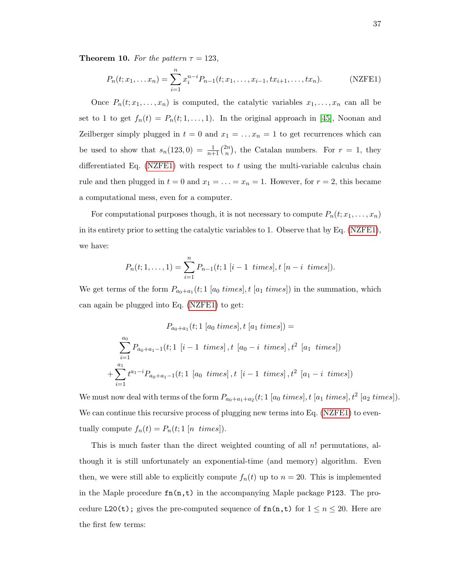**Theorem 10.** For the pattern  $\tau = 123$ ,

<span id="page-43-0"></span>
$$
P_n(t; x_1, \dots x_n) = \sum_{i=1}^n x_i^{n-i} P_{n-1}(t; x_1, \dots, x_{i-1}, tx_{i+1}, \dots, tx_n).
$$
 (NZFE1)

Once  $P_n(t; x_1, \ldots, x_n)$  is computed, the catalytic variables  $x_1, \ldots, x_n$  can all be set to 1 to get  $f_n(t) = P_n(t; 1, ..., 1)$ . In the original approach in [\[45\]](#page-99-1), Noonan and Zeilberger simply plugged in  $t = 0$  and  $x_1 = \ldots x_n = 1$  to get recurrences which can be used to show that  $s_n(123,0) = \frac{1}{n+1} {2n \choose n}$  $\binom{2n}{n}$ , the Catalan numbers. For  $r = 1$ , they differentiated Eq. [\(NZFE1\)](#page-43-0) with respect to t using the multi-variable calculus chain rule and then plugged in  $t = 0$  and  $x_1 = \ldots = x_n = 1$ . However, for  $r = 2$ , this became a computational mess, even for a computer.

For computational purposes though, it is not necessary to compute  $P_n(t; x_1, \ldots, x_n)$ in its entirety prior to setting the catalytic variables to 1. Observe that by Eq. [\(NZFE1\)](#page-43-0), we have:

$$
P_n(t; 1, \ldots, 1) = \sum_{i=1}^n P_{n-1}(t; 1 [i-1 \ times], t [n-i \ times]).
$$

We get terms of the form  $P_{a_0+a_1}(t; 1 \text{ [}a_0 \text{ times}], t \text{ [}a_1 \text{ times}])$  in the summation, which can again be plugged into Eq. [\(NZFE1\)](#page-43-0) to get:

$$
P_{a_0+a_1}(t; 1 [a_0 \text{ times}], t [a_1 \text{ times}]) =
$$
\n
$$
\sum_{i=1}^{a_0} P_{a_0+a_1-1}(t; 1 [i-1 \text{ times}], t [a_0-i \text{ times}], t^2 [a_1 \text{ times}])
$$
\n
$$
+ \sum_{i=1}^{a_1} t^{a_1-i} P_{a_0+a_1-1}(t; 1 [a_0 \text{ times}], t [i-1 \text{ times}], t^2 [a_1-i \text{ times}])
$$

We must now deal with terms of the form  $P_{a_0+a_1+a_2}(t; 1 \text{ [}a_0 \text{ times}], t \text{ [}a_1 \text{ times}], t^2 \text{ [}a_2 \text{ times}]).$ We can continue this recursive process of plugging new terms into Eq. [\(NZFE1\)](#page-43-0) to eventually compute  $f_n(t) = P_n(t; 1 \text{ } [n \text{ } times]).$ 

This is much faster than the direct weighted counting of all  $n!$  permutations, although it is still unfortunately an exponential-time (and memory) algorithm. Even then, we were still able to explicitly compute  $f_n(t)$  up to  $n = 20$ . This is implemented in the Maple procedure  $fn(n,t)$  in the accompanying Maple package P123. The procedure L20(t); gives the pre-computed sequence of  $fn(n,t)$  for  $1 \le n \le 20$ . Here are the first few terms: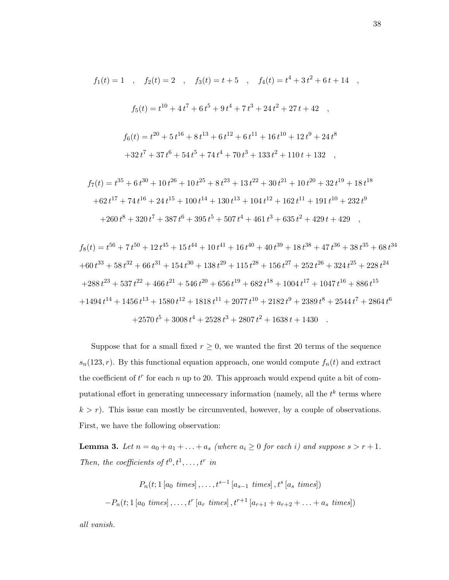$$
f_1(t) = 1 \t, \t f_2(t) = 2 \t, \t f_3(t) = t + 5 \t, \t f_4(t) = t^4 + 3t^2 + 6t + 14 \t, \n f_5(t) = t^{10} + 4t^7 + 6t^5 + 9t^4 + 7t^3 + 24t^2 + 27t + 42 \t, \n f_6(t) = t^{20} + 5t^{16} + 8t^{13} + 6t^{12} + 6t^{11} + 16t^{10} + 12t^9 + 24t^8 \n + 32t^7 + 37t^6 + 54t^5 + 74t^4 + 70t^3 + 133t^2 + 110t + 132 \t,
$$

$$
f_7(t) = t^{35} + 6t^{30} + 10t^{26} + 10t^{25} + 8t^{23} + 13t^{22} + 30t^{21} + 10t^{20} + 32t^{19} + 18t^{18}
$$
  
+62t<sup>17</sup> + 74t<sup>16</sup> + 24t<sup>15</sup> + 100t<sup>14</sup> + 130t<sup>13</sup> + 104t<sup>12</sup> + 162t<sup>11</sup> + 191t<sup>10</sup> + 232t<sup>9</sup>  
+260t<sup>8</sup> + 320t<sup>7</sup> + 387t<sup>6</sup> + 395t<sup>5</sup> + 507t<sup>4</sup> + 461t<sup>3</sup> + 635t<sup>2</sup> + 429t + 429 ,

$$
f_8(t) = t^{56} + 7t^{50} + 12t^{45} + 15t^{44} + 10t^{41} + 16t^{40} + 40t^{39} + 18t^{38} + 47t^{36} + 38t^{35} + 68t^{34}
$$
  
+60t<sup>33</sup> + 58t<sup>32</sup> + 66t<sup>31</sup> + 154t<sup>30</sup> + 138t<sup>29</sup> + 115t<sup>28</sup> + 156t<sup>27</sup> + 252t<sup>26</sup> + 324t<sup>25</sup> + 228t<sup>24</sup>  
+288t<sup>23</sup> + 537t<sup>22</sup> + 466t<sup>21</sup> + 546t<sup>20</sup> + 656t<sup>19</sup> + 682t<sup>18</sup> + 1004t<sup>17</sup> + 1047t<sup>16</sup> + 886t<sup>15</sup>  
+1494t<sup>14</sup> + 1456t<sup>13</sup> + 1580t<sup>12</sup> + 1818t<sup>11</sup> + 2077t<sup>10</sup> + 2182t<sup>9</sup> + 2389t<sup>8</sup> + 2544t<sup>7</sup> + 2864t<sup>6</sup>  
+2570t<sup>5</sup> + 3008t<sup>4</sup> + 2528t<sup>3</sup> + 2807t<sup>2</sup> + 1638t + 1430

Suppose that for a small fixed  $r \geq 0$ , we wanted the first 20 terms of the sequence  $s_n(123,r)$ . By this functional equation approach, one would compute  $f_n(t)$  and extract the coefficient of  $t^r$  for each n up to 20. This approach would expend quite a bit of computational effort in generating unnecessary information (namely, all the  $t^k$  terms where  $k > r$ ). This issue can mostly be circumvented, however, by a couple of observations. First, we have the following observation:

<span id="page-44-0"></span>**Lemma 3.** Let  $n = a_0 + a_1 + \ldots + a_s$  (where  $a_i \geq 0$  for each i) and suppose  $s > r + 1$ . Then, the coefficients of  $t^0, t^1, \ldots, t^r$  in

$$
P_n(t; 1 [a_0 \ times], \dots, t^{s-1} [a_{s-1} \ times], t^s [a_s \ times])
$$
  
-
$$
P_n(t; 1 [a_0 \ times], \dots, t^r [a_r \ times], t^{r+1} [a_{r+1} + a_{r+2} + \dots + a_s \ times])
$$

all vanish.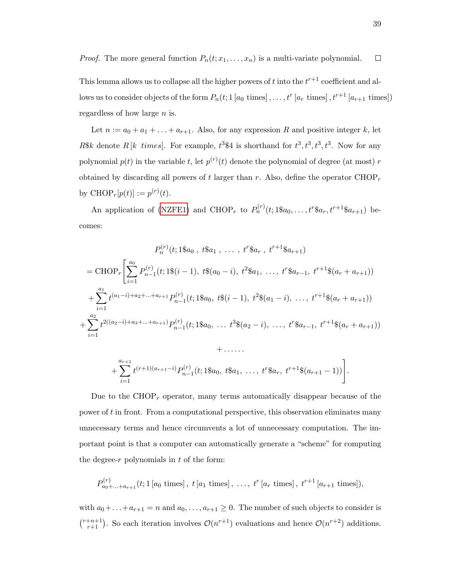*Proof.* The more general function  $P_n(t; x_1, \ldots, x_n)$  is a multi-variate polynomial.  $\Box$ 

This lemma allows us to collapse all the higher powers of t into the  $t^{r+1}$  coefficient and allows us to consider objects of the form  $P_n(t; 1 [a_0 \text{ times}], \ldots, t^r [a_r \text{ times}], t^{r+1} [a_{r+1} \text{ times}])$ regardless of how large  $n$  is.

Let  $n := a_0 + a_1 + \ldots + a_{r+1}$ . Also, for any expression R and positive integer k, let R\$k denote  $R[k \ times]$ . For example,  $t^3$ \$4 is shorthand for  $t^3, t^3, t^3, t^3$ . Now for any polynomial  $p(t)$  in the variable t, let  $p^{(r)}(t)$  denote the polynomial of degree (at most) r obtained by discarding all powers of t larger than r. Also, define the operator  $\text{CHOP}_r$ by  $CHOP_r[p(t)] := p^{(r)}(t)$ .

An application of [\(NZFE1\)](#page-43-0) and CHOP<sub>r</sub> to  $P_n^{(r)}(t; 1\$ bb{S}a\_0, \ldots, t^r\bb{S}a\_r, t^{r+1}\bb{S}a\_{r+1}) becomes:

$$
P_n^{(r)}(t; 1\$\mathbf{a}_0, t\$\mathbf{a}_1, \dots, t^r\$\mathbf{a}_r, t^{r+1}\$\mathbf{a}_{r+1})
$$
  
= CHOP<sub>r</sub> $\left[\sum_{i=1}^{a_0} P_{n-1}^{(r)}(t; 1\$(i-1), t\$(a_0-i), t^2\$\mathbf{a}_1, \dots, t^r\$\mathbf{a}_{r-1}, t^{r+1}\$(a_r+a_{r+1}))\right]$   
+ $\sum_{i=1}^{a_1} t^{(a_1-i)+a_2+\dots+a_{r+1}} P_{n-1}^{(r)}(t; 1\$\mathbf{a}_0, t\$(i-1), t^2\$(a_1-i), \dots, t^{r+1}\$(a_r+a_{r+1}))$   
+ $\sum_{i=1}^{a_2} t^{2((a_2-i)+a_3+\dots+a_{r+1})} P_{n-1}^{(r)}(t; 1\$\mathbf{a}_0, \dots t^3\$(a_2-i), \dots, t^r\$\mathbf{a}_{r-1}, t^{r+1}\$(a_r+a_{r+1}))$ 

+....  
+ 
$$
\sum_{i=1}^{a_{r+1}} t^{(r+1)(a_{r+1}-i)} P_{n-1}^{(r)}(t; 1 \text{sa}_0, t \text{sa}_1, ..., t^r \text{sa}_r, t^{r+1} \text{sa}_{(r+1)}-1))
$$
.

Due to the  $CHOP<sub>r</sub>$  operator, many terms automatically disappear because of the power of t in front. From a computational perspective, this observation eliminates many unnecessary terms and hence circumvents a lot of unnecessary computation. The important point is that a computer can automatically generate a "scheme" for computing the degree- $r$  polynomials in  $t$  of the form:

$$
P_{a_0+\ldots+a_{r+1}}^{(r)}(t; 1 [a_0 \text{ times}], t [a_1 \text{ times}], \ldots, t^r [a_r \text{ times}], t^{r+1} [a_{r+1} \text{ times}]),
$$

with  $a_0 + \ldots + a_{r+1} = n$  and  $a_0, \ldots, a_{r+1} \geq 0$ . The number of such objects to consider is  $\binom{r+n+1}{r+1}$ . So each iteration involves  $\mathcal{O}(n^{r+1})$  evaluations and hence  $\mathcal{O}(n^{r+2})$  additions.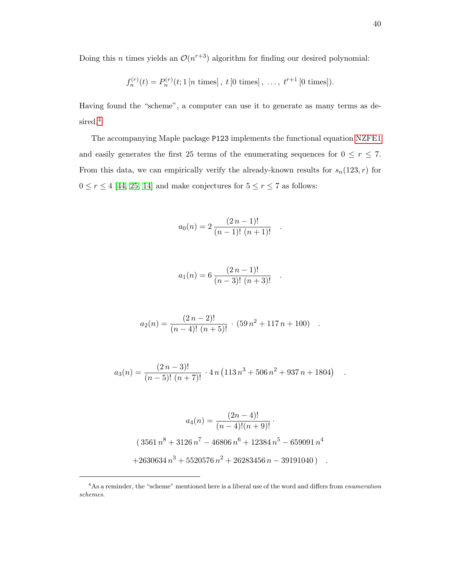Doing this *n* times yields an  $\mathcal{O}(n^{r+3})$  algorithm for finding our desired polynomial:

$$
f_n^{(r)}(t) = P_n^{(r)}(t; 1 [n \text{ times}], t [0 \text{ times}], ..., t^{r+1} [0 \text{ times}]).
$$

Having found the "scheme", a computer can use it to generate as many terms as de-sired.<sup>[4](#page-46-0)</sup>

The accompanying Maple package P123 implements the functional equation [NZFE1](#page-43-0) and easily generates the first 25 terms of the enumerating sequences for  $0 \le r \le 7$ . From this data, we can empirically verify the already-known results for  $s_n(123, r)$  for  $0 \leq r \leq 4$  [\[44,](#page-99-3) [25,](#page-98-4) [14\]](#page-97-3) and make conjectures for  $5 \leq r \leq 7$  as follows:

$$
a_0(n) = 2 \frac{(2 n - 1)!}{(n - 1)! (n + 1)!} .
$$

$$
a_1(n) = 6 \frac{(2 n - 1)!}{(n - 3)! (n + 3)!} .
$$

$$
a_2(n) = \frac{(2 n - 2)!}{(n - 4)! (n + 5)!} \cdot (59 n^2 + 117 n + 100) \quad .
$$

$$
a_3(n) = \frac{(2 n - 3)!}{(n - 5)! (n + 7)!} \cdot 4n (113 n^3 + 506 n^2 + 937 n + 1804)
$$

$$
a_4(n) = \frac{(2n-4)!}{(n-4)!(n+9)!}.
$$
  
(3561  $n^8$  + 3126  $n^7$  - 46806  $n^6$  + 12384  $n^5$  - 659091  $n^4$   
+2630634  $n^3$  + 5520576  $n^2$  + 26283456  $n$  - 39191040).

.

<span id="page-46-0"></span><sup>&</sup>lt;sup>4</sup>As a reminder, the "scheme" mentioned here is a liberal use of the word and differs from *enumeration* schemes.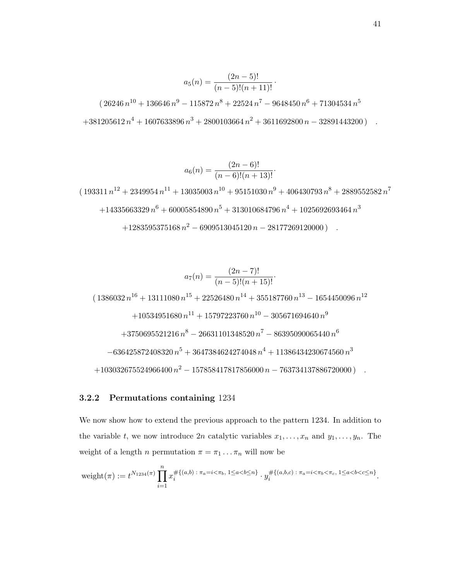$$
a_5(n) = \frac{(2n-5)!}{(n-5)!(n+11)!}.
$$
  
(26246 n<sup>10</sup> + 136646 n<sup>9</sup> - 115872 n<sup>8</sup> + 22524 n<sup>7</sup> - 9648450 n<sup>6</sup> + 71304534 n<sup>5</sup>  
+381205612 n<sup>4</sup> + 1607633896 n<sup>3</sup> + 2800103664 n<sup>2</sup> + 3611692800 n - 32891443200).

$$
a_6(n) = \frac{(2n-6)!}{(n-6)!(n+13)!}
$$

 $( \, 193311 \, n^{12} + 2349954 \, n^{11} + 13035003 \, n^{10} + 95151030 \, n^{9} + 406430793 \, n^{8} + 2889552582 \, n^{7} )$  $+14335663329\,{n}^{6}+60005854890\,{n}^{5}+313010684796\,{n}^{4}+1025692693464\,{n}^{3}$  $+1283595375168 n^2 - 6909513045120 n - 28177269120000$  .

$$
a_7(n) = \frac{(2n-7)!}{(n-5)!(n+15)!}.
$$
\n
$$
(1386032 n^{16} + 13111080 n^{15} + 22526480 n^{14} + 355187760 n^{13} - 1654450096 n^{12}
$$
\n
$$
+ 10534951680 n^{11} + 15797223760 n^{10} - 305671694640 n^9
$$
\n
$$
+ 3750695521216 n^8 - 26631101348520 n^7 - 86395090065440 n^6
$$
\n
$$
- 636425872408320 n^5 + 3647384624274048 n^4 + 11386434230674560 n^3
$$
\n
$$
+ 103032675524966400 n^2 - 157858417817856000 n - 763734137886720000)
$$

## 3.2.2 Permutations containing 1234

We now show how to extend the previous approach to the pattern 1234. In addition to the variable t, we now introduce 2n catalytic variables  $x_1, \ldots, x_n$  and  $y_1, \ldots, y_n$ . The weight of a length *n* permutation  $\pi = \pi_1 \dots \pi_n$  will now be

$$
\text{weight}(\pi) := t^{N_{1234}(\pi)} \prod_{i=1}^n x_i^{\# \{(a,b) \,:\, \pi_a = i < \pi_b, \, 1 \le a < b \le n\}} \cdot y_i^{\# \{(a,b,c) \,:\, \pi_a = i < \pi_b < \pi_c, \, 1 \le a < b < c \le n\}}.
$$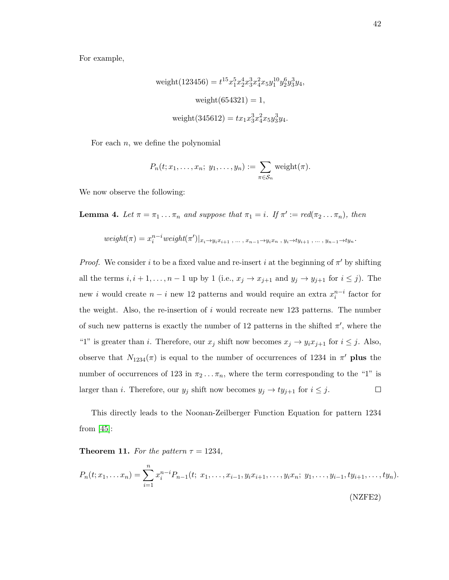For example,

weight(123456) = 
$$
t^{15}x_1^5x_2^4x_3^3x_4^2x_5y_1^{10}y_2^6y_3^3y_4
$$
,  
weight(654321) = 1,  
weight(345612) =  $tx_1x_3^3x_4^2x_5y_3^3y_4$ .

For each  $n$ , we define the polynomial

$$
P_n(t; x_1,\ldots,x_n; y_1,\ldots,y_n):=\sum_{\pi\in\mathcal{S}_n}\mathrm{weight}(\pi).
$$

We now observe the following:

**Lemma 4.** Let  $\pi = \pi_1 \dots \pi_n$  and suppose that  $\pi_1 = i$ . If  $\pi' := \text{red}(\pi_2 \dots \pi_n)$ , then

$$
weight(\pi) = x_i^{n-i} weight(\pi')|_{x_i \to y_i x_{i+1}, \dots, x_{n-1} \to y_i x_n, y_i \to ty_{i+1}, \dots, y_{n-1} \to ty_n}.
$$

*Proof.* We consider i to be a fixed value and re-insert i at the beginning of  $\pi'$  by shifting all the terms  $i, i + 1, \ldots, n - 1$  up by 1 (i.e.,  $x_j \to x_{j+1}$  and  $y_j \to y_{j+1}$  for  $i \leq j$ ). The new i would create  $n - i$  new 12 patterns and would require an extra  $x_i^{n-i}$  factor for the weight. Also, the re-insertion of  $i$  would recreate new 123 patterns. The number of such new patterns is exactly the number of 12 patterns in the shifted  $\pi'$ , where the "1" is greater than i. Therefore, our  $x_j$  shift now becomes  $x_j \to y_i x_{j+1}$  for  $i \leq j$ . Also, observe that  $N_{1234}(\pi)$  is equal to the number of occurrences of 1234 in  $\pi'$  plus the number of occurrences of 123 in  $\pi_2 \dots \pi_n$ , where the term corresponding to the "1" is larger than *i*. Therefore, our  $y_j$  shift now becomes  $y_j \rightarrow ty_{j+1}$  for  $i \leq j$ .  $\Box$ 

This directly leads to the Noonan-Zeilberger Function Equation for pattern 1234 from  $[45]$ :

Theorem 11. For the pattern  $\tau = 1234$ ,

<span id="page-48-0"></span>
$$
P_n(t; x_1, \dots x_n) = \sum_{i=1}^n x_i^{n-i} P_{n-1}(t; x_1, \dots, x_{i-1}, y_i x_{i+1}, \dots, y_i x_n; y_1, \dots, y_{i-1}, ty_{i+1}, \dots, ty_n).
$$
\n(NZFE2)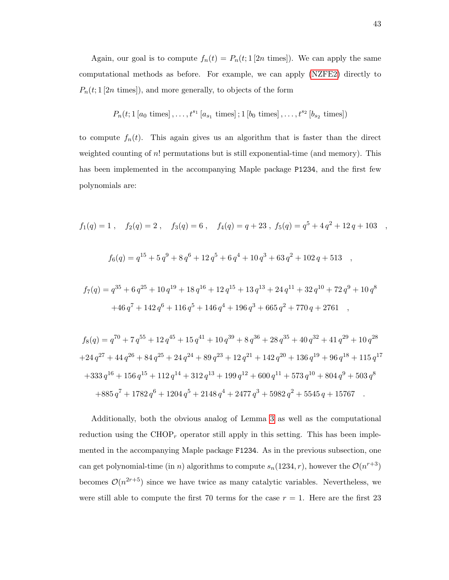Again, our goal is to compute  $f_n(t) = P_n(t; 1 [2n \text{ times}])$ . We can apply the same computational methods as before. For example, we can apply [\(NZFE2\)](#page-48-0) directly to  $P_n(t; 1|2n \text{ times})),$  and more generally, to objects of the form

$$
P_n(t; 1 [a_0 \text{ times}], \ldots, t^{s_1} [a_{s_1} \text{ times}]; 1 [b_0 \text{ times}], \ldots, t^{s_2} [b_{s_2} \text{ times}])
$$

to compute  $f_n(t)$ . This again gives us an algorithm that is faster than the direct weighted counting of n! permutations but is still exponential-time (and memory). This has been implemented in the accompanying Maple package P1234, and the first few polynomials are:

$$
f_1(q) = 1
$$
,  $f_2(q) = 2$ ,  $f_3(q) = 6$ ,  $f_4(q) = q + 23$ ,  $f_5(q) = q^5 + 4q^2 + 12q + 103$ ,

$$
f_6(q) = q^{15} + 5 q^9 + 8 q^6 + 12 q^5 + 6 q^4 + 10 q^3 + 63 q^2 + 102 q + 513
$$

$$
f_7(q) = q^{35} + 6 q^{25} + 10 q^{19} + 18 q^{16} + 12 q^{15} + 13 q^{13} + 24 q^{11} + 32 q^{10} + 72 q^{9} + 10 q^{8}
$$
  
+46 q<sup>7</sup> + 142 q<sup>6</sup> + 116 q<sup>5</sup> + 146 q<sup>4</sup> + 196 q<sup>3</sup> + 665 q<sup>2</sup> + 770 q + 2761 ,

$$
f_8(q) = q^{70} + 7 q^{55} + 12 q^{45} + 15 q^{41} + 10 q^{39} + 8 q^{36} + 28 q^{35} + 40 q^{32} + 41 q^{29} + 10 q^{28}
$$
  
+24 q<sup>27</sup> + 44 q<sup>26</sup> + 84 q<sup>25</sup> + 24 q<sup>24</sup> + 89 q<sup>23</sup> + 12 q<sup>21</sup> + 142 q<sup>20</sup> + 136 q<sup>19</sup> + 96 q<sup>18</sup> + 115 q<sup>17</sup>  
+333 q<sup>16</sup> + 156 q<sup>15</sup> + 112 q<sup>14</sup> + 312 q<sup>13</sup> + 199 q<sup>12</sup> + 600 q<sup>11</sup> + 573 q<sup>10</sup> + 804 q<sup>9</sup> + 503 q<sup>8</sup>  
+885 q<sup>7</sup> + 1782 q<sup>6</sup> + 1204 q<sup>5</sup> + 2148 q<sup>4</sup> + 2477 q<sup>3</sup> + 5982 q<sup>2</sup> + 5545 q + 15767

Additionally, both the obvious analog of Lemma [3](#page-44-0) as well as the computational reduction using the  $CHOP<sub>r</sub>$  operator still apply in this setting. This has been implemented in the accompanying Maple package F1234. As in the previous subsection, one can get polynomial-time (in n) algorithms to compute  $s_n(1234, r)$ , however the  $\mathcal{O}(n^{r+3})$ becomes  $\mathcal{O}(n^{2r+5})$  since we have twice as many catalytic variables. Nevertheless, we were still able to compute the first 70 terms for the case  $r = 1$ . Here are the first 23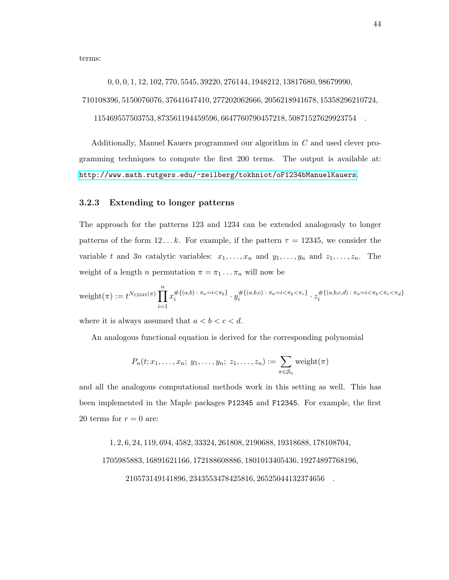terms:

0, 0, 0, 1, 12, 102, 770, 5545, 39220, 276144, 1948212, 13817680, 98679990,

710108396, 5150076076, 37641647410, 277202062666, 2056218941678, 15358296210724,

115469557503753, 873561194459596, 6647760790457218, 50871527629923754 .

Additionally, Manuel Kauers programmed our algorithm in C and used clever programming techniques to compute the first 200 terms. The output is available at: <http://www.math.rutgers.edu/~zeilberg/tokhniot/oF1234bManuelKauers>.

## 3.2.3 Extending to longer patterns

The approach for the patterns 123 and 1234 can be extended analogously to longer patterns of the form  $12...k$ . For example, if the pattern  $\tau = 12345$ , we consider the variable t and 3n catalytic variables:  $x_1, \ldots, x_n$  and  $y_1, \ldots, y_n$  and  $z_1, \ldots, z_n$ . The weight of a length *n* permutation  $\pi = \pi_1 \dots \pi_n$  will now be

$$
\text{weight}(\pi) := t^{N_{12345}(\pi)} \prod_{i=1}^{n} x_i^{\# \{(a,b) \; : \; \pi_a = i < \pi_b\}} \cdot y_i^{\# \{(a,b,c) \; : \; \pi_a = i < \pi_b < \pi_c\}} \cdot z_i^{\# \{(a,b,c,d) \; : \; \pi_a = i < \pi_b < \pi_c < \pi_d\}}
$$

where it is always assumed that  $a < b < c < d$ .

An analogous functional equation is derived for the corresponding polynomial

$$
P_n(t; x_1,\ldots,x_n; y_1,\ldots,y_n; z_1,\ldots,z_n) := \sum_{\pi \in S_n} \text{weight}(\pi)
$$

and all the analogous computational methods work in this setting as well. This has been implemented in the Maple packages P12345 and F12345. For example, the first 20 terms for  $r = 0$  are:

1, 2, 6, 24, 119, 694, 4582, 33324, 261808, 2190688, 19318688, 178108704,

1705985883, 16891621166, 172188608886, 1801013405436, 19274897768196,

210573149141896, 2343553478425816, 26525044132374656 .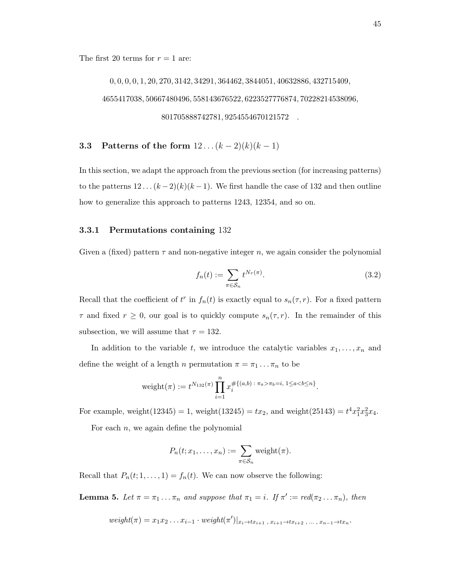The first 20 terms for  $r = 1$  are:

0, 0, 0, 0, 1, 20, 270, 3142, 34291, 364462, 3844051, 40632886, 432715409, 4655417038, 50667480496, 558143676522, 6223527776874, 70228214538096, 801705888742781, 9254554670121572 .

**3.3** Patterns of the form  $12... (k-2)(k)(k-1)$ 

In this section, we adapt the approach from the previous section (for increasing patterns) to the patterns  $12 \ldots (k-2)(k)(k-1)$ . We first handle the case of 132 and then outline how to generalize this approach to patterns 1243, 12354, and so on.

#### 3.3.1 Permutations containing 132

Given a (fixed) pattern  $\tau$  and non-negative integer n, we again consider the polynomial

$$
f_n(t) := \sum_{\pi \in S_n} t^{N_\tau(\pi)}.
$$
\n(3.2)

Recall that the coefficient of  $t^r$  in  $f_n(t)$  is exactly equal to  $s_n(\tau, r)$ . For a fixed pattern  $\tau$  and fixed  $r \geq 0$ , our goal is to quickly compute  $s_n(\tau, r)$ . In the remainder of this subsection, we will assume that  $\tau = 132$ .

In addition to the variable t, we introduce the catalytic variables  $x_1, \ldots, x_n$  and define the weight of a length *n* permutation  $\pi = \pi_1 \dots \pi_n$  to be

$$
weight(\pi) := t^{N_{132}(\pi)} \prod_{i=1}^{n} x_i^{\# \{(a,b) : \pi_a > \pi_b = i, 1 \le a < b \le n\}}.
$$

For example, weight(12345) = 1, weight(13245) =  $tx_2$ , and weight(25143) =  $t^4x_1^2x_3^2x_4$ .

For each  $n$ , we again define the polynomial

$$
P_n(t; x_1,\ldots,x_n) := \sum_{\pi \in S_n} \text{weight}(\pi).
$$

Recall that  $P_n(t; 1, \ldots, 1) = f_n(t)$ . We can now observe the following:

**Lemma 5.** Let  $\pi = \pi_1 \dots \pi_n$  and suppose that  $\pi_1 = i$ . If  $\pi' := \text{red}(\pi_2 \dots \pi_n)$ , then

$$
weight(\pi) = x_1 x_2 \dots x_{i-1} \cdot weight(\pi')|_{x_i \to tx_{i+1}, x_{i+1} \to tx_{i+2}, \dots, x_{n-1} \to tx_n}.
$$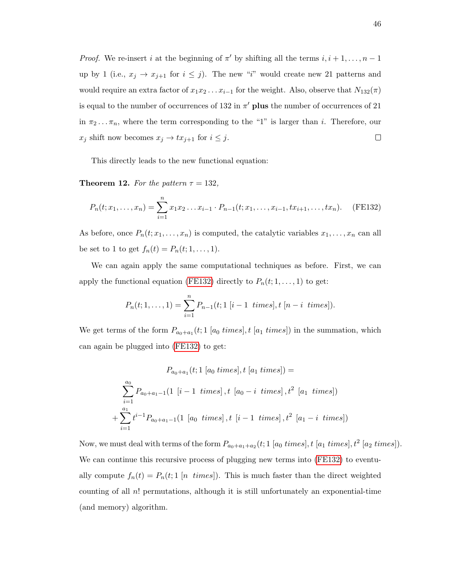*Proof.* We re-insert i at the beginning of  $\pi'$  by shifting all the terms  $i, i + 1, \ldots, n - 1$ up by 1 (i.e.,  $x_j \rightarrow x_{j+1}$  for  $i \leq j$ ). The new "i" would create new 21 patterns and would require an extra factor of  $x_1x_2 \ldots x_{i-1}$  for the weight. Also, observe that  $N_{132}(\pi)$ is equal to the number of occurrences of 132 in  $\pi'$  plus the number of occurrences of 21 in  $\pi_2 \dots \pi_n$ , where the term corresponding to the "1" is larger than *i*. Therefore, our  $x_j$  shift now becomes  $x_j \to tx_{j+1}$  for  $i \leq j$ .  $\Box$ 

This directly leads to the new functional equation:

**Theorem 12.** For the pattern  $\tau = 132$ ,

$$
P_n(t; x_1, \dots, x_n) = \sum_{i=1}^n x_1 x_2 \dots x_{i-1} \cdot P_{n-1}(t; x_1, \dots, x_{i-1}, tx_{i+1}, \dots, tx_n).
$$
 (FE132)

As before, once  $P_n(t; x_1, \ldots, x_n)$  is computed, the catalytic variables  $x_1, \ldots, x_n$  can all be set to 1 to get  $f_n(t) = P_n(t; 1, ..., 1)$ .

We can again apply the same computational techniques as before. First, we can apply the functional equation [\(FE132\)](#page-52-0) directly to  $P_n(t; 1, \ldots, 1)$  to get:

<span id="page-52-0"></span>
$$
P_n(t; 1, \ldots, 1) = \sum_{i=1}^n P_{n-1}(t; 1 \ [i-1 \ times], t \ [n-i \ times]).
$$

We get terms of the form  $P_{a_0+a_1}(t; 1 \text{ [}a_0 \text{ times}], t \text{ [}a_1 \text{ times}])$  in the summation, which can again be plugged into [\(FE132\)](#page-52-0) to get:

$$
P_{a_0+a_1}(t; 1 [a_0 \text{ times}], t [a_1 \text{ times}]) =
$$
\n
$$
\sum_{i=1}^{a_0} P_{a_0+a_1-1}(1 [i-1 \text{ times}], t [a_0-i \text{ times}], t^2 [a_1 \text{ times}])
$$
\n
$$
+ \sum_{i=1}^{a_1} t^{i-1} P_{a_0+a_1-1}(1 [a_0 \text{ times}], t [i-1 \text{ times}], t^2 [a_1-i \text{ times}])
$$

Now, we must deal with terms of the form  $P_{a_0+a_1+a_2}(t; 1 \text{ } [a_0 \text{ times}], t \text{ } [a_1 \text{ times}], t^2 \text{ } [a_2 \text{ times}]).$ We can continue this recursive process of plugging new terms into [\(FE132\)](#page-52-0) to eventually compute  $f_n(t) = P_n(t; 1 \nvert n \nvert times)$ . This is much faster than the direct weighted counting of all  $n!$  permutations, although it is still unfortunately an exponential-time (and memory) algorithm.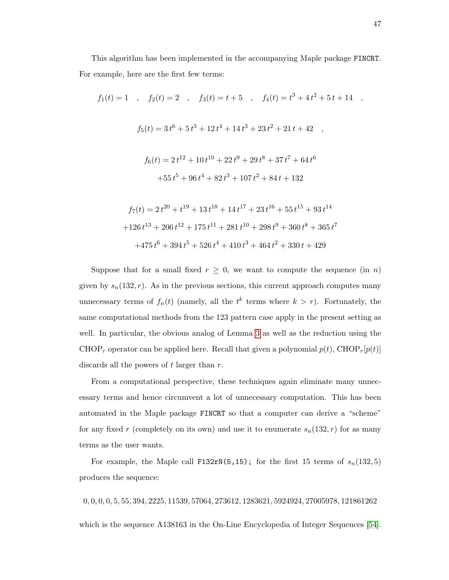This algorithm has been implemented in the accompanying Maple package FINCRT. For example, here are the first few terms:

$$
f_1(t) = 1 \t, \t f_2(t) = 2 \t, \t f_3(t) = t + 5 \t, \t f_4(t) = t^3 + 4t^2 + 5t + 14 \t,
$$
  

$$
f_5(t) = 3t^6 + 5t^5 + 12t^4 + 14t^3 + 23t^2 + 21t + 42 \t,
$$
  

$$
f_6(t) = 2t^{12} + 10t^{10} + 22t^9 + 29t^8 + 37t^7 + 64t^6
$$
  

$$
+ 55t^5 + 96t^4 + 82t^3 + 107t^2 + 84t + 132
$$
  

$$
f_7(t) = 2t^{20} + t^{19} + 13t^{18} + 14t^{17} + 23t^{16} + 55t^{15} + 93t^{14}
$$
  

$$
+ 126t^{13} + 206t^{12} + 175t^{11} + 281t^{10} + 298t^9 + 360t^8 + 365t^7
$$

$$
+475\,{t}^{6}+394\,{t}^{5}+526\,{t}^{4}+410\,{t}^{3}+464\,{t}^{2}+330\,t+429
$$

Suppose that for a small fixed  $r \geq 0$ , we want to compute the sequence (in n) given by  $s_n(132, r)$ . As in the previous sections, this current approach computes many unnecessary terms of  $f_n(t)$  (namely, all the  $t^k$  terms where  $k > r$ ). Fortunately, the same computational methods from the 123 pattern case apply in the present setting as well. In particular, the obvious analog of Lemma [3](#page-44-0) as well as the reduction using the CHOP<sub>r</sub> operator can be applied here. Recall that given a polynomial  $p(t)$ , CHOP<sub>r</sub> $[p(t)]$ discards all the powers of  $t$  larger than  $r$ .

From a computational perspective, these techniques again eliminate many unnecessary terms and hence circumvent a lot of unnecessary computation. This has been automated in the Maple package FINCRT so that a computer can derive a "scheme" for any fixed r (completely on its own) and use it to enumerate  $s_n(132, r)$  for as many terms as the user wants.

For example, the Maple call F132rN(5,15); for the first 15 terms of  $s_n(132,5)$ produces the sequence:

, 0, 0, 0, 5, 55, 394, 2225, 11539, 57064, 273612, 1283621, 5924924, 27005978, 121861262 which is the sequence A138163 in the On-Line Encyclopedia of Integer Sequences [\[54\]](#page-100-5).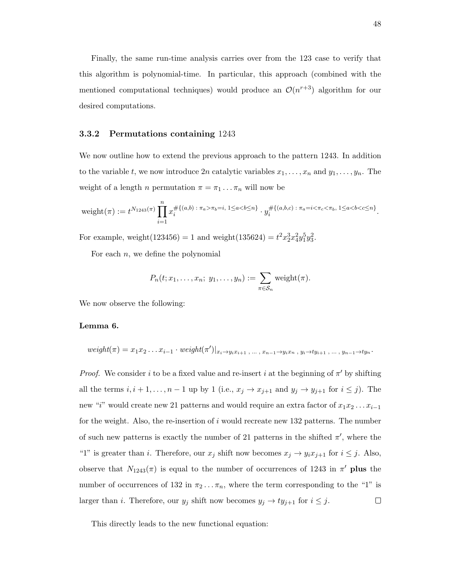Finally, the same run-time analysis carries over from the 123 case to verify that this algorithm is polynomial-time. In particular, this approach (combined with the mentioned computational techniques) would produce an  $\mathcal{O}(n^{r+3})$  algorithm for our desired computations.

#### 3.3.2 Permutations containing 1243

We now outline how to extend the previous approach to the pattern 1243. In addition to the variable t, we now introduce  $2n$  catalytic variables  $x_1, \ldots, x_n$  and  $y_1, \ldots, y_n$ . The weight of a length *n* permutation  $\pi = \pi_1 \dots \pi_n$  will now be

$$
\text{weight}(\pi) := t^{N_{1243}(\pi)} \prod_{i=1}^n x_i^{\# \{(a,b) \,:\, \pi_a > \pi_b = i, \, 1 \le a < b \le n\}} \cdot y_i^{\# \{(a,b,c) \,:\, \pi_a = i < \pi_c < \pi_b, \, 1 \le a < b < c \le n\}}.
$$

For example, weight(123456) = 1 and weight(135624) =  $t^2 x_2^3 x_4^2 y_1^5 y_3^2$ .

For each  $n$ , we define the polynomial

$$
P_n(t; x_1,\ldots,x_n; y_1,\ldots,y_n):=\sum_{\pi\in S_n} \mathrm{weight}(\pi).
$$

We now observe the following:

## Lemma 6.

$$
weight(\pi) = x_1 x_2 \dots x_{i-1} \cdot weight(\pi')|_{x_i \to y_i x_{i+1}, \dots, x_{n-1} \to y_i x_n, y_i \to ty_{i+1}, \dots, y_{n-1} \to ty_n}.
$$

*Proof.* We consider i to be a fixed value and re-insert i at the beginning of  $\pi'$  by shifting all the terms  $i, i + 1, \ldots, n - 1$  up by 1 (i.e.,  $x_j \to x_{j+1}$  and  $y_j \to y_{j+1}$  for  $i \leq j$ ). The new "i" would create new 21 patterns and would require an extra factor of  $x_1x_2 \ldots x_{i-1}$ for the weight. Also, the re-insertion of  $i$  would recreate new 132 patterns. The number of such new patterns is exactly the number of 21 patterns in the shifted  $\pi'$ , where the "1" is greater than i. Therefore, our  $x_j$  shift now becomes  $x_j \to y_i x_{j+1}$  for  $i \leq j$ . Also, observe that  $N_{1243}(\pi)$  is equal to the number of occurrences of 1243 in  $\pi'$  plus the number of occurrences of 132 in  $\pi_2 \dots \pi_n$ , where the term corresponding to the "1" is larger than *i*. Therefore, our  $y_j$  shift now becomes  $y_j \rightarrow ty_{j+1}$  for  $i \leq j$ .  $\Box$ 

This directly leads to the new functional equation: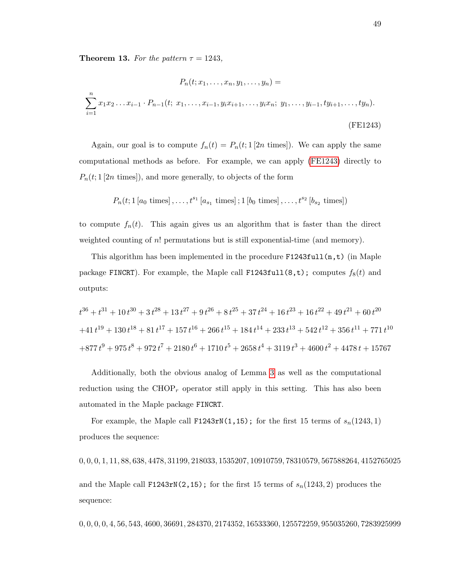**Theorem 13.** For the pattern  $\tau = 1243$ ,

$$
P_n(t; x_1, \dots, x_n, y_1, \dots, y_n) =
$$
  

$$
\sum_{i=1}^n x_1 x_2 \dots x_{i-1} \cdot P_{n-1}(t; x_1, \dots, x_{i-1}, y_i x_{i+1}, \dots, y_i x_n; y_1, \dots, y_{i-1}, ty_{i+1}, \dots, ty_n).
$$
  
(FE1243)

Again, our goal is to compute  $f_n(t) = P_n(t; 1 [2n \text{ times}])$ . We can apply the same computational methods as before. For example, we can apply [\(FE1243\)](#page-55-0) directly to  $P_n(t; 1|2n \text{ times})$ , and more generally, to objects of the form

<span id="page-55-0"></span>
$$
P_n(t; 1 [a_0 \text{ times}], \ldots, t^{s_1} [a_{s_1} \text{ times}]; 1 [b_0 \text{ times}], \ldots, t^{s_2} [b_{s_2} \text{ times}])
$$

to compute  $f_n(t)$ . This again gives us an algorithm that is faster than the direct weighted counting of n! permutations but is still exponential-time (and memory).

This algorithm has been implemented in the procedure  $F1243full(n,t)$  (in Maple package FINCRT). For example, the Maple call F1243full(8,t); computes  $f_8(t)$  and outputs:

$$
t^{36} + t^{31} + 10t^{30} + 3t^{28} + 13t^{27} + 9t^{26} + 8t^{25} + 37t^{24} + 16t^{23} + 16t^{22} + 49t^{21} + 60t^{20}
$$
  
+41 $t^{19}$  + 130 $t^{18}$  + 81 $t^{17}$  + 157 $t^{16}$  + 266 $t^{15}$  + 184 $t^{14}$  + 233 $t^{13}$  + 542 $t^{12}$  + 356 $t^{11}$  + 771 $t^{10}$   
+877 $t^{9}$  + 975 $t^{8}$  + 972 $t^{7}$  + 2180 $t^{6}$  + 1710 $t^{5}$  + 2658 $t^{4}$  + 3119 $t^{3}$  + 4600 $t^{2}$  + 4478 $t$  + 15767

Additionally, both the obvious analog of Lemma [3](#page-44-0) as well as the computational reduction using the  $CHOP<sub>r</sub>$  operator still apply in this setting. This has also been automated in the Maple package FINCRT.

For example, the Maple call F1243rN(1,15); for the first 15 terms of  $s_n(1243, 1)$ produces the sequence:

0, 0, 0, 1, 11, 88, 638, 4478, 31199, 218033, 1535207, 10910759, 78310579, 567588264, 4152765025

and the Maple call F1243rN(2,15); for the first 15 terms of  $s_n(1243, 2)$  produces the sequence:

0, 0, 0, 0, 4, 56, 543, 4600, 36691, 284370, 2174352, 16533360, 125572259, 955035260, 7283925999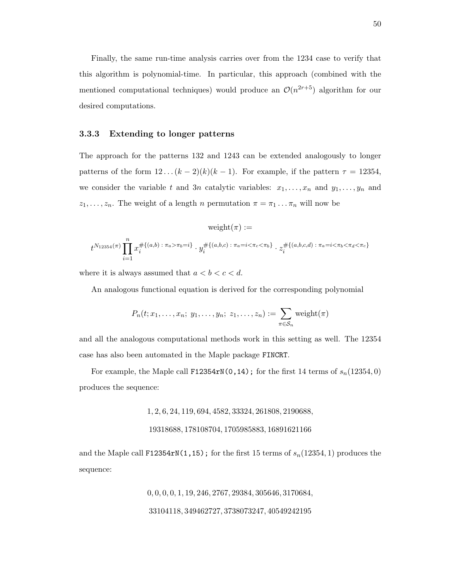Finally, the same run-time analysis carries over from the 1234 case to verify that this algorithm is polynomial-time. In particular, this approach (combined with the mentioned computational techniques) would produce an  $\mathcal{O}(n^{2r+5})$  algorithm for our desired computations.

#### 3.3.3 Extending to longer patterns

The approach for the patterns 132 and 1243 can be extended analogously to longer patterns of the form  $12 \dots (k-2)(k)(k-1)$ . For example, if the pattern  $\tau = 12354$ , we consider the variable t and 3n catalytic variables:  $x_1, \ldots, x_n$  and  $y_1, \ldots, y_n$  and  $z_1, \ldots, z_n$ . The weight of a length n permutation  $\pi = \pi_1 \ldots \pi_n$  will now be

$$
\text{weight}(\pi) :=
$$
  

$$
t^{N_{12354}(\pi)} \prod_{i=1}^{n} x_i^{\# \{(a,b) \; : \; \pi_a > \pi_b = i\}} \cdot y_i^{\# \{(a,b,c) \; : \; \pi_a = i < \pi_c < \pi_b\}} \cdot z_i^{\# \{(a,b,c,d) \; : \; \pi_a = i < \pi_b < \pi_d < \pi_c\}}
$$

where it is always assumed that  $a < b < c < d$ .

An analogous functional equation is derived for the corresponding polynomial

$$
P_n(t; x_1,\ldots,x_n; y_1,\ldots,y_n; z_1,\ldots,z_n) := \sum_{\pi \in S_n} \text{weight}(\pi)
$$

and all the analogous computational methods work in this setting as well. The 12354 case has also been automated in the Maple package FINCRT.

For example, the Maple call F12354rN(0,14); for the first 14 terms of  $s_n(12354, 0)$ produces the sequence:

1, 2, 6, 24, 119, 694, 4582, 33324, 261808, 2190688,

#### 19318688, 178108704, 1705985883, 16891621166

and the Maple call F12354rN(1,15); for the first 15 terms of  $s_n(12354, 1)$  produces the sequence:

> 0, 0, 0, 0, 1, 19, 246, 2767, 29384, 305646, 3170684, 33104118, 349462727, 3738073247, 40549242195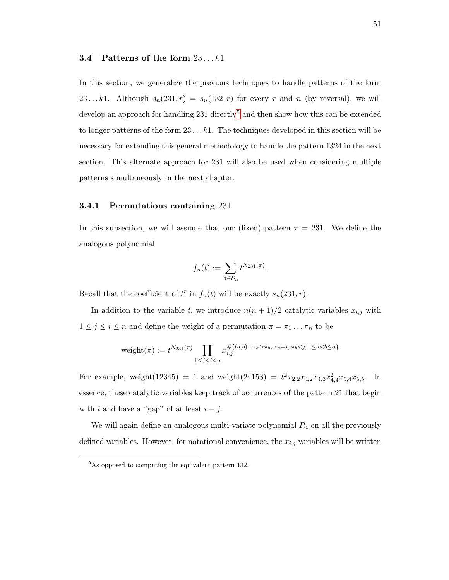#### 3.4 Patterns of the form  $23...k1$

In this section, we generalize the previous techniques to handle patterns of the form 23...k1. Although  $s_n(231, r) = s_n(132, r)$  for every r and n (by reversal), we will develop an approach for handling  $231$  directly<sup>[5](#page-57-0)</sup> and then show how this can be extended to longer patterns of the form  $23 \dots k1$ . The techniques developed in this section will be necessary for extending this general methodology to handle the pattern 1324 in the next section. This alternate approach for 231 will also be used when considering multiple patterns simultaneously in the next chapter.

#### 3.4.1 Permutations containing 231

In this subsection, we will assume that our (fixed) pattern  $\tau = 231$ . We define the analogous polynomial

$$
f_n(t) := \sum_{\pi \in S_n} t^{N_{231}(\pi)}.
$$

Recall that the coefficient of  $t^r$  in  $f_n(t)$  will be exactly  $s_n(231, r)$ .

In addition to the variable t, we introduce  $n(n+1)/2$  catalytic variables  $x_{i,j}$  with  $1 \leq j \leq i \leq n$  and define the weight of a permutation  $\pi = \pi_1 \dots \pi_n$  to be

$$
weight(\pi) := t^{N_{231}(\pi)} \prod_{1 \le j \le i \le n} x_{i,j}^{\# \{(a,b) \,:\, \pi_a > \pi_b, \, \pi_a = i, \, \pi_b < j, \, 1 \le a < b \le n\}}
$$

For example, weight(12345) = 1 and weight(24153) =  $t^2x_{2,2}x_{4,2}x_{4,3}x_{4,4}^2x_{5,4}x_{5,5}$ . In essence, these catalytic variables keep track of occurrences of the pattern 21 that begin with *i* and have a "gap" of at least  $i - j$ .

We will again define an analogous multi-variate polynomial  $P_n$  on all the previously defined variables. However, for notational convenience, the  $x_{i,j}$  variables will be written

<span id="page-57-0"></span> $5$ As opposed to computing the equivalent pattern 132.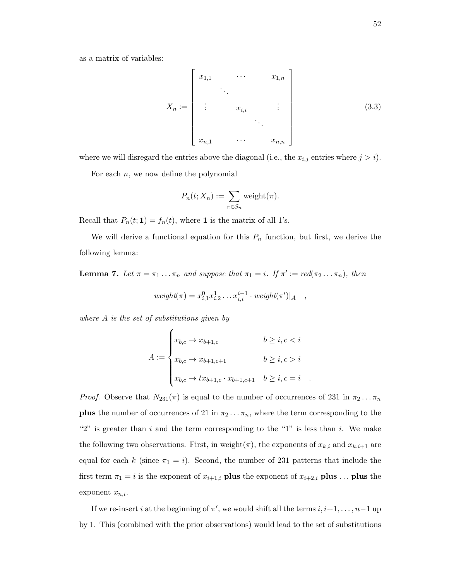as a matrix of variables:

$$
X_n := \begin{bmatrix} x_{1,1} & \cdots & x_{1,n} \\ \vdots & \vdots & \vdots \\ x_{i,i} & \cdots & x_{n,n} \end{bmatrix}
$$
 (3.3)

where we will disregard the entries above the diagonal (i.e., the  $x_{i,j}$  entries where  $j > i$ ).

For each  $n$ , we now define the polynomial

$$
P_n(t; X_n) := \sum_{\pi \in S_n} \text{weight}(\pi).
$$

Recall that  $P_n(t; 1) = f_n(t)$ , where 1 is the matrix of all 1's.

We will derive a functional equation for this  $P_n$  function, but first, we derive the following lemma:

**Lemma 7.** Let  $\pi = \pi_1 \dots \pi_n$  and suppose that  $\pi_1 = i$ . If  $\pi' := \text{red}(\pi_2 \dots \pi_n)$ , then

$$
weight(\pi) = x_{i,1}^0 x_{i,2}^1 \dots x_{i,i}^{i-1} \cdot weight(\pi')|_{A} ,
$$

where  $A$  is the set of substitutions given by

$$
A := \begin{cases} x_{b,c} \to x_{b+1,c} & b \ge i, c < i \\ x_{b,c} \to x_{b+1,c+1} & b \ge i, c > i \\ x_{b,c} \to tx_{b+1,c} \cdot x_{b+1,c+1} & b \ge i, c = i \\ \end{cases}
$$

*Proof.* Observe that  $N_{231}(\pi)$  is equal to the number of occurrences of 231 in  $\pi_2 \dots \pi_n$ **plus** the number of occurrences of 21 in  $\pi_2 \dots \pi_n$ , where the term corresponding to the "2" is greater than  $i$  and the term corresponding to the "1" is less than  $i$ . We make the following two observations. First, in weight( $\pi$ ), the exponents of  $x_{k,i}$  and  $x_{k,i+1}$  are equal for each k (since  $\pi_1 = i$ ). Second, the number of 231 patterns that include the first term  $\pi_1 = i$  is the exponent of  $x_{i+1,i}$  plus the exponent of  $x_{i+2,i}$  plus ... plus the exponent  $x_{n,i}$ .

If we re-insert i at the beginning of  $\pi'$ , we would shift all the terms  $i, i+1, \ldots, n-1$  up by 1. This (combined with the prior observations) would lead to the set of substitutions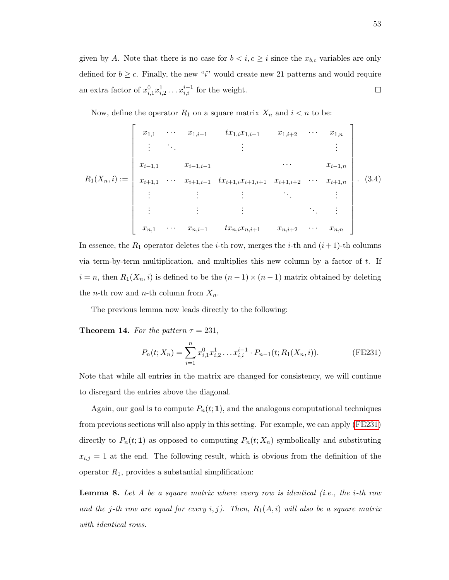given by A. Note that there is no case for  $b < i, c \geq i$  since the  $x_{b,c}$  variables are only defined for  $b \geq c$ . Finally, the new "i" would create new 21 patterns and would require an extra factor of  $x_{i,1}^0 x_{i,2}^1 \ldots x_{i,i}^{i-1}$  for the weight.  $\Box$ 

<span id="page-59-2"></span>Now, define the operator  $R_1$  on a square matrix  $X_n$  and  $i < n$  to be:

$$
R_1(X_n, i) := \begin{bmatrix} x_{1,1} & \cdots & x_{1,i-1} & tx_{1,i}x_{1,i+1} & x_{1,i+2} & \cdots & x_{1,n} \\ \vdots & \ddots & & \vdots & & \vdots \\ x_{i-1,1} & x_{i-1,i-1} & \cdots & x_{i+1,i+1} & \cdots & x_{i-1,n} \\ x_{i+1,1} & \cdots & x_{i+1,i-1} & tx_{i+1,i}x_{i+1,i+1} & x_{i+1,i+2} & \cdots & x_{i+1,n} \\ \vdots & \vdots & & \vdots & & \vdots \\ x_{n,1} & \cdots & x_{n,i-1} & tx_{n,i}x_{n,i+1} & x_{n,i+2} & \cdots & x_{n,n} \end{bmatrix}.
$$
 (3.4)

In essence, the  $R_1$  operator deletes the *i*-th row, merges the *i*-th and  $(i+1)$ -th columns via term-by-term multiplication, and multiplies this new column by a factor of  $t$ . If  $i = n$ , then  $R_1(X_n, i)$  is defined to be the  $(n - 1) \times (n - 1)$  matrix obtained by deleting the *n*-th row and *n*-th column from  $X_n$ .

The previous lemma now leads directly to the following:

**Theorem 14.** For the pattern  $\tau = 231$ ,

<span id="page-59-0"></span>
$$
P_n(t; X_n) = \sum_{i=1}^n x_{i,1}^0 x_{i,2}^1 \dots x_{i,i}^{i-1} \cdot P_{n-1}(t; R_1(X_n, i)).
$$
 (FE231)

Note that while all entries in the matrix are changed for consistency, we will continue to disregard the entries above the diagonal.

Again, our goal is to compute  $P_n(t; 1)$ , and the analogous computational techniques from previous sections will also apply in this setting. For example, we can apply [\(FE231\)](#page-59-0) directly to  $P_n(t; 1)$  as opposed to computing  $P_n(t; X_n)$  symbolically and substituting  $x_{i,j} = 1$  at the end. The following result, which is obvious from the definition of the operator  $R_1$ , provides a substantial simplification:

<span id="page-59-1"></span>**Lemma 8.** Let A be a square matrix where every row is identical (i.e., the i-th row and the j-th row are equal for every i, j). Then,  $R_1(A, i)$  will also be a square matrix with identical rows.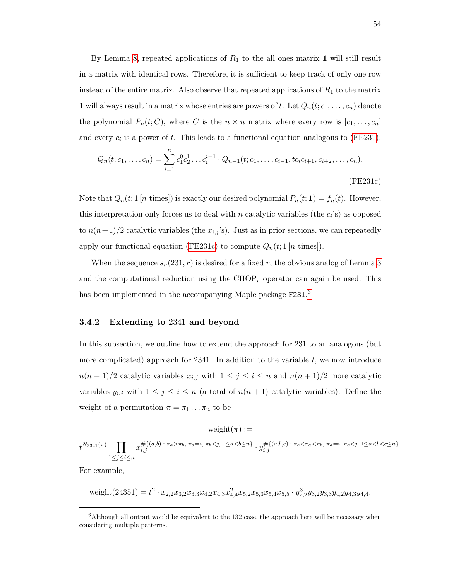By Lemma [8,](#page-59-1) repeated applications of  $R_1$  to the all ones matrix 1 will still result in a matrix with identical rows. Therefore, it is sufficient to keep track of only one row instead of the entire matrix. Also observe that repeated applications of  $R_1$  to the matrix **1** will always result in a matrix whose entries are powers of t. Let  $Q_n(t; c_1, \ldots, c_n)$  denote the polynomial  $P_n(t; C)$ , where C is the  $n \times n$  matrix where every row is  $[c_1, \ldots, c_n]$ and every  $c_i$  is a power of t. This leads to a functional equation analogous to [\(FE231\)](#page-59-0):

<span id="page-60-0"></span>
$$
Q_n(t; c_1, \dots, c_n) = \sum_{i=1}^n c_1^0 c_2^1 \dots c_i^{i-1} \cdot Q_{n-1}(t; c_1, \dots, c_{i-1}, t c_i c_{i+1}, c_{i+2}, \dots, c_n).
$$
\n(FE231c)

Note that  $Q_n(t; 1 \mid n \text{ times})$  is exactly our desired polynomial  $P_n(t; 1) = f_n(t)$ . However, this interpretation only forces us to deal with n catalytic variables (the  $c_i$ 's) as opposed to  $n(n+1)/2$  catalytic variables (the  $x_{i,j}$ 's). Just as in prior sections, we can repeatedly apply our functional equation [\(FE231c\)](#page-60-0) to compute  $Q_n(t; 1 \mid n \text{ times}])$ .

When the sequence  $s_n(231, r)$  is desired for a fixed r, the obvious analog of Lemma [3](#page-44-0) and the computational reduction using the  $CHOP<sub>r</sub>$  operator can again be used. This has been implemented in the accompanying Maple package  $F231.<sup>6</sup>$  $F231.<sup>6</sup>$  $F231.<sup>6</sup>$ 

#### 3.4.2 Extending to 2341 and beyond

In this subsection, we outline how to extend the approach for 231 to an analogous (but more complicated) approach for  $2341$ . In addition to the variable t, we now introduce  $n(n+1)/2$  catalytic variables  $x_{i,j}$  with  $1 \leq j \leq i \leq n$  and  $n(n+1)/2$  more catalytic variables  $y_{i,j}$  with  $1 \leq j \leq i \leq n$  (a total of  $n(n+1)$  catalytic variables). Define the weight of a permutation  $\pi = \pi_1 \dots \pi_n$  to be

 $weight(\pi) :=$ 

 $t^{N_{2341}(\pi)}$  T  $1\leq j\leq i\leq n$  $x_{i,j}^{\#\{(a,b):\,\pi_a>\pi_b,\,\,\pi_a=i,\,\pi_b < j,\,1\leq a < b \leq n\}} \cdot y_{i,j}^{\#\{(a,b,c):\,\pi_c < \pi_a < \pi_b,\,\,\pi_a=i,\,\pi_c < j,\,1\leq a < b < c \leq n\}}$  $_{i,j}$ 

For example,

$$
\text{weight}(24351) = t^2 \cdot x_{2,2} x_{3,2} x_{3,3} x_{4,2} x_{4,3} x_{4,4}^2 x_{5,2} x_{5,3} x_{5,4} x_{5,5} \cdot y_{2,2}^3 y_{3,2} y_{3,3} y_{4,2} y_{4,3} y_{4,4}.
$$

<span id="page-60-1"></span> $6$ Although all output would be equivalent to the 132 case, the approach here will be necessary when considering multiple patterns.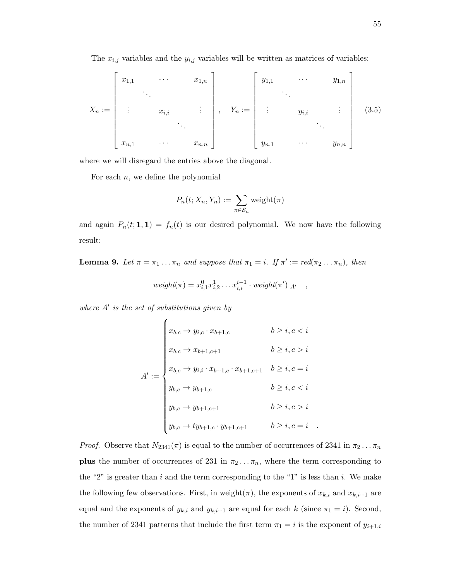The  $x_{i,j}$  variables and the  $y_{i,j}$  variables will be written as matrices of variables:

$$
X_{n} := \begin{bmatrix} x_{1,1} & \cdots & x_{1,n} \\ \vdots & \vdots & \vdots \\ x_{i,j} & \vdots \\ x_{n,1} & \cdots & x_{n,n} \end{bmatrix}, Y_{n} := \begin{bmatrix} y_{1,1} & \cdots & y_{1,n} \\ \vdots & \vdots \\ y_{i,j} & \cdots & y_{n,n} \end{bmatrix}
$$
(3.5)

where we will disregard the entries above the diagonal.

For each  $n$ , we define the polynomial

$$
P_n(t; X_n, Y_n) := \sum_{\pi \in S_n} \text{weight}(\pi)
$$

and again  $P_n(t; 1, 1) = f_n(t)$  is our desired polynomial. We now have the following result:

**Lemma 9.** Let  $\pi = \pi_1 \dots \pi_n$  and suppose that  $\pi_1 = i$ . If  $\pi' := \text{red}(\pi_2 \dots \pi_n)$ , then

$$
weight(\pi) = x_{i,1}^0 x_{i,2}^1 \dots x_{i,i}^{i-1} \cdot weight(\pi')|_{A'} ,
$$

where  $A'$  is the set of substitutions given by

$$
A' := \begin{cases} x_{b,c} \to y_{i,c} \cdot x_{b+1,c} & b \ge i, c < i \\ x_{b,c} \to x_{b+1,c+1} & b \ge i, c > i \\ x_{b,c} \to y_{i,i} \cdot x_{b+1,c} \cdot x_{b+1,c+1} & b \ge i, c = i \\ y_{b,c} \to y_{b+1,c} & b \ge i, c < i \\ y_{b,c} \to y_{b+1,c+1} & b \ge i, c > i \\ y_{b,c} \to ty_{b+1,c} \cdot y_{b+1,c+1} & b \ge i, c = i \\ \end{cases}
$$

*Proof.* Observe that  $N_{2341}(\pi)$  is equal to the number of occurrences of 2341 in  $\pi_2 \dots \pi_n$ **plus** the number of occurrences of 231 in  $\pi_2 \dots \pi_n$ , where the term corresponding to the "2" is greater than i and the term corresponding to the "1" is less than i. We make the following few observations. First, in weight( $\pi$ ), the exponents of  $x_{k,i}$  and  $x_{k,i+1}$  are equal and the exponents of  $y_{k,i}$  and  $y_{k,i+1}$  are equal for each k (since  $\pi_1 = i$ ). Second, the number of 2341 patterns that include the first term  $\pi_1 = i$  is the exponent of  $y_{i+1,i}$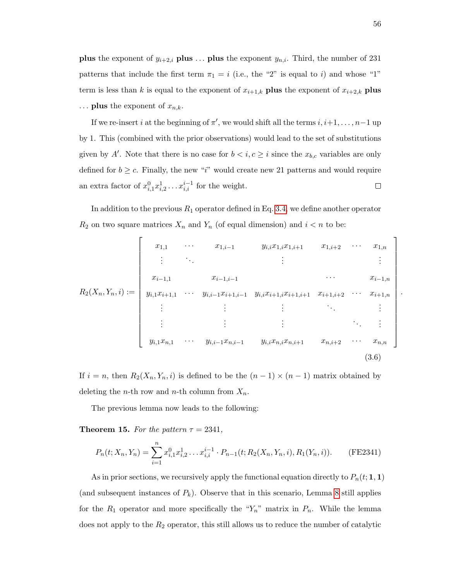**plus** the exponent of  $y_{i+2,i}$  **plus** ... **plus** the exponent  $y_{n,i}$ . Third, the number of 231 patterns that include the first term  $\pi_1 = i$  (i.e., the "2" is equal to i) and whose "1" term is less than k is equal to the exponent of  $x_{i+1,k}$  plus the exponent of  $x_{i+2,k}$  plus  $\ldots$  plus the exponent of  $x_{n,k}$ .

If we re-insert i at the beginning of  $\pi'$ , we would shift all the terms  $i, i+1, \ldots, n-1$  up by 1. This (combined with the prior observations) would lead to the set of substitutions given by A'. Note that there is no case for  $b < i, c \geq i$  since the  $x_{b,c}$  variables are only defined for  $b \geq c$ . Finally, the new "i" would create new 21 patterns and would require an extra factor of  $x_{i,1}^0 x_{i,2}^1 \ldots x_{i,i}^{i-1}$  for the weight.  $\Box$ 

In addition to the previous  $R_1$  operator defined in Eq. [3.4,](#page-59-2) we define another operator  $R_2$  on two square matrices  $X_n$  and  $Y_n$  (of equal dimension) and  $i < n$  to be:

$$
R_2(X_n, Y_n, i) := \begin{bmatrix} x_{1,1} & x_{1,i-1} & y_{i,i}x_{1,i}x_{1,i+1} & x_{1,i+2} & \cdots & x_{1,n} \\ \vdots & \vdots & & \vdots & & \vdots \\ x_{i-1,1} & x_{i-1,i-1} & \cdots & x_{i+1,i}x_{i+1,i+1} & x_{i+1,i+2} & \cdots & x_{i+1,n} \\ y_{i,1}x_{i+1,1} & \cdots & y_{i,i-1}x_{i+1,i-1} & y_{i,i}x_{i+1,i}x_{i+1,i+1} & x_{i+1,i+2} & \cdots & x_{i+1,n} \\ \vdots & \vdots & \vdots & & \vdots & & \vdots \\ y_{i,1}x_{n,1} & \cdots & y_{i,i-1}x_{n,i-1} & y_{i,i}x_{n,i}x_{n,i+1} & x_{n,i+2} & \cdots & x_{n,n} \end{bmatrix}.
$$
\n(3.6)

If  $i = n$ , then  $R_2(X_n, Y_n, i)$  is defined to be the  $(n - 1) \times (n - 1)$  matrix obtained by deleting the *n*-th row and *n*-th column from  $X_n$ .

The previous lemma now leads to the following:

**Theorem 15.** For the pattern  $\tau = 2341$ ,

$$
P_n(t; X_n, Y_n) = \sum_{i=1}^n x_{i,1}^0 x_{i,2}^1 \dots x_{i,i}^{i-1} \cdot P_{n-1}(t; R_2(X_n, Y_n, i), R_1(Y_n, i)).
$$
 (FE2341)

As in prior sections, we recursively apply the functional equation directly to  $P_n(t; 1, 1)$ (and subsequent instances of  $P_k$ ). Observe that in this scenario, Lemma [8](#page-59-1) still applies for the  $R_1$  operator and more specifically the " $Y_n$ " matrix in  $P_n$ . While the lemma does not apply to the  $R_2$  operator, this still allows us to reduce the number of catalytic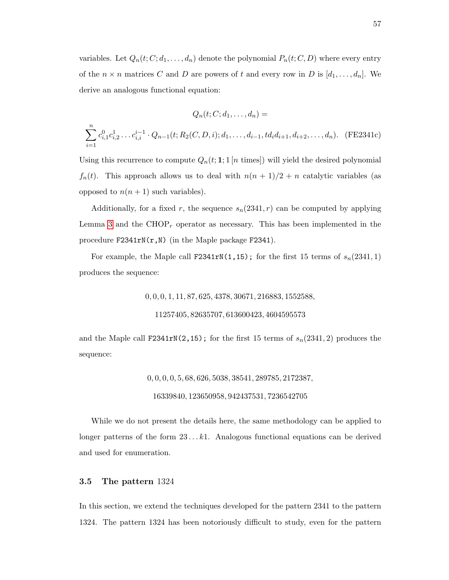variables. Let  $Q_n(t; C; d_1, \ldots, d_n)$  denote the polynomial  $P_n(t; C, D)$  where every entry of the  $n \times n$  matrices C and D are powers of t and every row in D is  $[d_1, \ldots, d_n]$ . We derive an analogous functional equation:

$$
Q_n(t; C; d_1, \dots, d_n) =
$$
  

$$
\sum_{i=1}^n c_{i,1}^0 c_{i,2}^1 \dots c_{i,i}^{i-1} \cdot Q_{n-1}(t; R_2(C, D, i); d_1, \dots, d_{i-1}, td_i d_{i+1}, d_{i+2}, \dots, d_n). \quad (FE2341c)
$$

Using this recurrence to compute  $Q_n(t; 1; 1 \mid n \text{ times})$  will yield the desired polynomial  $f_n(t)$ . This approach allows us to deal with  $n(n + 1)/2 + n$  catalytic variables (as opposed to  $n(n + 1)$  such variables).

Additionally, for a fixed r, the sequence  $s_n(2341, r)$  can be computed by applying Lemma [3](#page-44-0) and the  $CHOP<sub>r</sub>$  operator as necessary. This has been implemented in the procedure  $F2341rN(r, N)$  (in the Maple package  $F2341$ ).

For example, the Maple call F2341rN(1,15); for the first 15 terms of  $s_n(2341, 1)$ produces the sequence:

0, 0, 0, 1, 11, 87, 625, 4378, 30671, 216883, 1552588,

11257405, 82635707, 613600423, 4604595573

and the Maple call F2341rN(2,15); for the first 15 terms of  $s_n(2341, 2)$  produces the sequence:

0, 0, 0, 0, 5, 68, 626, 5038, 38541, 289785, 2172387,

```
16339840, 123650958, 942437531, 7236542705
```
While we do not present the details here, the same methodology can be applied to longer patterns of the form  $23 \dots k1$ . Analogous functional equations can be derived and used for enumeration.

#### 3.5 The pattern 1324

In this section, we extend the techniques developed for the pattern 2341 to the pattern 1324. The pattern 1324 has been notoriously difficult to study, even for the pattern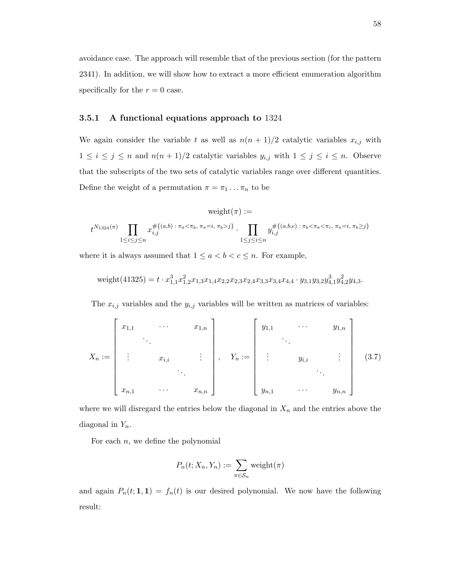avoidance case. The approach will resemble that of the previous section (for the pattern 2341). In addition, we will show how to extract a more efficient enumeration algorithm specifically for the  $r = 0$  case.

#### 3.5.1 A functional equations approach to 1324

We again consider the variable t as well as  $n(n + 1)/2$  catalytic variables  $x_{i,j}$  with  $1 \leq i \leq j \leq n$  and  $n(n+1)/2$  catalytic variables  $y_{i,j}$  with  $1 \leq j \leq i \leq n$ . Observe that the subscripts of the two sets of catalytic variables range over different quantities. Define the weight of a permutation  $\pi = \pi_1 \dots \pi_n$  to be

$$
\text{weight}(\pi) :=
$$
  

$$
t^{N_{1324}(\pi)} \prod_{1 \le i \le j \le n} x_{i,j}^{\# \{(a,b) \; : \; \pi_a < \pi_b, \; \pi_a = i, \; \pi_b > j\}} \cdot \prod_{1 \le j \le i \le n} y_{i,j}^{\# \{(a,b,c) \; : \; \pi_b < \pi_a < \pi_c, \; \pi_a = i, \; \pi_b \ge j\}}
$$

where it is always assumed that  $1 \le a < b < c \le n$ . For example,

$$
\text{weight}(41325) = t \cdot x_{1,1}^3 x_{1,2}^2 x_{1,3} x_{1,4} x_{2,2} x_{2,3} x_{2,4} x_{3,3} x_{3,4} x_{4,4} \cdot y_{3,1} y_{3,2} y_{4,1}^3 y_{4,2}^2 y_{4,3}.
$$

The  $x_{i,j}$  variables and the  $y_{i,j}$  variables will be written as matrices of variables:

$$
X_{n} := \begin{bmatrix} x_{1,1} & \cdots & x_{1,n} \\ \vdots & \vdots & \vdots \\ x_{i,1} & \cdots & x_{n,n} \end{bmatrix}, \quad Y_{n} := \begin{bmatrix} y_{1,1} & \cdots & y_{1,n} \\ \vdots & \vdots \\ y_{i,1} & \cdots & y_{n,n} \end{bmatrix}
$$
 (3.7)

where we will disregard the entries below the diagonal in  $X_n$  and the entries above the diagonal in  $Y_n$ .

For each  $n$ , we define the polynomial

$$
P_n(t; X_n, Y_n) := \sum_{\pi \in S_n} \text{weight}(\pi)
$$

and again  $P_n(t; 1, 1) = f_n(t)$  is our desired polynomial. We now have the following result: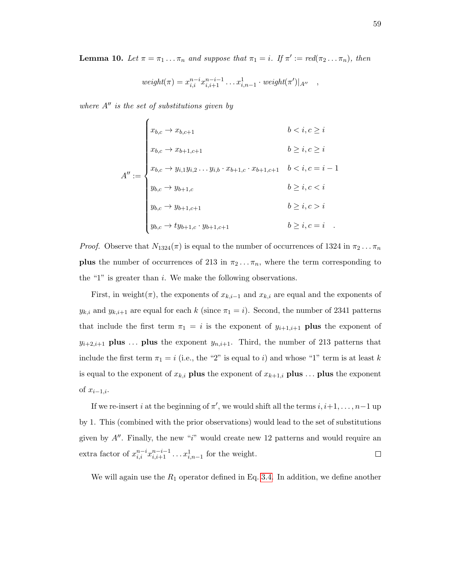**Lemma 10.** Let  $\pi = \pi_1 \dots \pi_n$  and suppose that  $\pi_1 = i$ . If  $\pi' := \text{red}(\pi_2 \dots \pi_n)$ , then

$$
weight(\pi) = x_{i,i}^{n-i} x_{i,i+1}^{n-i-1} \dots x_{i,n-1}^1 \cdot weight(\pi')|_{A''}
$$

where  $A''$  is the set of substitutions given by

$$
A'' := \begin{cases} x_{b,c} \to x_{b,c+1} & b < i, c \ge i \\ x_{b,c} \to x_{b+1,c+1} & b \ge i, c \ge i \\ x_{b,c} \to y_{i,1}y_{i,2} \dots y_{i,b} \cdot x_{b+1,c} \cdot x_{b+1,c+1} & b < i, c = i - 1 \\ y_{b,c} \to y_{b+1,c} & b \ge i, c < i \\ y_{b,c} \to y_{b+1,c+1} & b \ge i, c > i \\ y_{b,c} \to ty_{b+1,c} \cdot y_{b+1,c+1} & b \ge i, c = i \end{cases}
$$

*Proof.* Observe that  $N_{1324}(\pi)$  is equal to the number of occurrences of 1324 in  $\pi_2 \dots \pi_n$ **plus** the number of occurrences of 213 in  $\pi_2 \dots \pi_n$ , where the term corresponding to the "1" is greater than  $i$ . We make the following observations.

First, in weight( $\pi$ ), the exponents of  $x_{k,i-1}$  and  $x_{k,i}$  are equal and the exponents of  $y_{k,i}$  and  $y_{k,i+1}$  are equal for each k (since  $\pi_1 = i$ ). Second, the number of 2341 patterns that include the first term  $\pi_1 = i$  is the exponent of  $y_{i+1,i+1}$  plus the exponent of  $y_{i+2,i+1}$  plus ... plus the exponent  $y_{n,i+1}$ . Third, the number of 213 patterns that include the first term  $\pi_1 = i$  (i.e., the "2" is equal to i) and whose "1" term is at least k is equal to the exponent of  $x_{k,i}$  plus the exponent of  $x_{k+1,i}$  plus ... plus the exponent of  $x_{i-1,i}$ .

If we re-insert i at the beginning of  $\pi'$ , we would shift all the terms  $i, i+1, \ldots, n-1$  up by 1. This (combined with the prior observations) would lead to the set of substitutions given by  $A''$ . Finally, the new "i" would create new 12 patterns and would require an extra factor of  $x_{i,i}^{n-i}x_{i,i+1}^{n-i-1}\ldots x_{i,n-1}^1$  for the weight.  $\Box$ 

We will again use the  $R_1$  operator defined in Eq. [3.4.](#page-59-2) In addition, we define another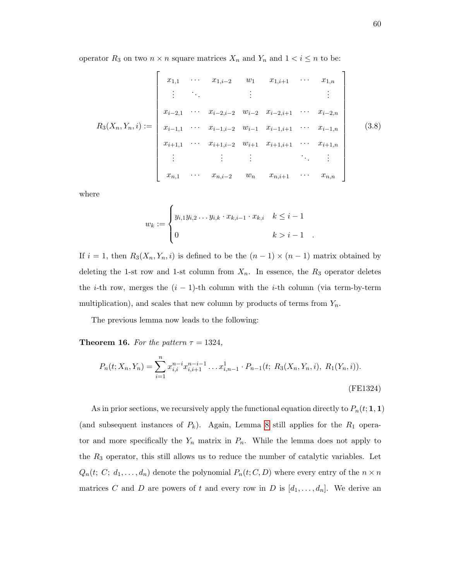operator  $R_3$  on two  $n \times n$  square matrices  $X_n$  and  $Y_n$  and  $1 \le i \le n$  to be:

$$
R_3(X_n, Y_n, i) := \begin{bmatrix} x_{1,1} & \cdots & x_{1,i-2} & w_1 & x_{1,i+1} & \cdots & x_{1,n} \\ \vdots & & \vdots & & \vdots & & \vdots \\ x_{i-2,1} & \cdots & x_{i-2,i-2} & w_{i-2} & x_{i-2,i+1} & \cdots & x_{i-2,n} \\ x_{i-1,1} & \cdots & x_{i-1,i-2} & w_{i-1} & x_{i-1,i+1} & \cdots & x_{i-1,n} \\ x_{i+1,1} & \cdots & x_{i+1,i-2} & w_{i+1} & x_{i+1,i+1} & \cdots & x_{i+1,n} \\ \vdots & & \vdots & & \vdots & & \ddots & \vdots \\ x_{n,1} & \cdots & x_{n,i-2} & w_n & x_{n,i+1} & \cdots & x_{n,n} \end{bmatrix}
$$
(3.8)

where

$$
w_k := \begin{cases} y_{i,1}y_{i,2} \dots y_{i,k} \cdot x_{k,i-1} \cdot x_{k,i} & k \leq i-1 \\ 0 & k > i-1 \end{cases}
$$

If  $i = 1$ , then  $R_3(X_n, Y_n, i)$  is defined to be the  $(n - 1) \times (n - 1)$  matrix obtained by deleting the 1-st row and 1-st column from  $X_n$ . In essence, the  $R_3$  operator deletes the *i*-th row, merges the  $(i - 1)$ -th column with the *i*-th column (via term-by-term multiplication), and scales that new column by products of terms from  $Y_n$ .

The previous lemma now leads to the following:

**Theorem 16.** For the pattern  $\tau = 1324$ ,

$$
P_n(t; X_n, Y_n) = \sum_{i=1}^n x_{i,i}^{n-i} x_{i,i+1}^{n-i-1} \dots x_{i,n-1}^1 \cdot P_{n-1}(t; R_3(X_n, Y_n, i), R_1(Y_n, i)).
$$
\n(FE1324)

As in prior sections, we recursively apply the functional equation directly to  $P_n(t; 1, 1)$ (and subsequent instances of  $P_k$ ). Again, Lemma [8](#page-59-1) still applies for the  $R_1$  operator and more specifically the  $Y_n$  matrix in  $P_n$ . While the lemma does not apply to the  $R_3$  operator, this still allows us to reduce the number of catalytic variables. Let  $Q_n(t; C; d_1, \ldots, d_n)$  denote the polynomial  $P_n(t; C, D)$  where every entry of the  $n \times n$ matrices C and D are powers of t and every row in D is  $[d_1, \ldots, d_n]$ . We derive an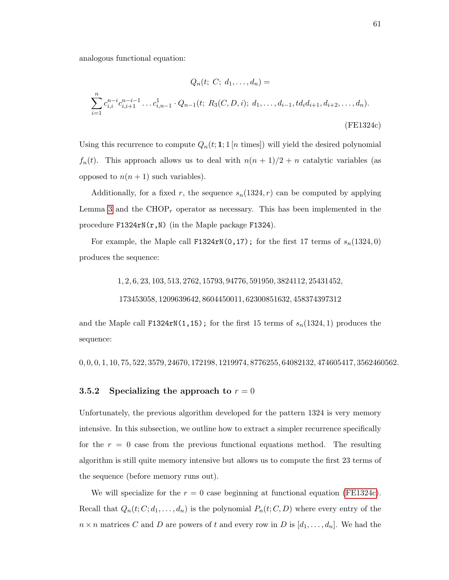analogous functional equation:

<span id="page-67-0"></span>
$$
Q_n(t; C; d_1, ..., d_n) =
$$
  

$$
\sum_{i=1}^n c_{i,i}^{n-i} c_{i,i+1}^{n-i-1} ... c_{i,n-1}^1 \cdot Q_{n-1}(t; R_3(C, D, i); d_1, ..., d_{i-1}, td_i d_{i+1}, d_{i+2}, ..., d_n).
$$
  
(FE1324c)

Using this recurrence to compute  $Q_n(t; 1; 1 \mid n \text{ times})$  will yield the desired polynomial  $f_n(t)$ . This approach allows us to deal with  $n(n + 1)/2 + n$  catalytic variables (as opposed to  $n(n + 1)$  such variables).

Additionally, for a fixed r, the sequence  $s_n(1324, r)$  can be computed by applying Lemma [3](#page-44-0) and the  $CHOP<sub>r</sub>$  operator as necessary. This has been implemented in the procedure F1324rN(r,N) (in the Maple package F1324).

For example, the Maple call F1324rN(0,17); for the first 17 terms of  $s_n(1324, 0)$ produces the sequence:

1, 2, 6, 23, 103, 513, 2762, 15793, 94776, 591950, 3824112, 25431452,

173453058, 1209639642, 8604450011, 62300851632, 458374397312

and the Maple call F1324rN(1,15); for the first 15 terms of  $s_n(1324, 1)$  produces the sequence:

0, 0, 0, 1, 10, 75, 522, 3579, 24670, 172198, 1219974, 8776255, 64082132, 474605417, 3562460562.

## 3.5.2 Specializing the approach to  $r = 0$

Unfortunately, the previous algorithm developed for the pattern 1324 is very memory intensive. In this subsection, we outline how to extract a simpler recurrence specifically for the  $r = 0$  case from the previous functional equations method. The resulting algorithm is still quite memory intensive but allows us to compute the first 23 terms of the sequence (before memory runs out).

We will specialize for the  $r = 0$  case beginning at functional equation [\(FE1324c\)](#page-67-0). Recall that  $Q_n(t; C; d_1, \ldots, d_n)$  is the polynomial  $P_n(t; C, D)$  where every entry of the  $n \times n$  matrices C and D are powers of t and every row in D is  $[d_1, \ldots, d_n]$ . We had the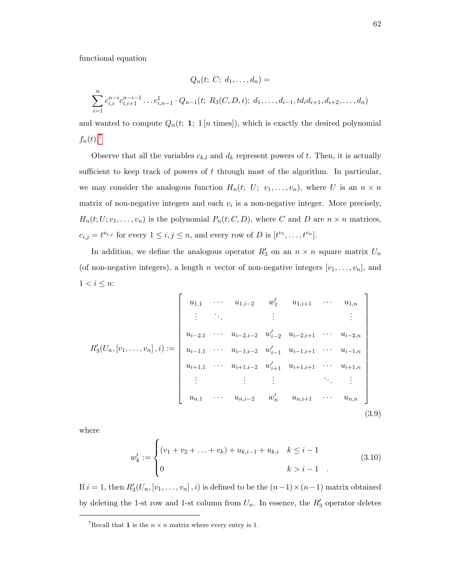functional equation

$$
Q_n(t; C; d_1, ..., d_n) =
$$
  

$$
\sum_{i=1}^n c_{i,i}^{n-i} c_{i,i+1}^{n-i-1} ... c_{i,n-1}^1 \cdot Q_{n-1}(t; R_3(C, D, i); d_1, ..., d_{i-1}, td_i d_{i+1}, d_{i+2}, ..., d_n)
$$

and wanted to compute  $Q_n(t; 1; 1 [n \text{ times}])$ , which is exactly the desired polynomial  $f_n(t)$ <sup>[7](#page-68-0)</sup>

Observe that all the variables  $c_{k,l}$  and  $d_k$  represent powers of t. Then, it is actually sufficient to keep track of powers of  $t$  through most of the algorithm. In particular, we may consider the analogous function  $H_n(t; U; v_1, \ldots, v_n)$ , where U is an  $n \times n$ matrix of non-negative integers and each  $v_i$  is a non-negative integer. More precisely,  $H_n(t;U; v_1, \ldots, v_n)$  is the polynomial  $P_n(t; C, D)$ , where C and D are  $n \times n$  matrices,  $c_{i,j} = t^{u_{i,j}}$  for every  $1 \leq i,j \leq n$ , and every row of D is  $[t^{v_1}, \ldots, t^{v_n}]$ .

In addition, we define the analogous operator  $R'_3$  on an  $n \times n$  square matrix  $U_n$ (of non-negative integers), a length n vector of non-negative integers  $[v_1, \ldots, v_n]$ , and  $1 < i \leq n$ :

$$
R'_3(U_n,[v_1,\ldots,v_n],i) := \begin{bmatrix} u_{1,1} & \cdots & u_{1,i-2} & w'_1 & u_{1,i+1} & \cdots & u_{1,n} \\ \vdots & \vdots & & \vdots & & \vdots \\ u_{i-2,1} & \cdots & u_{i-2,i-2} & w'_{i-2} & u_{i-2,i+1} & \cdots & u_{i-2,n} \\ u_{i-1,1} & \cdots & u_{i-1,i-2} & w'_{i-1} & u_{i-1,i+1} & \cdots & u_{i-1,n} \\ u_{i+1,1} & \cdots & u_{i+1,i-2} & w'_{i+1} & u_{i+1,i+1} & \cdots & u_{i+1,n} \\ \vdots & & \vdots & & \vdots & \ddots & \vdots \\ u_{n,1} & \cdots & u_{n,i-2} & w'_n & u_{n,i+1} & \cdots & u_{n,n} \end{bmatrix}
$$
\n(3.9)

where

<span id="page-68-1"></span>
$$
w'_{k} := \begin{cases} (v_1 + v_2 + \ldots + v_k) + u_{k,i-1} + u_{k,i} & k \leq i-1 \\ 0 & k > i-1 \end{cases} \tag{3.10}
$$

If  $i = 1$ , then  $R'_3(U_n, [v_1, \ldots, v_n], i)$  is defined to be the  $(n-1) \times (n-1)$  matrix obtained by deleting the 1-st row and 1-st column from  $U_n$ . In essence, the  $R'_3$  operator deletes

<span id="page-68-0"></span><sup>&</sup>lt;sup>7</sup>Recall that **1** is the  $n \times n$  matrix where every entry is 1.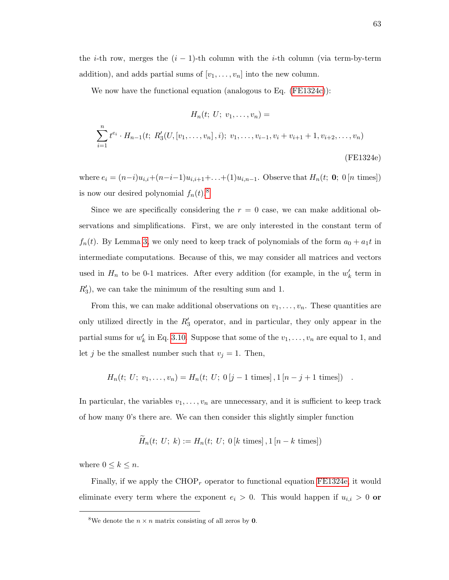the *i*-th row, merges the  $(i - 1)$ -th column with the *i*-th column (via term-by-term addition), and adds partial sums of  $[v_1, \ldots, v_n]$  into the new column.

We now have the functional equation (analogous to Eq. [\(FE1324c\)](#page-67-0)):

<span id="page-69-1"></span>
$$
H_n(t; U; v_1, \dots, v_n) =
$$
  

$$
\sum_{i=1}^n t^{e_i} \cdot H_{n-1}(t; R'_3(U, [v_1, \dots, v_n], i); v_1, \dots, v_{i-1}, v_i + v_{i+1} + 1, v_{i+2}, \dots, v_n)
$$
  
(FE1324e)

where  $e_i = (n-i)u_{i,i}+(n-i-1)u_{i,i+1}+\ldots+(1)u_{i,n-1}$ . Observe that  $H_n(t; 0; 0[n \text{ times}])$ is now our desired polynomial  $f_n(t)$ .<sup>[8](#page-69-0)</sup>

Since we are specifically considering the  $r = 0$  case, we can make additional observations and simplifications. First, we are only interested in the constant term of  $f_n(t)$ . By Lemma [3,](#page-44-0) we only need to keep track of polynomials of the form  $a_0 + a_1 t$  in intermediate computations. Because of this, we may consider all matrices and vectors used in  $H_n$  to be 0-1 matrices. After every addition (for example, in the  $w'_k$  term in  $R_3'$ , we can take the minimum of the resulting sum and 1.

From this, we can make additional observations on  $v_1, \ldots, v_n$ . These quantities are only utilized directly in the  $R'_3$  operator, and in particular, they only appear in the partial sums for  $w'_k$  in Eq. [3.10.](#page-68-1) Suppose that some of the  $v_1, \ldots, v_n$  are equal to 1, and let j be the smallest number such that  $v_j = 1$ . Then,

$$
H_n(t; U; v_1, \ldots, v_n) = H_n(t; U; 0[j-1 \text{ times}], 1[n-j+1 \text{ times}]) .
$$

In particular, the variables  $v_1, \ldots, v_n$  are unnecessary, and it is sufficient to keep track of how many 0's there are. We can then consider this slightly simpler function

$$
H_n(t; U; k) := H_n(t; U; 0 [k \text{ times}], 1 [n - k \text{ times}])
$$

where  $0 \leq k \leq n$ .

Finally, if we apply the  $CHOP<sub>r</sub>$  operator to functional equation [FE1324e,](#page-69-1) it would eliminate every term where the exponent  $e_i > 0$ . This would happen if  $u_{i,i} > 0$  or

<span id="page-69-0"></span><sup>&</sup>lt;sup>8</sup>We denote the  $n \times n$  matrix consisting of all zeros by **0**.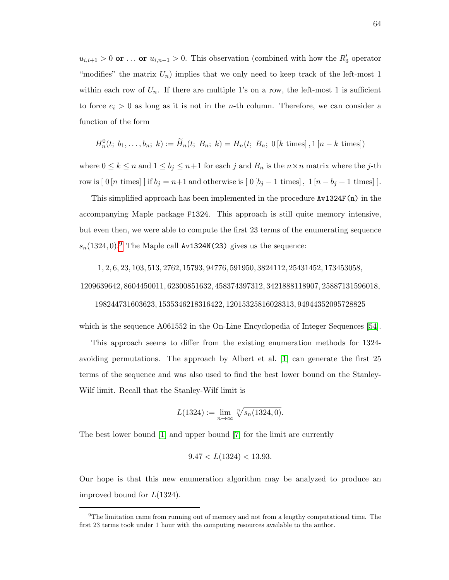$u_{i,i+1} > 0$  or ... or  $u_{i,n-1} > 0$ . This observation (combined with how the  $R'_3$  operator "modifies" the matrix  $U_n$ ) implies that we only need to keep track of the left-most 1 within each row of  $U_n$ . If there are multiple 1's on a row, the left-most 1 is sufficient to force  $e_i > 0$  as long as it is not in the *n*-th column. Therefore, we can consider a function of the form

$$
H_n^0(t; b_1, \ldots, b_n; k) := \widetilde{H}_n(t; B_n; k) = H_n(t; B_n; 0[k \text{ times}], 1[n - k \text{ times}])
$$

where  $0 \leq k \leq n$  and  $1 \leq b_j \leq n+1$  for each j and  $B_n$  is the  $n \times n$  matrix where the j-th row is  $[0 [n \text{ times}] ]$  if  $b_j = n+1$  and otherwise is  $[0 [b_j - 1 \text{ times}], 1 [n - b_j + 1 \text{ times}] ]$ .

This simplified approach has been implemented in the procedure  $Av1324F(n)$  in the accompanying Maple package F1324. This approach is still quite memory intensive, but even then, we were able to compute the first 23 terms of the enumerating sequence  $s_n(1324, 0)$ .<sup>[9](#page-70-0)</sup> The Maple call Av1324N(23) gives us the sequence:

1, 2, 6, 23, 103, 513, 2762, 15793, 94776, 591950, 3824112, 25431452, 173453058,

1209639642, 8604450011, 62300851632, 458374397312, 3421888118907, 25887131596018,

#### 198244731603623, 1535346218316422, 12015325816028313, 94944352095728825

which is the sequence A061552 in the On-Line Encyclopedia of Integer Sequences [\[54\]](#page-100-5).

This approach seems to differ from the existing enumeration methods for 1324 avoiding permutations. The approach by Albert et al. [\[1\]](#page-97-2) can generate the first 25 terms of the sequence and was also used to find the best lower bound on the Stanley-Wilf limit. Recall that the Stanley-Wilf limit is

$$
L(1324) := \lim_{n \to \infty} \sqrt[n]{s_n(1324, 0)}.
$$

The best lower bound [\[1\]](#page-97-2) and upper bound [\[7\]](#page-97-4) for the limit are currently

$$
9.47 < L(1324) < 13.93
$$

Our hope is that this new enumeration algorithm may be analyzed to produce an improved bound for  $L(1324)$ .

<span id="page-70-0"></span> $9$ The limitation came from running out of memory and not from a lengthy computational time. The first 23 terms took under 1 hour with the computing resources available to the author.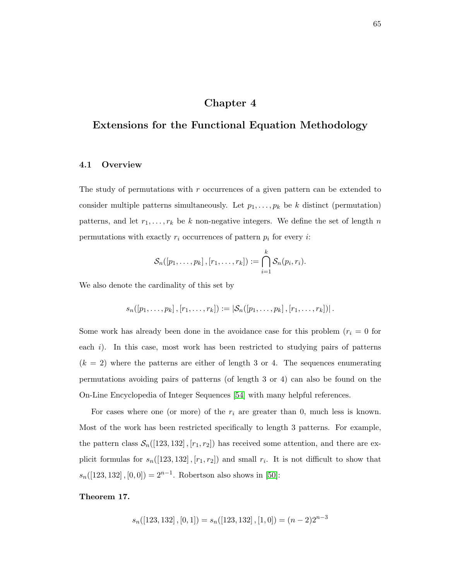# Chapter 4

# Extensions for the Functional Equation Methodology

## 4.1 Overview

The study of permutations with r occurrences of a given pattern can be extended to consider multiple patterns simultaneously. Let  $p_1, \ldots, p_k$  be k distinct (permutation) patterns, and let  $r_1, \ldots, r_k$  be k non-negative integers. We define the set of length n permutations with exactly  $r_i$  occurrences of pattern  $p_i$  for every *i*:

$$
\mathcal{S}_n([p_1,\ldots,p_k],[r_1,\ldots,r_k]):=\bigcap_{i=1}^k \mathcal{S}_n(p_i,r_i).
$$

We also denote the cardinality of this set by

$$
s_n([p_1,\ldots,p_k],[r_1,\ldots,r_k]) := |\mathcal{S}_n([p_1,\ldots,p_k],[r_1,\ldots,r_k])|.
$$

Some work has already been done in the avoidance case for this problem  $(r<sub>i</sub> = 0$  for each  $i$ ). In this case, most work has been restricted to studying pairs of patterns  $(k = 2)$  where the patterns are either of length 3 or 4. The sequences enumerating permutations avoiding pairs of patterns (of length 3 or 4) can also be found on the On-Line Encyclopedia of Integer Sequences [\[54\]](#page-100-5) with many helpful references.

For cases where one (or more) of the  $r_i$  are greater than 0, much less is known. Most of the work has been restricted specifically to length 3 patterns. For example, the pattern class  $S_n([123, 132], [r_1, r_2])$  has received some attention, and there are explicit formulas for  $s_n([123, 132], [r_1, r_2])$  and small  $r_i$ . It is not difficult to show that  $s_n([123, 132], [0, 0]) = 2^{n-1}$ . Robertson also shows in [\[50\]](#page-100-6):

#### Theorem 17.

$$
s_n([123, 132], [0, 1]) = s_n([123, 132], [1, 0]) = (n - 2)2^{n-3}
$$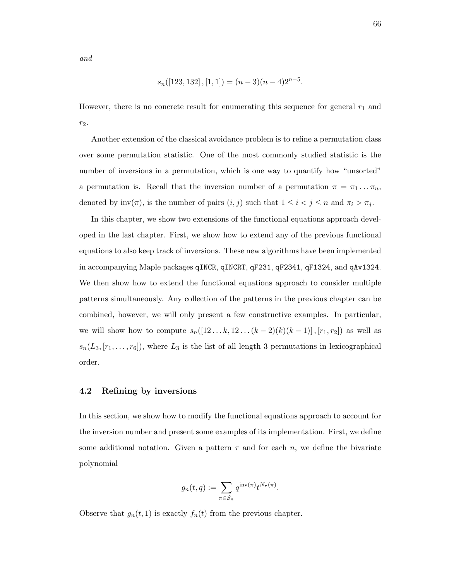and

$$
s_n([123, 132], [1, 1]) = (n - 3)(n - 4)2^{n-5}.
$$

However, there is no concrete result for enumerating this sequence for general  $r_1$  and  $r_2$ .

Another extension of the classical avoidance problem is to refine a permutation class over some permutation statistic. One of the most commonly studied statistic is the number of inversions in a permutation, which is one way to quantify how "unsorted" a permutation is. Recall that the inversion number of a permutation  $\pi = \pi_1 \dots \pi_n$ , denoted by  $\text{inv}(\pi)$ , is the number of pairs  $(i, j)$  such that  $1 \leq i < j \leq n$  and  $\pi_i > \pi_j$ .

In this chapter, we show two extensions of the functional equations approach developed in the last chapter. First, we show how to extend any of the previous functional equations to also keep track of inversions. These new algorithms have been implemented in accompanying Maple packages qINCR, qINCRT, qF231, qF2341, qF1324, and qAv1324. We then show how to extend the functional equations approach to consider multiple patterns simultaneously. Any collection of the patterns in the previous chapter can be combined, however, we will only present a few constructive examples. In particular, we will show how to compute  $s_n([12...k, 12... (k-2)(k)(k-1)]$ ,  $[r_1, r_2])$  as well as  $s_n(L_3, [r_1, \ldots, r_6])$ , where  $L_3$  is the list of all length 3 permutations in lexicographical order.

#### 4.2 Refining by inversions

In this section, we show how to modify the functional equations approach to account for the inversion number and present some examples of its implementation. First, we define some additional notation. Given a pattern  $\tau$  and for each n, we define the bivariate polynomial

$$
g_n(t,q):=\sum_{\pi\in\mathcal{S}_n}q^{\operatorname{inv}(\pi)}t^{N_\tau(\pi)}.
$$

Observe that  $g_n(t, 1)$  is exactly  $f_n(t)$  from the previous chapter.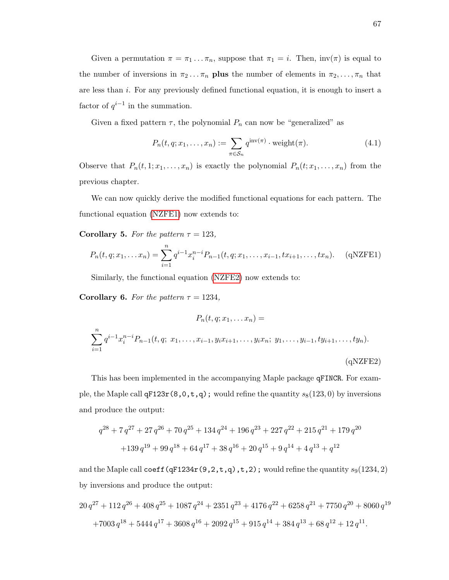Given a permutation  $\pi = \pi_1 \dots \pi_n$ , suppose that  $\pi_1 = i$ . Then,  $inv(\pi)$  is equal to the number of inversions in  $\pi_2 \dots \pi_n$  plus the number of elements in  $\pi_2, \dots, \pi_n$  that are less than i. For any previously defined functional equation, it is enough to insert a factor of  $q^{i-1}$  in the summation.

Given a fixed pattern  $\tau$ , the polynomial  $P_n$  can now be "generalized" as

$$
P_n(t, q; x_1, \dots, x_n) := \sum_{\pi \in S_n} q^{\text{inv}(\pi)} \cdot \text{weight}(\pi). \tag{4.1}
$$

Observe that  $P_n(t,1;x_1,\ldots,x_n)$  is exactly the polynomial  $P_n(t;x_1,\ldots,x_n)$  from the previous chapter.

We can now quickly derive the modified functional equations for each pattern. The functional equation [\(NZFE1\)](#page-43-0) now extends to:

Corollary 5. For the pattern  $\tau = 123$ ,

$$
P_n(t, q; x_1, \dots, x_n) = \sum_{i=1}^n q^{i-1} x_i^{n-i} P_{n-1}(t, q; x_1, \dots, x_{i-1}, tx_{i+1}, \dots, tx_n).
$$
 (qNZFE1)

Similarly, the functional equation [\(NZFE2\)](#page-48-0) now extends to:

Corollary 6. For the pattern  $\tau = 1234$ ,

$$
P_n(t, q; x_1, \dots x_n) =
$$
  

$$
\sum_{i=1}^n q^{i-1} x_i^{n-i} P_{n-1}(t, q; x_1, \dots, x_{i-1}, y_i x_{i+1}, \dots, y_i x_n; y_1, \dots, y_{i-1}, ty_{i+1}, \dots, ty_n).
$$
  
(qNZFE2)

This has been implemented in the accompanying Maple package qFINCR. For example, the Maple call  $qF123r(8,0,t,q)$ ; would refine the quantity  $s_8(123,0)$  by inversions and produce the output:

$$
q^{28} + 7 q^{27} + 27 q^{26} + 70 q^{25} + 134 q^{24} + 196 q^{23} + 227 q^{22} + 215 q^{21} + 179 q^{20} + 139 q^{19} + 99 q^{18} + 64 q^{17} + 38 q^{16} + 20 q^{15} + 9 q^{14} + 4 q^{13} + q^{12}
$$

and the Maple call coeff (qF1234r(9,2,t,q),t,2); would refine the quantity  $s_9(1234, 2)$ by inversions and produce the output:

$$
20q^{27} + 112q^{26} + 408q^{25} + 1087q^{24} + 2351q^{23} + 4176q^{22} + 6258q^{21} + 7750q^{20} + 8060q^{19}
$$
  
+7003q<sup>18</sup> + 5444q<sup>17</sup> + 3608q<sup>16</sup> + 2092q<sup>15</sup> + 915q<sup>14</sup> + 384q<sup>13</sup> + 68q<sup>12</sup> + 12q<sup>11</sup>.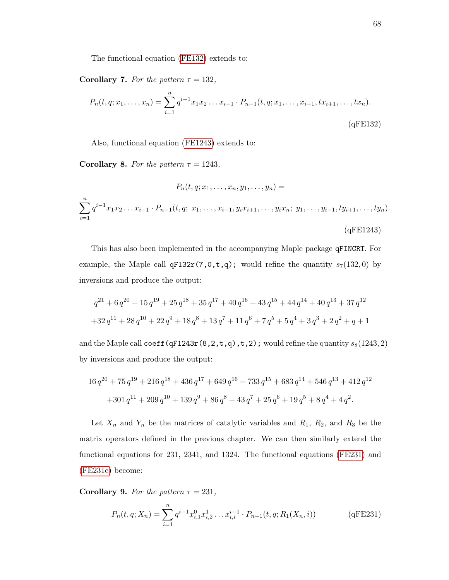The functional equation [\(FE132\)](#page-52-0) extends to:

Corollary 7. For the pattern  $\tau = 132$ ,

$$
P_n(t, q; x_1, \dots, x_n) = \sum_{i=1}^n q^{i-1} x_1 x_2 \dots x_{i-1} \cdot P_{n-1}(t, q; x_1, \dots, x_{i-1}, tx_{i+1}, \dots, tx_n).
$$
\n(qFE132)

Also, functional equation [\(FE1243\)](#page-55-0) extends to:

Corollary 8. For the pattern  $\tau = 1243$ ,

$$
P_n(t, q; x_1, \dots, x_n, y_1, \dots, y_n) =
$$
  

$$
\sum_{i=1}^n q^{i-1} x_1 x_2 \dots x_{i-1} \cdot P_{n-1}(t, q; x_1, \dots, x_{i-1}, y_i x_{i+1}, \dots, y_i x_n; y_1, \dots, y_{i-1}, ty_{i+1}, \dots, ty_n).
$$
  
(qFE1243)

This has also been implemented in the accompanying Maple package qFINCRT. For example, the Maple call  $qF132r(7,0,t,q)$ ; would refine the quantity  $s_7(132,0)$  by inversions and produce the output:

$$
q^{21} + 6 q^{20} + 15 q^{19} + 25 q^{18} + 35 q^{17} + 40 q^{16} + 43 q^{15} + 44 q^{14} + 40 q^{13} + 37 q^{12}
$$
  
+32 q<sup>11</sup> + 28 q<sup>10</sup> + 22 q<sup>9</sup> + 18 q<sup>8</sup> + 13 q<sup>7</sup> + 11 q<sup>6</sup> + 7 q<sup>5</sup> + 5 q<sup>4</sup> + 3 q<sup>3</sup> + 2 q<sup>2</sup> + q + 1

and the Maple call coeff (qF1243r(8,2,t,q),t,2); would refine the quantity  $s_8(1243, 2)$ by inversions and produce the output:

$$
16 q^{20} + 75 q^{19} + 216 q^{18} + 436 q^{17} + 649 q^{16} + 733 q^{15} + 683 q^{14} + 546 q^{13} + 412 q^{12}
$$
  
+301 q<sup>11</sup> + 209 q<sup>10</sup> + 139 q<sup>9</sup> + 86 q<sup>8</sup> + 43 q<sup>7</sup> + 25 q<sup>6</sup> + 19 q<sup>5</sup> + 8 q<sup>4</sup> + 4 q<sup>2</sup>.

Let  $X_n$  and  $Y_n$  be the matrices of catalytic variables and  $R_1$ ,  $R_2$ , and  $R_3$  be the matrix operators defined in the previous chapter. We can then similarly extend the functional equations for 231, 2341, and 1324. The functional equations [\(FE231\)](#page-59-0) and [\(FE231c\)](#page-60-0) become:

Corollary 9. For the pattern  $\tau = 231$ ,

$$
P_n(t, q; X_n) = \sum_{i=1}^n q^{i-1} x_{i,1}^0 x_{i,2}^1 \dots x_{i,i}^{i-1} \cdot P_{n-1}(t, q; R_1(X_n, i))
$$
 (qFE231)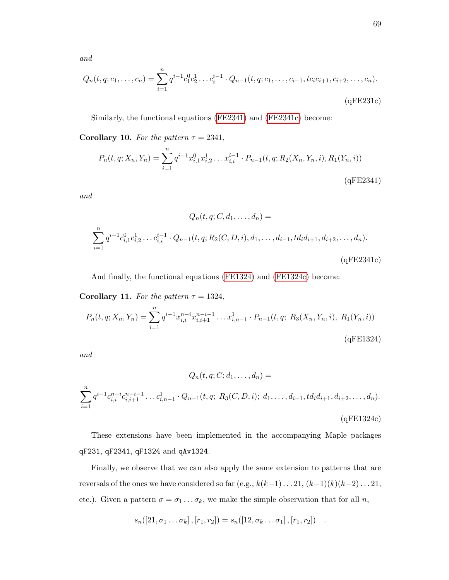and

$$
Q_n(t, q; c_1, \dots, c_n) = \sum_{i=1}^n q^{i-1} c_1^0 c_2^1 \dots c_i^{i-1} \cdot Q_{n-1}(t, q; c_1, \dots, c_{i-1}, t c_i c_{i+1}, c_{i+2}, \dots, c_n).
$$
\n(qFE231c)

Similarly, the functional equations [\(FE2341\)](#page-62-0) and [\(FE2341c\)](#page-63-0) become:

Corollary 10. For the pattern  $\tau = 2341$ ,

$$
P_n(t, q; X_n, Y_n) = \sum_{i=1}^n q^{i-1} x_{i,1}^0 x_{i,2}^1 \dots x_{i,i}^{i-1} \cdot P_{n-1}(t, q; R_2(X_n, Y_n, i), R_1(Y_n, i))
$$
\n(qFE2341)

and

$$
Q_n(t, q; C, d_1, \dots, d_n) =
$$
  

$$
\sum_{i=1}^n q^{i-1} c_{i,1}^0 c_{i,2}^1 \dots c_{i,i}^{i-1} \cdot Q_{n-1}(t, q; R_2(C, D, i), d_1, \dots, d_{i-1}, td_i d_{i+1}, d_{i+2}, \dots, d_n).
$$
  
(qFE2341c)

And finally, the functional equations [\(FE1324\)](#page-66-0) and [\(FE1324c\)](#page-67-0) become:

Corollary 11. For the pattern  $\tau = 1324$ ,

$$
P_n(t, q; X_n, Y_n) = \sum_{i=1}^n q^{i-1} x_{i,i}^{n-i} x_{i,i+1}^{n-i-1} \dots x_{i,n-1}^1 \cdot P_{n-1}(t, q; R_3(X_n, Y_n, i), R_1(Y_n, i))
$$
\n(qFE1324)

and

$$
Q_n(t, q; C; d_1, \dots, d_n) =
$$
  

$$
\sum_{i=1}^n q^{i-1} c_{i,i}^{n-i} c_{i,i+1}^{n-i-1} \dots c_{i,n-1}^1 \cdot Q_{n-1}(t, q; R_3(C, D, i); d_1, \dots, d_{i-1}, td_i d_{i+1}, d_{i+2}, \dots, d_n).
$$
  
(qFE1324c)

These extensions have been implemented in the accompanying Maple packages qF231, qF2341, qF1324 and qAv1324.

Finally, we observe that we can also apply the same extension to patterns that are reversals of the ones we have considered so far (e.g.,  $k(k-1)... 21$ ,  $(k-1)(k)(k-2)... 21$ , etc.). Given a pattern  $\sigma = \sigma_1 \dots \sigma_k$ , we make the simple observation that for all n,

$$
s_n([21, \sigma_1 \ldots \sigma_k], [r_1, r_2]) = s_n([12, \sigma_k \ldots \sigma_1], [r_1, r_2]) .
$$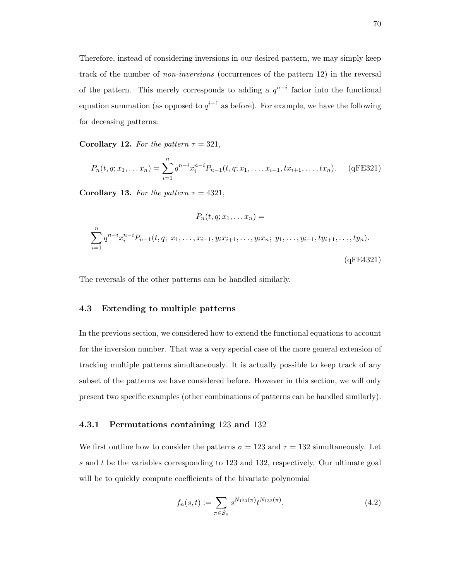Therefore, instead of considering inversions in our desired pattern, we may simply keep track of the number of non-inversions (occurrences of the pattern 12) in the reversal of the pattern. This merely corresponds to adding a  $q^{n-i}$  factor into the functional equation summation (as opposed to  $q^{i-1}$  as before). For example, we have the following for deceasing patterns:

Corollary 12. For the pattern  $\tau = 321$ ,

$$
P_n(t, q; x_1, \dots, x_n) = \sum_{i=1}^n q^{n-i} x_i^{n-i} P_{n-1}(t, q; x_1, \dots, x_{i-1}, tx_{i+1}, \dots, tx_n).
$$
 (qFE321)

Corollary 13. For the pattern  $\tau = 4321$ ,

$$
P_n(t, q; x_1, \dots, x_n) =
$$
  

$$
\sum_{i=1}^n q^{n-i} x_i^{n-i} P_{n-1}(t, q; x_1, \dots, x_{i-1}, y_i x_{i+1}, \dots, y_i x_n; y_1, \dots, y_{i-1}, ty_{i+1}, \dots, ty_n).
$$
  
(qFE4321)

The reversals of the other patterns can be handled similarly.

## 4.3 Extending to multiple patterns

In the previous section, we considered how to extend the functional equations to account for the inversion number. That was a very special case of the more general extension of tracking multiple patterns simultaneously. It is actually possible to keep track of any subset of the patterns we have considered before. However in this section, we will only present two specific examples (other combinations of patterns can be handled similarly).

## 4.3.1 Permutations containing 123 and 132

We first outline how to consider the patterns  $\sigma = 123$  and  $\tau = 132$  simultaneously. Let s and t be the variables corresponding to 123 and 132, respectively. Our ultimate goal will be to quickly compute coefficients of the bivariate polynomial

$$
f_n(s,t) := \sum_{\pi \in S_n} s^{N_{123}(\pi)} t^{N_{132}(\pi)}.
$$
\n(4.2)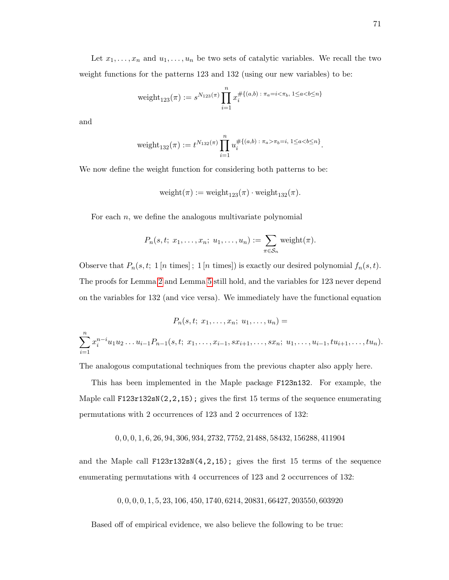Let  $x_1, \ldots, x_n$  and  $u_1, \ldots, u_n$  be two sets of catalytic variables. We recall the two weight functions for the patterns 123 and 132 (using our new variables) to be:

$$
weight_{123}(\pi) := s^{N_{123}(\pi)} \prod_{i=1}^{n} x_i^{\# \{(a,b) : \pi_a = i < \pi_b, 1 \le a < b \le n\}}
$$

and

$$
weight_{132}(\pi) := t^{N_{132}(\pi)} \prod_{i=1}^{n} u_i^{\# \{(a,b) : \pi_a > \pi_b = i, 1 \le a < b \le n\}}.
$$

We now define the weight function for considering both patterns to be:

$$
weight(\pi) := weight_{123}(\pi) \cdot weight_{132}(\pi).
$$

For each  $n$ , we define the analogous multivariate polynomial

$$
P_n(s,t; x_1,\ldots,x_n; u_1,\ldots,u_n) := \sum_{\pi \in S_n} \mathrm{weight}(\pi).
$$

Observe that  $P_n(s, t; 1 [n \text{ times}]; 1 [n \text{ times}])$  is exactly our desired polynomial  $f_n(s, t)$ . The proofs for Lemma [2](#page-42-0) and Lemma [5](#page-51-0) still hold, and the variables for 123 never depend on the variables for 132 (and vice versa). We immediately have the functional equation

$$
P_n(s, t; x_1, \ldots, x_n; u_1, \ldots, u_n) =
$$
  

$$
\sum_{i=1}^n x_i^{n-i} u_1 u_2 \ldots u_{i-1} P_{n-1}(s, t; x_1, \ldots, x_{i-1}, s x_{i+1}, \ldots, s x_n; u_1, \ldots, u_{i-1}, t u_{i+1}, \ldots, t u_n).
$$

The analogous computational techniques from the previous chapter also apply here.

This has been implemented in the Maple package F123n132. For example, the Maple call F123r132sN(2,2,15); gives the first 15 terms of the sequence enumerating permutations with 2 occurrences of 123 and 2 occurrences of 132:

$$
0,0,0,1,6,26,94,306,934,2732,7752,21488,58432,156288,411904
$$

and the Maple call F123r132sN(4,2,15); gives the first 15 terms of the sequence enumerating permutations with 4 occurrences of 123 and 2 occurrences of 132:

$$
0,0,0,0,1,5,23,106,450,1740,6214,20831,66427,203550,603920
$$

Based off of empirical evidence, we also believe the following to be true: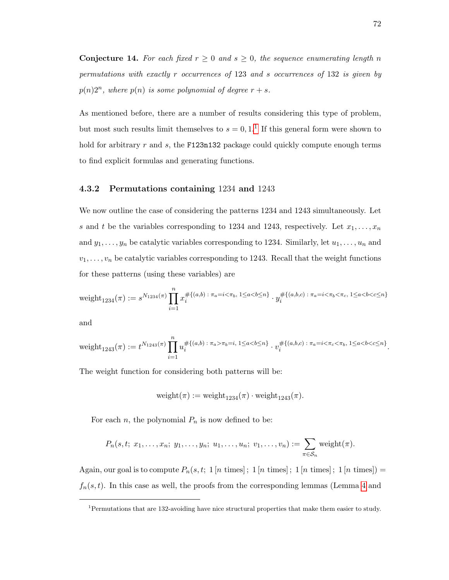**Conjecture 14.** For each fixed  $r \geq 0$  and  $s \geq 0$ , the sequence enumerating length n permutations with exactly r occurrences of 123 and s occurrences of 132 is given by  $p(n)2^n$ , where  $p(n)$  is some polynomial of degree  $r + s$ .

As mentioned before, there are a number of results considering this type of problem, but most such results limit themselves to  $s = 0, 1, 1$  $s = 0, 1, 1$  $s = 0, 1, 1$ . If this general form were shown to hold for arbitrary  $r$  and  $s$ , the F123n132 package could quickly compute enough terms to find explicit formulas and generating functions.

### 4.3.2 Permutations containing 1234 and 1243

We now outline the case of considering the patterns 1234 and 1243 simultaneously. Let s and t be the variables corresponding to 1234 and 1243, respectively. Let  $x_1, \ldots, x_n$ and  $y_1, \ldots, y_n$  be catalytic variables corresponding to 1234. Similarly, let  $u_1, \ldots, u_n$  and  $v_1, \ldots, v_n$  be catalytic variables corresponding to 1243. Recall that the weight functions for these patterns (using these variables) are

$$
\text{weight}_{1234}(\pi) := s^{N_{1234}(\pi)} \prod_{i=1}^n x_i^{\# \{(a,b) \,:\, \pi_a = i < \pi_b, \, 1 \le a < b \le n\}} \cdot y_i^{\# \{(a,b,c) \,:\, \pi_a = i < \pi_b < \pi_c, \, 1 \le a < b < c \le n\}}
$$

and

$$
\text{weight}_{1243}(\pi) := t^{N_{1243}(\pi)} \prod_{i=1}^n u_i^{\# \{(a,b) \,:\, \pi_a > \pi_b = i, \, 1 \le a < b \le n\}} \cdot v_i^{\# \{(a,b,c) \,:\, \pi_a = i < \pi_c < \pi_b, \, 1 \le a < b < c \le n\}}.
$$

The weight function for considering both patterns will be:

$$
weight(\pi) := weight_{1234}(\pi) \cdot weight_{1243}(\pi).
$$

For each n, the polynomial  $P_n$  is now defined to be:

$$
P_n(s,t; x_1,\ldots,x_n; y_1,\ldots,y_n; u_1,\ldots,u_n; v_1,\ldots,v_n):=\sum_{\pi\in\mathcal{S}_n}\mathrm{weight}(\pi).
$$

Again, our goal is to compute  $P_n(s, t; 1 [n \text{ times}]; 1 [n \text{ times}]; 1 [n \text{ times}]; 1 [n \text{ times}]) =$  $f_n(s, t)$ . In this case as well, the proofs from the corresponding lemmas (Lemma [4](#page-48-1) and

<span id="page-78-0"></span><sup>1</sup>Permutations that are 132-avoiding have nice structural properties that make them easier to study.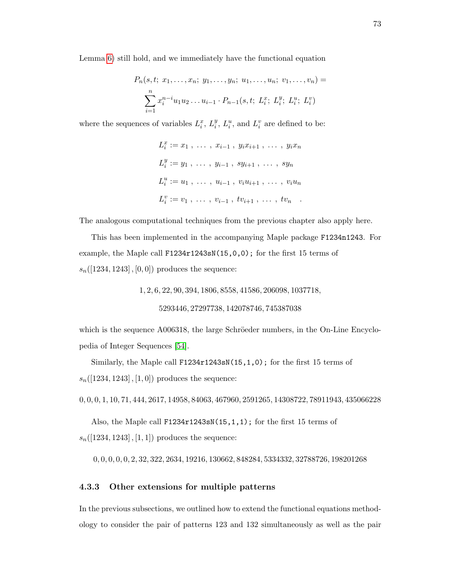Lemma [6\)](#page-54-0) still hold, and we immediately have the functional equation

$$
P_n(s, t; x_1, \ldots, x_n; y_1, \ldots, y_n; u_1, \ldots, u_n; v_1, \ldots, v_n) =
$$

$$
\sum_{i=1}^n x_i^{n-i} u_1 u_2 \ldots u_{i-1} \cdot P_{n-1}(s, t; L_i^x; L_i^y; L_i^u; L_i^v)
$$

where the sequences of variables  $L_i^x$ ,  $L_i^y$  $i<sup>y</sup>$ ,  $L<sup>u</sup>$ , and  $L<sup>v</sup>$  are defined to be:

$$
L_i^x := x_1, \ldots, x_{i-1}, y_i x_{i+1}, \ldots, y_i x_n
$$
  
\n
$$
L_i^y := y_1, \ldots, y_{i-1}, sy_{i+1}, \ldots, sy_n
$$
  
\n
$$
L_i^u := u_1, \ldots, u_{i-1}, v_i u_{i+1}, \ldots, v_i u_n
$$
  
\n
$$
L_i^v := v_1, \ldots, v_{i-1}, tv_{i+1}, \ldots, tv_n
$$

The analogous computational techniques from the previous chapter also apply here.

This has been implemented in the accompanying Maple package F1234n1243. For example, the Maple call F1234r1243sN(15,0,0); for the first 15 terms of  $s_n([1234, 1243], [0, 0])$  produces the sequence:

> 1, 2, 6, 22, 90, 394, 1806, 8558, 41586, 206098, 1037718, 5293446, 27297738, 142078746, 745387038

which is the sequence  $A006318$ , the large Schröeder numbers, in the On-Line Encyclopedia of Integer Sequences [\[54\]](#page-100-0).

Similarly, the Maple call F1234r1243sN(15,1,0); for the first 15 terms of  $s_n([1234, 1243], [1, 0])$  produces the sequence:

0, 0, 0, 1, 10, 71, 444, 2617, 14958, 84063, 467960, 2591265, 14308722, 78911943, 435066228

Also, the Maple call F1234r1243sN(15,1,1); for the first 15 terms of  $s_n([1234, 1243], [1, 1])$  produces the sequence:

0, 0, 0, 0, 0, 2, 32, 322, 2634, 19216, 130662, 848284, 5334332, 32788726, 198201268

### 4.3.3 Other extensions for multiple patterns

In the previous subsections, we outlined how to extend the functional equations methodology to consider the pair of patterns 123 and 132 simultaneously as well as the pair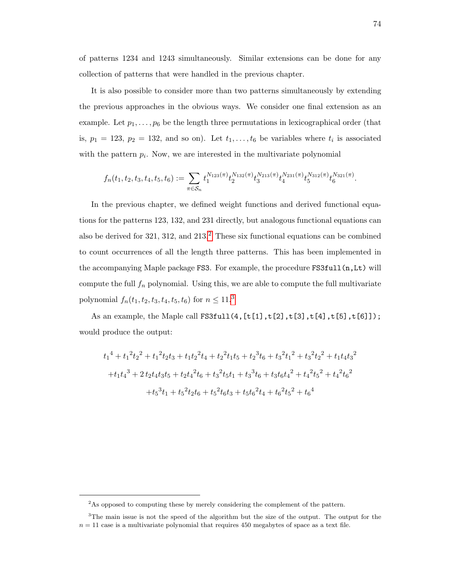of patterns 1234 and 1243 simultaneously. Similar extensions can be done for any collection of patterns that were handled in the previous chapter.

It is also possible to consider more than two patterns simultaneously by extending the previous approaches in the obvious ways. We consider one final extension as an example. Let  $p_1, \ldots, p_6$  be the length three permutations in lexicographical order (that is,  $p_1 = 123$ ,  $p_2 = 132$ , and so on). Let  $t_1, \ldots, t_6$  be variables where  $t_i$  is associated with the pattern  $p_i$ . Now, we are interested in the multivariate polynomial

$$
f_n(t_1, t_2, t_3, t_4, t_5, t_6) := \sum_{\pi \in S_n} t_1^{N_{123}(\pi)} t_2^{N_{132}(\pi)} t_3^{N_{213}(\pi)} t_4^{N_{231}(\pi)} t_5^{N_{312}(\pi)} t_6^{N_{321}(\pi)}.
$$

In the previous chapter, we defined weight functions and derived functional equations for the patterns 123, 132, and 231 directly, but analogous functional equations can also be derived for  $321$  $321$  $321$ ,  $312$ , and  $213<sup>2</sup>$ . These six functional equations can be combined to count occurrences of all the length three patterns. This has been implemented in the accompanying Maple package FS3. For example, the procedure FS3full(n,Lt) will compute the full  $f_n$  polynomial. Using this, we are able to compute the full multivariate polynomial  $f_n(t_1, t_2, t_3, t_4, t_5, t_6)$  $f_n(t_1, t_2, t_3, t_4, t_5, t_6)$  $f_n(t_1, t_2, t_3, t_4, t_5, t_6)$  for  $n \leq 11.3$ 

As an example, the Maple call FS3full(4, $[t[1],t[2],t[3],t[4],t[5],t[6]]$ ); would produce the output:

$$
t_1^4 + t_1^2 t_2^2 + t_1^2 t_2 t_3 + t_1 t_2^2 t_4 + t_2^2 t_1 t_5 + t_2^3 t_6 + t_3^2 t_1^2 + t_3^2 t_2^2 + t_1 t_4 t_3^2
$$
  
+ 
$$
t_1 t_4^3 + 2 t_2 t_4 t_3 t_5 + t_2 t_4^2 t_6 + t_3^2 t_5 t_1 + t_3^3 t_6 + t_3 t_6 t_4^2 + t_4^2 t_5^2 + t_4^2 t_6^2
$$
  
+ 
$$
t_5^3 t_1 + t_5^2 t_2 t_6 + t_5^2 t_6 t_3 + t_5 t_6^2 t_4 + t_6^2 t_5^2 + t_6^4
$$

<span id="page-80-1"></span><span id="page-80-0"></span><sup>&</sup>lt;sup>2</sup>As opposed to computing these by merely considering the complement of the pattern.

<sup>3</sup>The main issue is not the speed of the algorithm but the size of the output. The output for the  $n = 11$  case is a multivariate polynomial that requires 450 megabytes of space as a text file.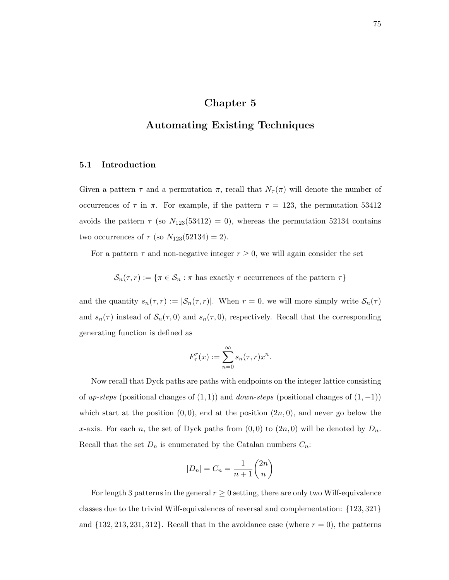# Chapter 5

# Automating Existing Techniques

## 5.1 Introduction

Given a pattern  $\tau$  and a permutation  $\pi$ , recall that  $N_{\tau}(\pi)$  will denote the number of occurrences of  $\tau$  in  $\pi$ . For example, if the pattern  $\tau = 123$ , the permutation 53412 avoids the pattern  $\tau$  (so  $N_{123}(53412) = 0$ ), whereas the permutation 52134 contains two occurrences of  $\tau$  (so  $N_{123}(52134) = 2$ ).

For a pattern  $\tau$  and non-negative integer  $r \geq 0$ , we will again consider the set

 $\mathcal{S}_n(\tau,r) := \{\pi \in \mathcal{S}_n : \pi \text{ has exactly } r \text{ occurrences of the pattern } \tau\}$ 

and the quantity  $s_n(\tau, r) := |\mathcal{S}_n(\tau, r)|$ . When  $r = 0$ , we will more simply write  $\mathcal{S}_n(\tau)$ and  $s_n(\tau)$  instead of  $\mathcal{S}_n(\tau,0)$  and  $s_n(\tau,0)$ , respectively. Recall that the corresponding generating function is defined as

$$
F_{\tau}^r(x) := \sum_{n=0}^{\infty} s_n(\tau, r) x^n
$$

.

Now recall that Dyck paths are paths with endpoints on the integer lattice consisting of up-steps (positional changes of  $(1,1)$ ) and down-steps (positional changes of  $(1,-1)$ ) which start at the position  $(0, 0)$ , end at the position  $(2n, 0)$ , and never go below the x-axis. For each n, the set of Dyck paths from  $(0,0)$  to  $(2n,0)$  will be denoted by  $D_n$ . Recall that the set  $D_n$  is enumerated by the Catalan numbers  $C_n$ :

$$
|D_n| = C_n = \frac{1}{n+1} \binom{2n}{n}
$$

For length 3 patterns in the general  $r \geq 0$  setting, there are only two Wilf-equivalence classes due to the trivial Wilf-equivalences of reversal and complementation: {123, 321} and  $\{132, 213, 231, 312\}$ . Recall that in the avoidance case (where  $r = 0$ ), the patterns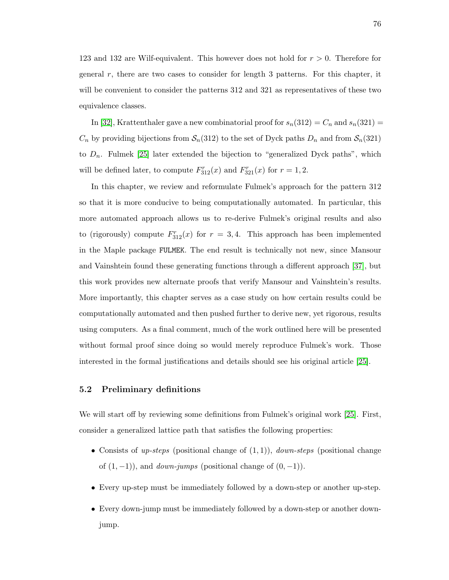123 and 132 are Wilf-equivalent. This however does not hold for  $r > 0$ . Therefore for general r, there are two cases to consider for length 3 patterns. For this chapter, it will be convenient to consider the patterns 312 and 321 as representatives of these two equivalence classes.

In [\[32\]](#page-99-0), Krattenthaler gave a new combinatorial proof for  $s_n(312) = C_n$  and  $s_n(321) =$  $C_n$  by providing bijections from  $S_n(312)$  to the set of Dyck paths  $D_n$  and from  $S_n(321)$ to  $D_n$ . Fulmek [\[25\]](#page-98-0) later extended the bijection to "generalized Dyck paths", which will be defined later, to compute  $F_{312}^r(x)$  and  $F_{321}^r(x)$  for  $r = 1, 2$ .

In this chapter, we review and reformulate Fulmek's approach for the pattern 312 so that it is more conducive to being computationally automated. In particular, this more automated approach allows us to re-derive Fulmek's original results and also to (rigorously) compute  $F_{312}^r(x)$  for  $r = 3, 4$ . This approach has been implemented in the Maple package FULMEK. The end result is technically not new, since Mansour and Vainshtein found these generating functions through a different approach [\[37\]](#page-99-1), but this work provides new alternate proofs that verify Mansour and Vainshtein's results. More importantly, this chapter serves as a case study on how certain results could be computationally automated and then pushed further to derive new, yet rigorous, results using computers. As a final comment, much of the work outlined here will be presented without formal proof since doing so would merely reproduce Fulmek's work. Those interested in the formal justifications and details should see his original article [\[25\]](#page-98-0).

#### 5.2 Preliminary definitions

We will start off by reviewing some definitions from Fulmek's original work [\[25\]](#page-98-0). First, consider a generalized lattice path that satisfies the following properties:

- Consists of up-steps (positional change of  $(1, 1)$ ), down-steps (positional change of  $(1, -1)$ ), and *down-jumps* (positional change of  $(0, -1)$ ).
- Every up-step must be immediately followed by a down-step or another up-step.
- Every down-jump must be immediately followed by a down-step or another downjump.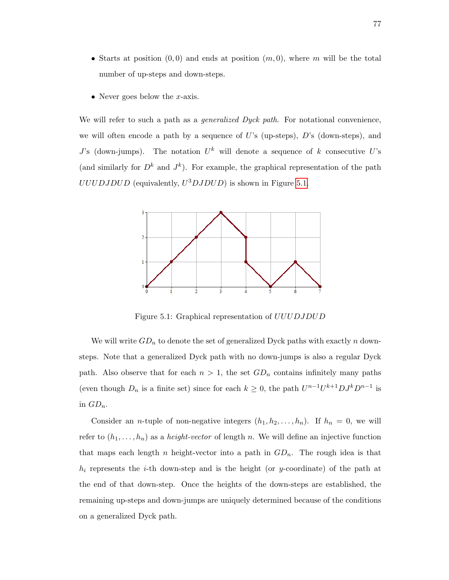- Starts at position  $(0,0)$  and ends at position  $(m,0)$ , where m will be the total number of up-steps and down-steps.
- Never goes below the  $x$ -axis.

We will refer to such a path as a *generalized Dyck path*. For notational convenience, we will often encode a path by a sequence of U's (up-steps),  $D$ 's (down-steps), and J's (down-jumps). The notation  $U^k$  will denote a sequence of k consecutive U's (and similarly for  $D^k$  and  $J^k$ ). For example, the graphical representation of the path  $UUUDJDUD$  (equivalently,  $U^3DJDUD$ ) is shown in Figure [5.1.](#page-83-0)



<span id="page-83-0"></span>Figure 5.1: Graphical representation of *UUUDJDUD* 

We will write  $GD_n$  to denote the set of generalized Dyck paths with exactly n downsteps. Note that a generalized Dyck path with no down-jumps is also a regular Dyck path. Also observe that for each  $n > 1$ , the set  $GD_n$  contains infinitely many paths (even though  $D_n$  is a finite set) since for each  $k \geq 0$ , the path  $U^{n-1}U^{k+1}DJ^kD^{n-1}$  is in  $GD_n$ .

Consider an *n*-tuple of non-negative integers  $(h_1, h_2, \ldots, h_n)$ . If  $h_n = 0$ , we will refer to  $(h_1, \ldots, h_n)$  as a *height-vector* of length n. We will define an injective function that maps each length n height-vector into a path in  $GD_n$ . The rough idea is that  $h_i$  represents the *i*-th down-step and is the height (or y-coordinate) of the path at the end of that down-step. Once the heights of the down-steps are established, the remaining up-steps and down-jumps are uniquely determined because of the conditions on a generalized Dyck path.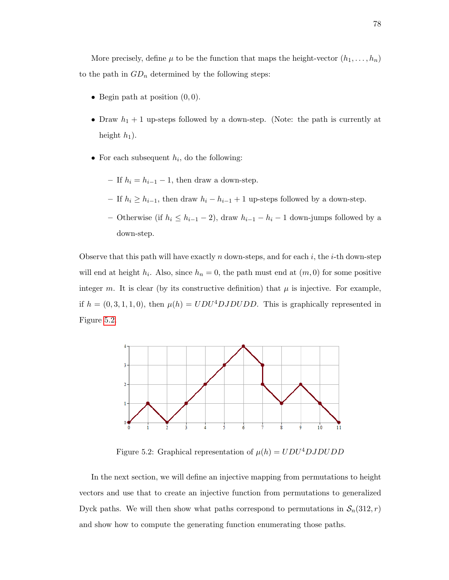More precisely, define  $\mu$  to be the function that maps the height-vector  $(h_1, \ldots, h_n)$ to the path in  $GD_n$  determined by the following steps:

- Begin path at position  $(0, 0)$ .
- Draw  $h_1 + 1$  up-steps followed by a down-step. (Note: the path is currently at height  $h_1$ ).
- For each subsequent  $h_i$ , do the following:
	- If  $h_i = h_{i-1} 1$ , then draw a down-step.
	- If  $h_i \geq h_{i-1}$ , then draw  $h_i h_{i-1} + 1$  up-steps followed by a down-step.
	- Otherwise (if  $h_i \leq h_{i-1} 2$ ), draw  $h_{i-1} h_i 1$  down-jumps followed by a down-step.

Observe that this path will have exactly n down-steps, and for each i, the i-th down-step will end at height  $h_i$ . Also, since  $h_n = 0$ , the path must end at  $(m, 0)$  for some positive integer m. It is clear (by its constructive definition) that  $\mu$  is injective. For example, if  $h = (0, 3, 1, 1, 0)$ , then  $\mu(h) = UDU^4DJDUDD$ . This is graphically represented in Figure [5.2.](#page-84-0)



<span id="page-84-0"></span>Figure 5.2: Graphical representation of  $\mu(h) = UDU^4DJDUDD$ 

In the next section, we will define an injective mapping from permutations to height vectors and use that to create an injective function from permutations to generalized Dyck paths. We will then show what paths correspond to permutations in  $\mathcal{S}_n(312, r)$ and show how to compute the generating function enumerating those paths.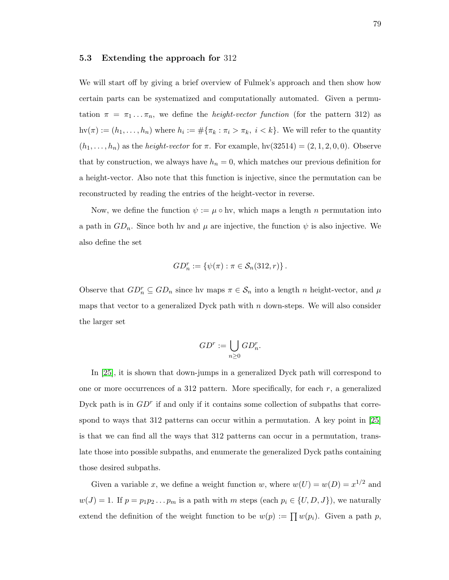### 5.3 Extending the approach for 312

We will start off by giving a brief overview of Fulmek's approach and then show how certain parts can be systematized and computationally automated. Given a permutation  $\pi = \pi_1 \dots \pi_n$ , we define the *height-vector function* (for the pattern 312) as  $\text{hv}(\pi) := (h_1, \ldots, h_n)$  where  $h_i := \#\{\pi_k : \pi_i > \pi_k, i \lt k\}$ . We will refer to the quantity  $(h_1, \ldots, h_n)$  as the *height-vector* for  $\pi$ . For example, hv $(32514) = (2, 1, 2, 0, 0)$ . Observe that by construction, we always have  $h_n = 0$ , which matches our previous definition for a height-vector. Also note that this function is injective, since the permutation can be reconstructed by reading the entries of the height-vector in reverse.

Now, we define the function  $\psi := \mu \circ \text{hv}$ , which maps a length n permutation into a path in  $GD_n$ . Since both hv and  $\mu$  are injective, the function  $\psi$  is also injective. We also define the set

$$
GD_n^r := \{ \psi(\pi) : \pi \in \mathcal{S}_n(312, r) \}.
$$

Observe that  $GD_n^r \subseteq GD_n$  since hv maps  $\pi \in \mathcal{S}_n$  into a length n height-vector, and  $\mu$ maps that vector to a generalized Dyck path with  $n$  down-steps. We will also consider the larger set

$$
GD^r := \bigcup_{n \ge 0} GD_n^r.
$$

In [\[25\]](#page-98-0), it is shown that down-jumps in a generalized Dyck path will correspond to one or more occurrences of a 312 pattern. More specifically, for each r, a generalized Dyck path is in  $GD<sup>r</sup>$  if and only if it contains some collection of subpaths that correspond to ways that 312 patterns can occur within a permutation. A key point in [\[25\]](#page-98-0) is that we can find all the ways that 312 patterns can occur in a permutation, translate those into possible subpaths, and enumerate the generalized Dyck paths containing those desired subpaths.

Given a variable x, we define a weight function w, where  $w(U) = w(D) = x^{1/2}$  and  $w(J) = 1$ . If  $p = p_1p_2...p_m$  is a path with m steps (each  $p_i \in \{U, D, J\}$ ), we naturally extend the definition of the weight function to be  $w(p) := \prod w(p_i)$ . Given a path p,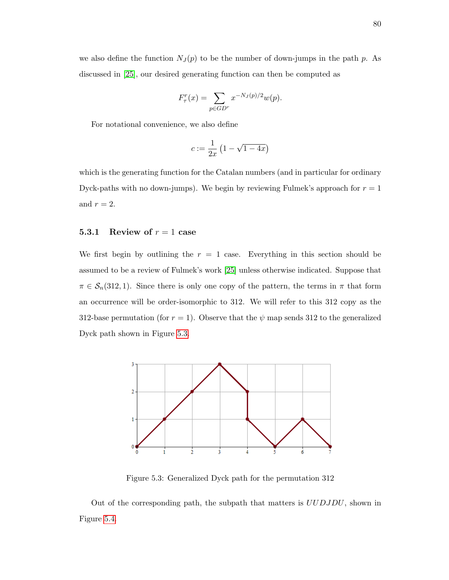we also define the function  $N_J(p)$  to be the number of down-jumps in the path p. As discussed in [\[25\]](#page-98-0), our desired generating function can then be computed as

$$
F_{\tau}^{r}(x) = \sum_{p \in GDr} x^{-N_{J}(p)/2} w(p).
$$

For notational convenience, we also define

$$
c:=\frac{1}{2x}\left(1-\sqrt{1-4x}\right)
$$

which is the generating function for the Catalan numbers (and in particular for ordinary Dyck-paths with no down-jumps). We begin by reviewing Fulmek's approach for  $r = 1$ and  $r = 2$ .

## 5.3.1 Review of  $r = 1$  case

We first begin by outlining the  $r = 1$  case. Everything in this section should be assumed to be a review of Fulmek's work [\[25\]](#page-98-0) unless otherwise indicated. Suppose that  $\pi \in S_n(312, 1)$ . Since there is only one copy of the pattern, the terms in  $\pi$  that form an occurrence will be order-isomorphic to 312. We will refer to this 312 copy as the 312-base permutation (for  $r = 1$ ). Observe that the  $\psi$  map sends 312 to the generalized Dyck path shown in Figure [5.3.](#page-86-0)



<span id="page-86-0"></span>Figure 5.3: Generalized Dyck path for the permutation 312

Out of the corresponding path, the subpath that matters is UUDJDU, shown in Figure [5.4.](#page-87-0)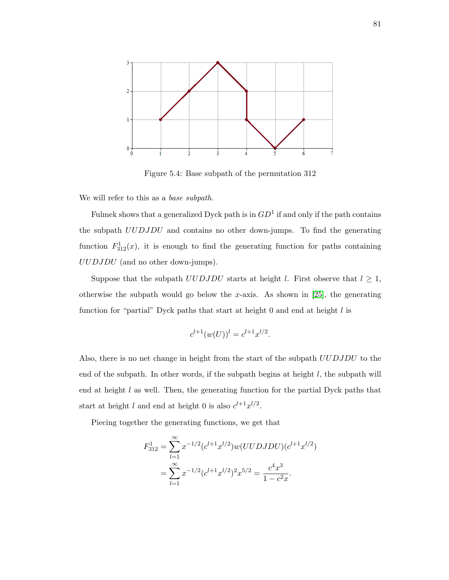

<span id="page-87-0"></span>Figure 5.4: Base subpath of the permutation 312

We will refer to this as a base subpath.

Fulmek shows that a generalized Dyck path is in  $GD<sup>1</sup>$  if and only if the path contains the subpath UUDJDU and contains no other down-jumps. To find the generating function  $F_{312}^1(x)$ , it is enough to find the generating function for paths containing UUDJDU (and no other down-jumps).

Suppose that the subpath  $UUDJDU$  starts at height l. First observe that  $l \geq 1$ , otherwise the subpath would go below the x-axis. As shown in  $[25]$ , the generating function for "partial" Dyck paths that start at height  $0$  and end at height  $l$  is

$$
c^{l+1}(w(U))^l = c^{l+1}x^{l/2}.
$$

Also, there is no net change in height from the start of the subpath UUDJDU to the end of the subpath. In other words, if the subpath begins at height  $l$ , the subpath will end at height  $l$  as well. Then, the generating function for the partial Dyck paths that start at height l and end at height 0 is also  $c^{l+1}x^{l/2}$ .

Piecing together the generating functions, we get that

$$
F_{312}^1 = \sum_{l=1}^{\infty} x^{-1/2} (c^{l+1} x^{l/2}) w(UUDJDU)(c^{l+1} x^{l/2})
$$
  
= 
$$
\sum_{l=1}^{\infty} x^{-1/2} (c^{l+1} x^{l/2})^2 x^{5/2} = \frac{c^4 x^3}{1 - c^2 x}.
$$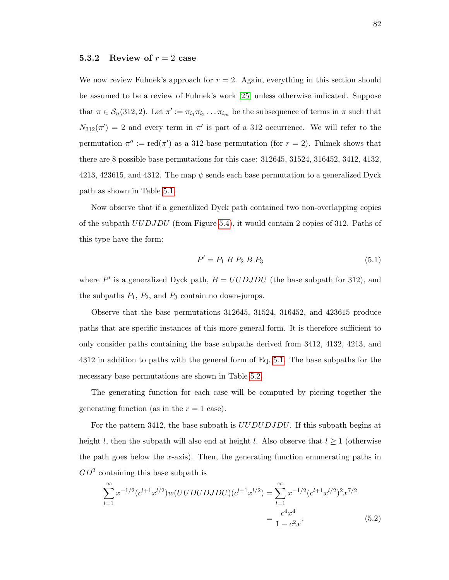## 5.3.2 Review of  $r = 2$  case

We now review Fulmek's approach for  $r = 2$ . Again, everything in this section should be assumed to be a review of Fulmek's work [\[25\]](#page-98-0) unless otherwise indicated. Suppose that  $\pi \in S_n(312, 2)$ . Let  $\pi' := \pi_{i_1} \pi_{i_2} \dots \pi_{i_m}$  be the subsequence of terms in  $\pi$  such that  $N_{312}(\pi') = 2$  and every term in  $\pi'$  is part of a 312 occurrence. We will refer to the permutation  $\pi'' := \text{red}(\pi')$  as a 312-base permutation (for  $r = 2$ ). Fulmek shows that there are 8 possible base permutations for this case: 312645, 31524, 316452, 3412, 4132, 4213, 423615, and 4312. The map  $\psi$  sends each base permutation to a generalized Dyck path as shown in Table [5.1.](#page-89-0)

Now observe that if a generalized Dyck path contained two non-overlapping copies of the subpath UUDJDU (from Figure [5.4\)](#page-87-0), it would contain 2 copies of 312. Paths of this type have the form:

<span id="page-88-0"></span>
$$
P' = P_1 \ B \ P_2 \ B \ P_3 \tag{5.1}
$$

where  $P'$  is a generalized Dyck path,  $B = UUDJDU$  (the base subpath for 312), and the subpaths  $P_1$ ,  $P_2$ , and  $P_3$  contain no down-jumps.

Observe that the base permutations 312645, 31524, 316452, and 423615 produce paths that are specific instances of this more general form. It is therefore sufficient to only consider paths containing the base subpaths derived from 3412, 4132, 4213, and 4312 in addition to paths with the general form of Eq. [5.1.](#page-88-0) The base subpaths for the necessary base permutations are shown in Table [5.2.](#page-90-0)

The generating function for each case will be computed by piecing together the generating function (as in the  $r = 1$  case).

For the pattern 3412, the base subpath is *UUDUDJDU*. If this subpath begins at height l, then the subpath will also end at height l. Also observe that  $l \geq 1$  (otherwise the path goes below the x-axis). Then, the generating function enumerating paths in  $GD<sup>2</sup>$  containing this base subpath is

<span id="page-88-1"></span>
$$
\sum_{l=1}^{\infty} x^{-1/2} (c^{l+1} x^{l/2}) w(UUDUDJDU)(c^{l+1} x^{l/2}) = \sum_{l=1}^{\infty} x^{-1/2} (c^{l+1} x^{l/2})^2 x^{7/2}
$$

$$
= \frac{c^4 x^4}{1 - c^2 x}.
$$
(5.2)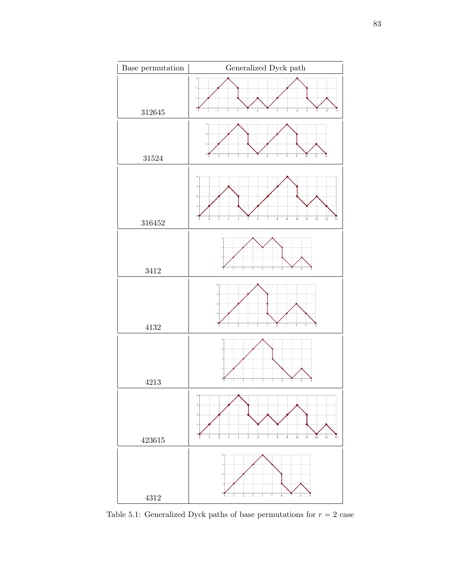

<span id="page-89-0"></span>Table 5.1: Generalized Dyck paths of base permutations for  $r=2$  case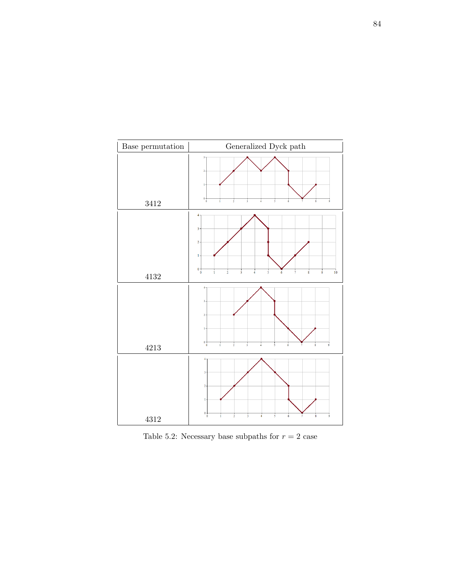

<span id="page-90-0"></span>Table 5.2: Necessary base subpaths for  $r=2$  case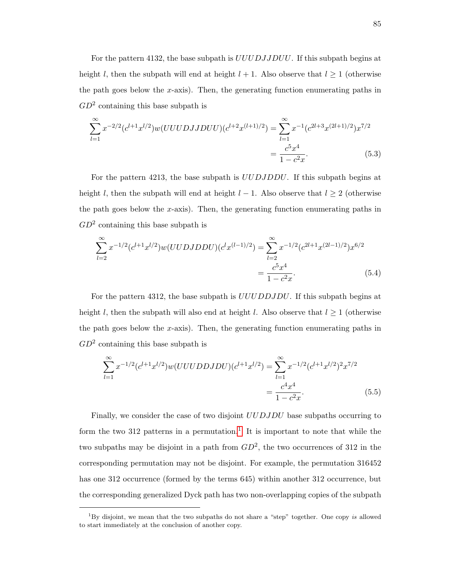For the pattern 4132, the base subpath is  $UUUDJJDUU$ . If this subpath begins at height l, then the subpath will end at height  $l + 1$ . Also observe that  $l \ge 1$  (otherwise the path goes below the  $x$ -axis). Then, the generating function enumerating paths in  $GD<sup>2</sup>$  containing this base subpath is

<span id="page-91-1"></span>
$$
\sum_{l=1}^{\infty} x^{-2/2} (c^{l+1} x^{l/2}) w(UUUDJJDU)(c^{l+2} x^{(l+1)/2}) = \sum_{l=1}^{\infty} x^{-1} (c^{2l+3} x^{(2l+1)/2}) x^{7/2}
$$

$$
= \frac{c^5 x^4}{1 - c^2 x}.
$$
(5.3)

For the pattern 4213, the base subpath is UUDJDDU. If this subpath begins at height l, then the subpath will end at height  $l - 1$ . Also observe that  $l \geq 2$  (otherwise the path goes below the  $x$ -axis). Then, the generating function enumerating paths in  $GD<sup>2</sup>$  containing this base subpath is

<span id="page-91-2"></span>
$$
\sum_{l=2}^{\infty} x^{-1/2} (c^{l+1} x^{l/2}) w(UUDJDDU)(c^l x^{(l-1)/2}) = \sum_{l=2}^{\infty} x^{-1/2} (c^{2l+1} x^{(2l-1)/2}) x^{6/2}
$$

$$
= \frac{c^5 x^4}{1 - c^2 x}.
$$
(5.4)

For the pattern 4312, the base subpath is UUUDDJDU. If this subpath begins at height l, then the subpath will also end at height l. Also observe that  $l \geq 1$  (otherwise the path goes below the x-axis). Then, the generating function enumerating paths in  $GD<sup>2</sup>$  containing this base subpath is

<span id="page-91-3"></span>
$$
\sum_{l=1}^{\infty} x^{-1/2} (c^{l+1} x^{l/2}) w(UUUDDJDU)(c^{l+1} x^{l/2}) = \sum_{l=1}^{\infty} x^{-1/2} (c^{l+1} x^{l/2})^2 x^{7/2}
$$

$$
= \frac{c^4 x^4}{1 - c^2 x}.
$$
(5.5)

Finally, we consider the case of two disjoint  $UUDJDU$  base subpaths occurring to form the two 3[1](#page-91-0)2 patterns in a permutation.<sup>1</sup> It is important to note that while the two subpaths may be disjoint in a path from  $GD^2$ , the two occurrences of 312 in the corresponding permutation may not be disjoint. For example, the permutation 316452 has one 312 occurrence (formed by the terms 645) within another 312 occurrence, but the corresponding generalized Dyck path has two non-overlapping copies of the subpath

<span id="page-91-0"></span> $1By$  disjoint, we mean that the two subpaths do not share a "step" together. One copy is allowed to start immediately at the conclusion of another copy.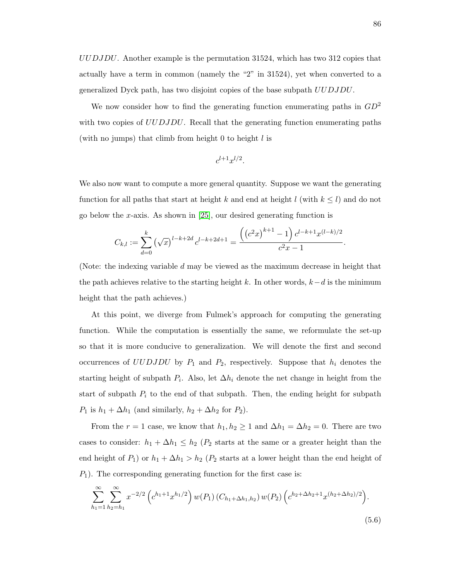UUDJDU. Another example is the permutation 31524, which has two 312 copies that actually have a term in common (namely the "2" in 31524), yet when converted to a generalized Dyck path, has two disjoint copies of the base subpath UUDJDU.

We now consider how to find the generating function enumerating paths in  $GD^2$ with two copies of UUDJDU. Recall that the generating function enumerating paths (with no jumps) that climb from height  $0$  to height  $l$  is

$$
c^{l+1}x^{l/2}.
$$

We also now want to compute a more general quantity. Suppose we want the generating function for all paths that start at height k and end at height l (with  $k \leq l$ ) and do not go below the x-axis. As shown in [\[25\]](#page-98-0), our desired generating function is

$$
C_{k,l} := \sum_{d=0}^{k} (\sqrt{x})^{l-k+2d} c^{l-k+2d+1} = \frac{\left( \left( c^2 x \right)^{k+1} - 1 \right) c^{l-k+1} x^{(l-k)/2}}{c^2 x - 1}.
$$

(Note: the indexing variable d may be viewed as the maximum decrease in height that the path achieves relative to the starting height k. In other words,  $k-d$  is the minimum height that the path achieves.)

At this point, we diverge from Fulmek's approach for computing the generating function. While the computation is essentially the same, we reformulate the set-up so that it is more conducive to generalization. We will denote the first and second occurrences of UUDJDU by  $P_1$  and  $P_2$ , respectively. Suppose that  $h_i$  denotes the starting height of subpath  $P_i$ . Also, let  $\Delta h_i$  denote the net change in height from the start of subpath  $P_i$  to the end of that subpath. Then, the ending height for subpath  $P_1$  is  $h_1 + \Delta h_1$  (and similarly,  $h_2 + \Delta h_2$  for  $P_2$ ).

From the  $r = 1$  case, we know that  $h_1, h_2 \geq 1$  and  $\Delta h_1 = \Delta h_2 = 0$ . There are two cases to consider:  $h_1 + \Delta h_1 \leq h_2$  ( $P_2$  starts at the same or a greater height than the end height of  $P_1$ ) or  $h_1 + \Delta h_1 > h_2$  ( $P_2$  starts at a lower height than the end height of  $P_1$ ). The corresponding generating function for the first case is:

$$
\sum_{h_1=1}^{\infty} \sum_{h_2=h_1}^{\infty} x^{-2/2} \left( c^{h_1+1} x^{h_1/2} \right) w(P_1) \left( C_{h_1+\Delta h_1, h_2} \right) w(P_2) \left( c^{h_2+\Delta h_2+1} x^{(h_2+\Delta h_2)/2} \right).
$$
\n(5.6)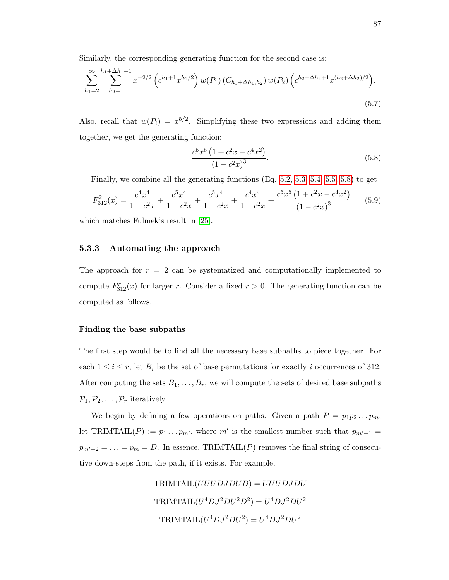Similarly, the corresponding generating function for the second case is:

$$
\sum_{h_1=2}^{\infty} \sum_{h_2=1}^{h_1+\Delta h_1-1} x^{-2/2} \left( c^{h_1+1} x^{h_1/2} \right) w(P_1) \left( C_{h_1+\Delta h_1, h_2} \right) w(P_2) \left( c^{h_2+\Delta h_2+1} x^{(h_2+\Delta h_2)/2} \right).
$$
\n(5.7)

Also, recall that  $w(P_i) = x^{5/2}$ . Simplifying these two expressions and adding them together, we get the generating function:

<span id="page-93-0"></span>
$$
\frac{c^5 x^5 \left(1 + c^2 x - c^4 x^2\right)}{\left(1 - c^2 x\right)^3}.
$$
\n(5.8)

Finally, we combine all the generating functions (Eq. [5.2,](#page-88-1) [5.3,](#page-91-1) [5.4,](#page-91-2) [5.5,](#page-91-3) [5.8\)](#page-93-0) to get

$$
F_{312}^2(x) = \frac{c^4 x^4}{1 - c^2 x} + \frac{c^5 x^4}{1 - c^2 x} + \frac{c^5 x^4}{1 - c^2 x} + \frac{c^4 x^4}{1 - c^2 x} + \frac{c^5 x^5 \left(1 + c^2 x - c^4 x^2\right)}{\left(1 - c^2 x\right)^3} \tag{5.9}
$$

which matches Fulmek's result in [\[25\]](#page-98-0).

#### 5.3.3 Automating the approach

The approach for  $r = 2$  can be systematized and computationally implemented to compute  $F_{312}^r(x)$  for larger r. Consider a fixed  $r > 0$ . The generating function can be computed as follows.

#### Finding the base subpaths

The first step would be to find all the necessary base subpaths to piece together. For each  $1 \leq i \leq r$ , let  $B_i$  be the set of base permutations for exactly i occurrences of 312. After computing the sets  $B_1, \ldots, B_r$ , we will compute the sets of desired base subpaths  $\mathcal{P}_1, \mathcal{P}_2, \ldots, \mathcal{P}_r$  iteratively.

We begin by defining a few operations on paths. Given a path  $P = p_1 p_2 \dots p_m$ , let TRIMTAIL(P) :=  $p_1 \dots p_{m'}$ , where m' is the smallest number such that  $p_{m'+1}$  =  $p_{m'+2} = \ldots = p_m = D$ . In essence, TRIMTAIL(P) removes the final string of consecutive down-steps from the path, if it exists. For example,

> $TRIMTAIL(UUUDJDUD) = UUUDJDU$  $\mathrm{TRIMTAIL}(U^4DJ^2DU^2D^2)=U^4DJ^2DU^2$  $\mathrm{TRIMTAIL}(U^4DJ^2DU^2)=U^4DJ^2DU^2$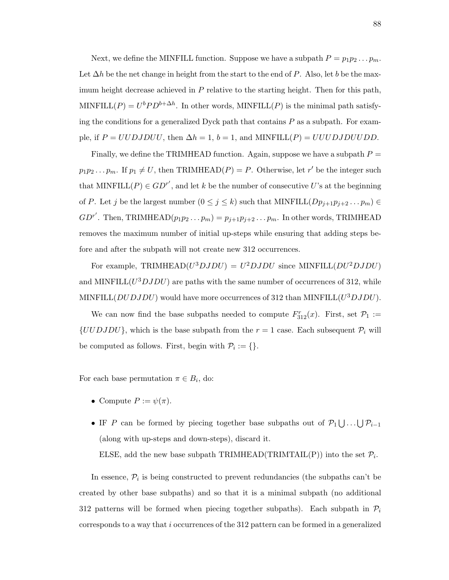Next, we define the MINFILL function. Suppose we have a subpath  $P = p_1 p_2 \dots p_m$ . Let  $\Delta h$  be the net change in height from the start to the end of P. Also, let b be the maximum height decrease achieved in  $P$  relative to the starting height. Then for this path, MINFILL $(P) = U^b P D^{b+\Delta h}$ . In other words, MINFILL $(P)$  is the minimal path satisfying the conditions for a generalized Dyck path that contains  $P$  as a subpath. For example, if  $P = UUDJDUU$ , then  $\Delta h = 1$ ,  $b = 1$ , and MINFILL(P) = UUUDJDUUDD.

Finally, we define the TRIMHEAD function. Again, suppose we have a subpath  $P =$  $p_1p_2...p_m$ . If  $p_1 \neq U$ , then TRIMHEAD(P) = P. Otherwise, let r' be the integer such that MINFILL( $P$ )  $\in$  GD<sup>r'</sup>, and let k be the number of consecutive U's at the beginning of P. Let j be the largest number  $(0 \le j \le k)$  such that MINFILL $(Dp_{j+1}p_{j+2} \tldots p_m) \in$  $GD^{r'}$ . Then, TRIMHEAD $(p_1p_2...p_m) = p_{j+1}p_{j+2}...p_m$ . In other words, TRIMHEAD removes the maximum number of initial up-steps while ensuring that adding steps before and after the subpath will not create new 312 occurrences.

For example, TRIMHEAD( $U^3DJDU$ ) =  $U^2DJDU$  since MINFILL( $DU^2DJDU$ ) and MINFILL $(U^3DJDU)$  are paths with the same number of occurrences of 312, while MINFILL( $DUDJDU$ ) would have more occurrences of 312 than MINFILL( $U^3DJDU$ ).

We can now find the base subpaths needed to compute  $F_{312}^r(x)$ . First, set  $\mathcal{P}_1 :=$  $\{UUDJDU\}$ , which is the base subpath from the  $r = 1$  case. Each subsequent  $\mathcal{P}_i$  will be computed as follows. First, begin with  $P_i := \{\}.$ 

For each base permutation  $\pi \in B_i$ , do:

- Compute  $P := \psi(\pi)$ .
- IF P can be formed by piecing together base subpaths out of  $\mathcal{P}_1 \bigcup \ldots \bigcup \mathcal{P}_{i-1}$ (along with up-steps and down-steps), discard it.

ELSE, add the new base subpath TRIMHEAD(TRIMTAIL(P)) into the set  $\mathcal{P}_i$ .

In essence,  $\mathcal{P}_i$  is being constructed to prevent redundancies (the subpaths can't be created by other base subpaths) and so that it is a minimal subpath (no additional 312 patterns will be formed when piecing together subpaths). Each subpath in  $P_i$ corresponds to a way that i occurrences of the 312 pattern can be formed in a generalized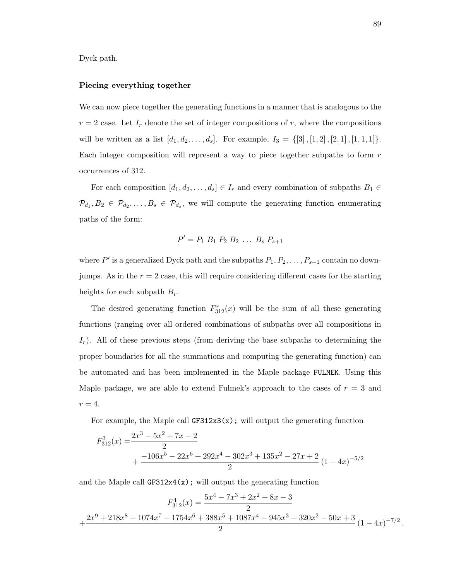Dyck path.

#### Piecing everything together

We can now piece together the generating functions in a manner that is analogous to the  $r = 2$  case. Let  $I_r$  denote the set of integer compositions of r, where the compositions will be written as a list  $[d_1, d_2, \ldots, d_s]$ . For example,  $I_3 = \{[3], [1, 2], [2, 1], [1, 1, 1]\}$ . Each integer composition will represent a way to piece together subpaths to form r occurrences of 312.

For each composition  $[d_1, d_2, \ldots, d_s] \in I_r$  and every combination of subpaths  $B_1 \in I_r$  $\mathcal{P}_{d_1}, B_2 \in \mathcal{P}_{d_2}, \ldots, B_s \in \mathcal{P}_{d_s}$ , we will compute the generating function enumerating paths of the form:

$$
P' = P_1 \; B_1 \; P_2 \; B_2 \; \dots \; B_s \; P_{s+1}
$$

where  $P'$  is a generalized Dyck path and the subpaths  $P_1, P_2, \ldots, P_{s+1}$  contain no downjumps. As in the  $r = 2$  case, this will require considering different cases for the starting heights for each subpath  $B_i$ .

The desired generating function  $F_{312}^r(x)$  will be the sum of all these generating functions (ranging over all ordered combinations of subpaths over all compositions in  $I_r$ ). All of these previous steps (from deriving the base subpaths to determining the proper boundaries for all the summations and computing the generating function) can be automated and has been implemented in the Maple package FULMEK. Using this Maple package, we are able to extend Fulmek's approach to the cases of  $r = 3$  and  $r=4$ .

For example, the Maple call  $GF312x3(x)$ ; will output the generating function

$$
F_{312}^{3}(x) = \frac{2x^3 - 5x^2 + 7x - 2}{2} + \frac{-106x^5 - 22x^6 + 292x^4 - 302x^3 + 135x^2 - 27x + 2}{2} (1 - 4x)^{-5/2}
$$

and the Maple call  $GF312x4(x)$ ; will output the generating function

$$
F_{312}^4(x) = \frac{5x^4 - 7x^3 + 2x^2 + 8x - 3}{2}
$$
  
+ 
$$
\frac{2x^9 + 218x^8 + 1074x^7 - 1754x^6 + 388x^5 + 1087x^4 - 945x^3 + 320x^2 - 50x + 3}{2} (1 - 4x)^{-7/2}.
$$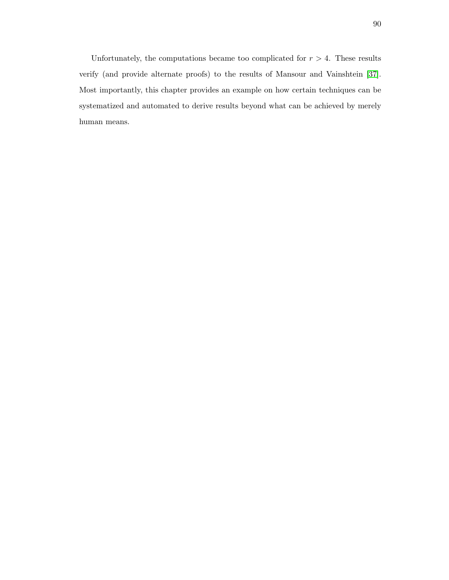Unfortunately, the computations became too complicated for  $r > 4$ . These results verify (and provide alternate proofs) to the results of Mansour and Vainshtein [\[37\]](#page-99-1). Most importantly, this chapter provides an example on how certain techniques can be systematized and automated to derive results beyond what can be achieved by merely human means.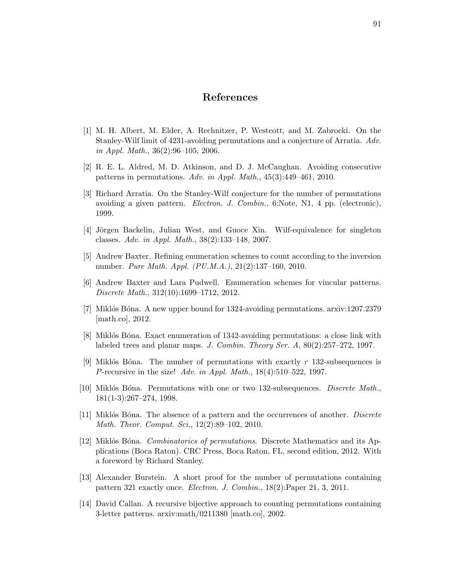## References

- [1] M. H. Albert, M. Elder, A. Rechnitzer, P. Westcott, and M. Zabrocki. On the Stanley-Wilf limit of 4231-avoiding permutations and a conjecture of Arratia. Adv. in Appl. Math., 36(2):96–105, 2006.
- [2] R. E. L. Aldred, M. D. Atkinson, and D. J. McCaughan. Avoiding consecutive patterns in permutations. Adv. in Appl. Math., 45(3):449–461, 2010.
- [3] Richard Arratia. On the Stanley-Wilf conjecture for the number of permutations avoiding a given pattern. Electron. J. Combin., 6:Note, N1, 4 pp. (electronic), 1999.
- [4] Jörgen Backelin, Julian West, and Guoce Xin. Wilf-equivalence for singleton classes. Adv. in Appl. Math., 38(2):133–148, 2007.
- [5] Andrew Baxter. Refining enumeration schemes to count according to the inversion number. Pure Math. Appl. (PU.M.A.), 21(2):137–160, 2010.
- [6] Andrew Baxter and Lara Pudwell. Enumeration schemes for vincular patterns. Discrete Math., 312(10):1699–1712, 2012.
- [7] Miklós Bóna. A new upper bound for 1324-avoiding permutations. arxiv:1207.2379 [math.co], 2012.
- [8] Miklós Bóna. Exact enumeration of 1342-avoiding permutations: a close link with labeled trees and planar maps. J. Combin. Theory Ser. A, 80(2):257–272, 1997.
- [9] Miklós Bóna. The number of permutations with exactly  $r$  132-subsequences is P-recursive in the size! Adv. in Appl. Math., 18(4):510–522, 1997.
- [10] Miklós Bóna. Permutations with one or two 132-subsequences. *Discrete Math.*, 181(1-3):267–274, 1998.
- [11] Miklós Bóna. The absence of a pattern and the occurrences of another. *Discrete* Math. Theor. Comput. Sci., 12(2):89–102, 2010.
- [12] Miklós Bóna. *Combinatorics of permutations*. Discrete Mathematics and its Applications (Boca Raton). CRC Press, Boca Raton, FL, second edition, 2012. With a foreword by Richard Stanley.
- [13] Alexander Burstein. A short proof for the number of permutations containing pattern 321 exactly once. Electron. J. Combin., 18(2):Paper 21, 3, 2011.
- [14] David Callan. A recursive bijective approach to counting permutations containing 3-letter patterns. arxiv:math/0211380 [math.co], 2002.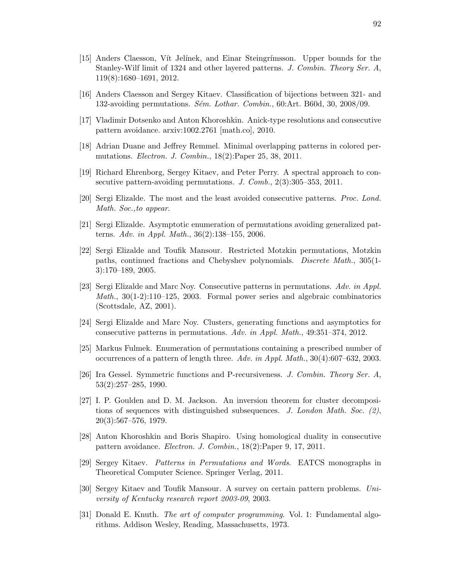- [16] Anders Claesson and Sergey Kitaev. Classification of bijections between 321- and 132-avoiding permutations.  $Sém$ . Lothar. Combin., 60:Art. B60d, 30, 2008/09.
- [17] Vladimir Dotsenko and Anton Khoroshkin. Anick-type resolutions and consecutive pattern avoidance. arxiv:1002.2761 [math.co], 2010.
- [18] Adrian Duane and Jeffrey Remmel. Minimal overlapping patterns in colored permutations. Electron. J. Combin., 18(2):Paper 25, 38, 2011.
- [19] Richard Ehrenborg, Sergey Kitaev, and Peter Perry. A spectral approach to consecutive pattern-avoiding permutations. J. Comb., 2(3):305–353, 2011.
- [20] Sergi Elizalde. The most and the least avoided consecutive patterns. Proc. Lond. Math. Soc.,to appear.
- [21] Sergi Elizalde. Asymptotic enumeration of permutations avoiding generalized patterns. Adv. in Appl. Math., 36(2):138–155, 2006.
- [22] Sergi Elizalde and Toufik Mansour. Restricted Motzkin permutations, Motzkin paths, continued fractions and Chebyshev polynomials. Discrete Math., 305(1- 3):170–189, 2005.
- [23] Sergi Elizalde and Marc Noy. Consecutive patterns in permutations. Adv. in Appl. Math., 30(1-2):110–125, 2003. Formal power series and algebraic combinatorics (Scottsdale, AZ, 2001).
- [24] Sergi Elizalde and Marc Noy. Clusters, generating functions and asymptotics for consecutive patterns in permutations. Adv. in Appl. Math., 49:351–374, 2012.
- <span id="page-98-0"></span>[25] Markus Fulmek. Enumeration of permutations containing a prescribed number of occurrences of a pattern of length three. Adv. in Appl. Math., 30(4):607–632, 2003.
- [26] Ira Gessel. Symmetric functions and P-recursiveness. J. Combin. Theory Ser. A, 53(2):257–285, 1990.
- [27] I. P. Goulden and D. M. Jackson. An inversion theorem for cluster decompositions of sequences with distinguished subsequences. J. London Math. Soc.  $(2)$ , 20(3):567–576, 1979.
- [28] Anton Khoroshkin and Boris Shapiro. Using homological duality in consecutive pattern avoidance. Electron. J. Combin., 18(2):Paper 9, 17, 2011.
- [29] Sergey Kitaev. Patterns in Permutations and Words. EATCS monographs in Theoretical Computer Science. Springer Verlag, 2011.
- [30] Sergey Kitaev and Toufik Mansour. A survey on certain pattern problems. University of Kentucky research report 2003-09, 2003.
- [31] Donald E. Knuth. *The art of computer programming*. Vol. 1: Fundamental algorithms. Addison Wesley, Reading, Massachusetts, 1973.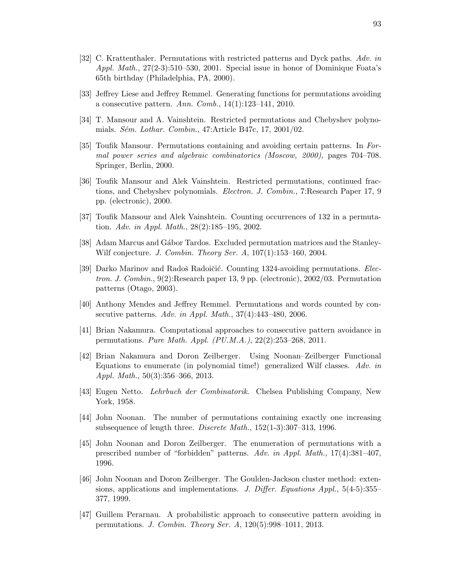- <span id="page-99-0"></span>[32] C. Krattenthaler. Permutations with restricted patterns and Dyck paths. Adv. in Appl. Math., 27(2-3):510–530, 2001. Special issue in honor of Dominique Foata's 65th birthday (Philadelphia, PA, 2000).
- [33] Jeffrey Liese and Jeffrey Remmel. Generating functions for permutations avoiding a consecutive pattern. Ann. Comb., 14(1):123–141, 2010.
- [34] T. Mansour and A. Vainshtein. Restricted permutations and Chebyshev polynomials. Sém. Lothar. Combin., 47:Article B47c, 17, 2001/02.
- [35] Toufik Mansour. Permutations containing and avoiding certain patterns. In Formal power series and algebraic combinatorics (Moscow, 2000), pages 704–708. Springer, Berlin, 2000.
- [36] Toufik Mansour and Alek Vainshtein. Restricted permutations, continued fractions, and Chebyshev polynomials. *Electron. J. Combin.*, 7:Research Paper 17, 9 pp. (electronic), 2000.
- <span id="page-99-1"></span>[37] Toufik Mansour and Alek Vainshtein. Counting occurrences of 132 in a permutation. Adv. in Appl. Math., 28(2):185–195, 2002.
- [38] Adam Marcus and Gábor Tardos. Excluded permutation matrices and the Stanley-Wilf conjecture. J. Combin. Theory Ser. A, 107(1):153–160, 2004.
- [39] Darko Marinov and Radoš Radoičić. Counting 1324-avoiding permutations. Electron. J. Combin., 9(2):Research paper 13, 9 pp. (electronic), 2002/03. Permutation patterns (Otago, 2003).
- [40] Anthony Mendes and Jeffrey Remmel. Permutations and words counted by consecutive patterns. Adv. in Appl. Math., 37(4):443–480, 2006.
- [41] Brian Nakamura. Computational approaches to consecutive pattern avoidance in permutations. Pure Math. Appl. (PU.M.A.), 22(2):253–268, 2011.
- [42] Brian Nakamura and Doron Zeilberger. Using Noonan–Zeilberger Functional Equations to enumerate (in polynomial time!) generalized Wilf classes. Adv. in Appl. Math., 50(3):356–366, 2013.
- [43] Eugen Netto. Lehrbuch der Combinatorik. Chelsea Publishing Company, New York, 1958.
- [44] John Noonan. The number of permutations containing exactly one increasing subsequence of length three. Discrete Math.,  $152(1-3):307-313$ , 1996.
- [45] John Noonan and Doron Zeilberger. The enumeration of permutations with a prescribed number of "forbidden" patterns. Adv. in Appl. Math., 17(4):381–407, 1996.
- [46] John Noonan and Doron Zeilberger. The Goulden-Jackson cluster method: extensions, applications and implementations. J. Differ. Equations Appl.,  $5(4-5):355-$ 377, 1999.
- [47] Guillem Perarnau. A probabilistic approach to consecutive pattern avoiding in permutations. J. Combin. Theory Ser. A, 120(5):998–1011, 2013.